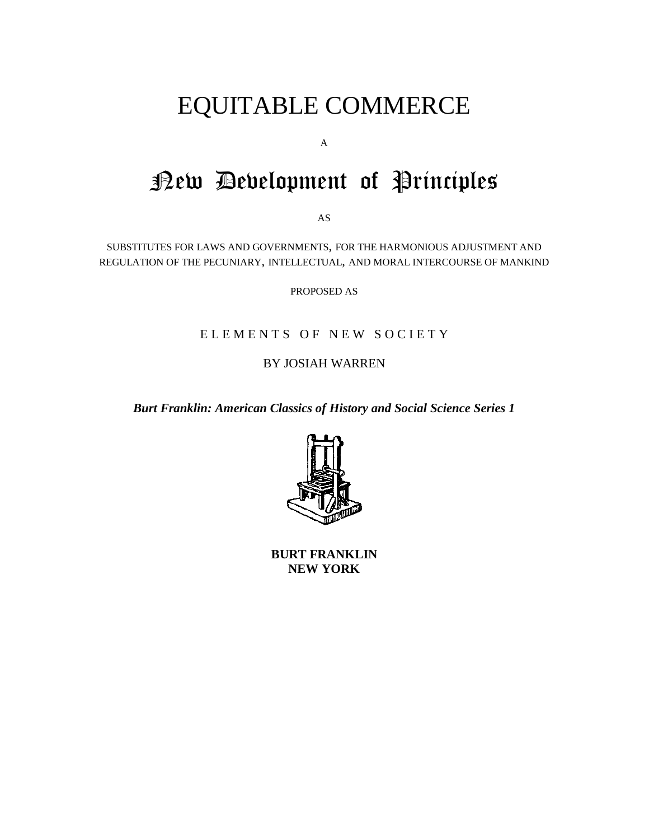# EQUITABLE COMMERCE

A

# New Development of Principles

AS

SUBSTITUTES FOR LAWS AND GOVERNMENTS, FOR THE HARMONIOUS ADJUSTMENT AND REGULATION OF THE PECUNIARY, INTELLECTUAL, AND MORAL INTERCOURSE OF MANKIND

PROPOSED AS

# ELEMENTS OF NEW SOCIETY

BY JOSIAH WARREN

*Burt Franklin: American Classics of History and Social Science Series 1*



**BURT FRANKLIN NEW YORK**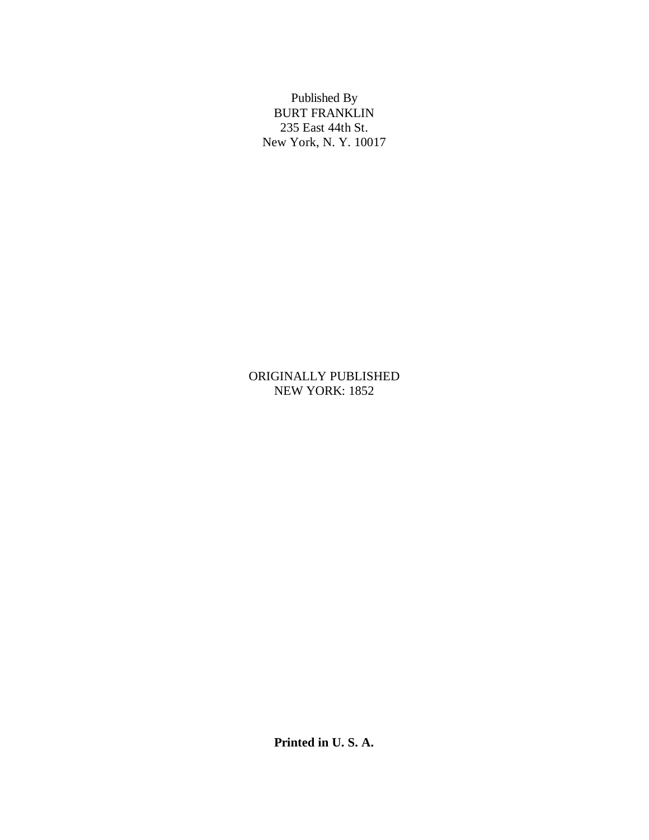Published By BURT FRANKLIN 235 East 44th St. New York, N. Y. 10017

# ORIGINALLY PUBLISHED NEW YORK: 1852

**Printed in U. S. A.**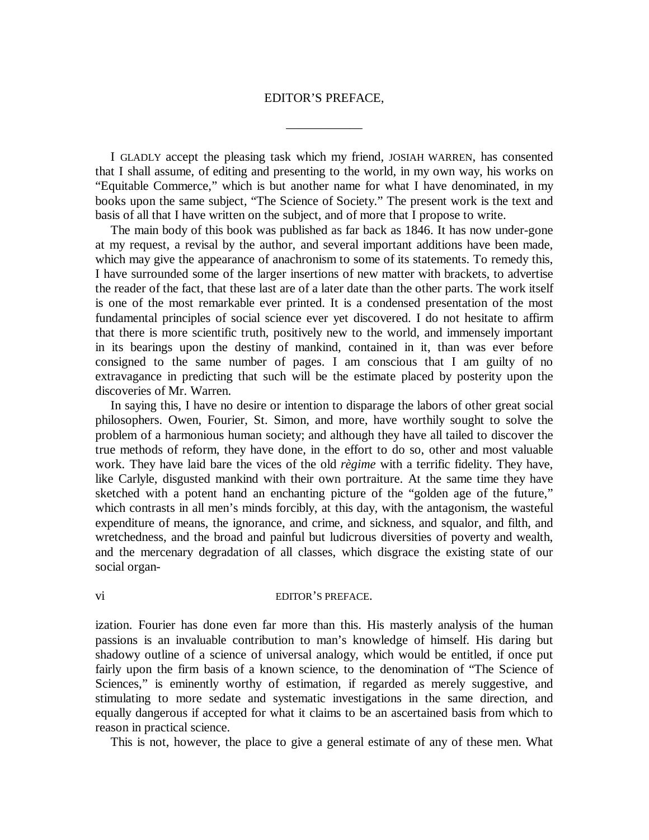#### EDITOR'S PREFACE,

——————

I GLADLY accept the pleasing task which my friend, JOSIAH WARREN, has consented that I shall assume, of editing and presenting to the world, in my own way, his works on "Equitable Commerce," which is but another name for what I have denominated, in my books upon the same subject, "The Science of Society." The present work is the text and basis of all that I have written on the subject, and of more that I propose to write.

The main body of this book was published as far back as 1846. It has now under-gone at my request, a revisal by the author, and several important additions have been made, which may give the appearance of anachronism to some of its statements. To remedy this, I have surrounded some of the larger insertions of new matter with brackets, to advertise the reader of the fact, that these last are of a later date than the other parts. The work itself is one of the most remarkable ever printed. It is a condensed presentation of the most fundamental principles of social science ever yet discovered. I do not hesitate to affirm that there is more scientific truth, positively new to the world, and immensely important in its bearings upon the destiny of mankind, contained in it, than was ever before consigned to the same number of pages. I am conscious that I am guilty of no extravagance in predicting that such will be the estimate placed by posterity upon the discoveries of Mr. Warren.

In saying this, I have no desire or intention to disparage the labors of other great social philosophers. Owen, Fourier, St. Simon, and more, have worthily sought to solve the problem of a harmonious human society; and although they have all tailed to discover the true methods of reform, they have done, in the effort to do so, other and most valuable work. They have laid bare the vices of the old *règime* with a terrific fidelity. They have, like Carlyle, disgusted mankind with their own portraiture. At the same time they have sketched with a potent hand an enchanting picture of the "golden age of the future," which contrasts in all men's minds forcibly, at this day, with the antagonism, the wasteful expenditure of means, the ignorance, and crime, and sickness, and squalor, and filth, and wretchedness, and the broad and painful but ludicrous diversities of poverty and wealth, and the mercenary degradation of all classes, which disgrace the existing state of our social organ-

#### vi EDITOR'S PREFACE.

ization. Fourier has done even far more than this. His masterly analysis of the human passions is an invaluable contribution to man's knowledge of himself. His daring but shadowy outline of a science of universal analogy, which would be entitled, if once put fairly upon the firm basis of a known science, to the denomination of "The Science of Sciences," is eminently worthy of estimation, if regarded as merely suggestive, and stimulating to more sedate and systematic investigations in the same direction, and equally dangerous if accepted for what it claims to be an ascertained basis from which to reason in practical science.

This is not, however, the place to give a general estimate of any of these men. What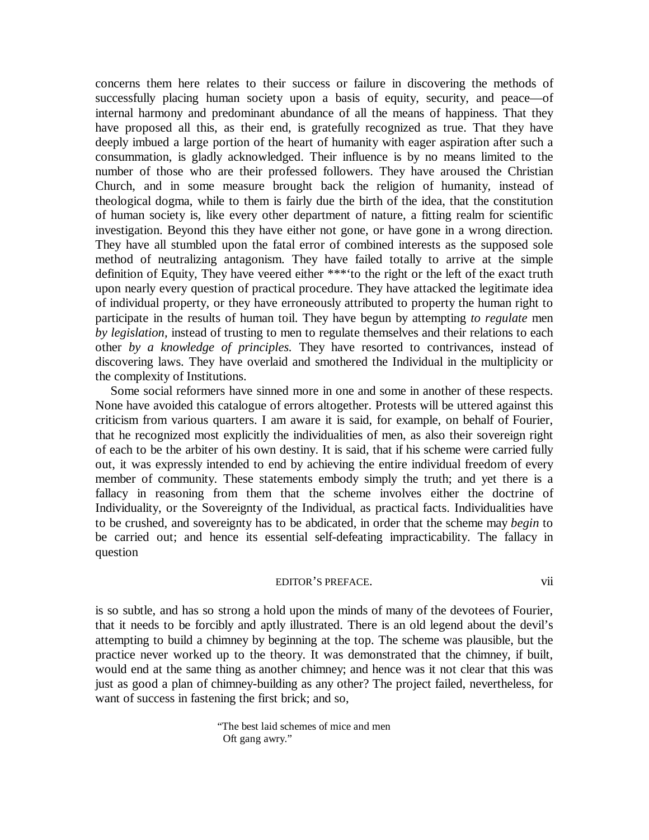concerns them here relates to their success or failure in discovering the methods of successfully placing human society upon a basis of equity, security, and peace—of internal harmony and predominant abundance of all the means of happiness. That they have proposed all this, as their end, is gratefully recognized as true. That they have deeply imbued a large portion of the heart of humanity with eager aspiration after such a consummation, is gladly acknowledged. Their influence is by no means limited to the number of those who are their professed followers. They have aroused the Christian Church, and in some measure brought back the religion of humanity, instead of theological dogma, while to them is fairly due the birth of the idea, that the constitution of human society is, like every other department of nature, a fitting realm for scientific investigation. Beyond this they have either not gone, or have gone in a wrong direction. They have all stumbled upon the fatal error of combined interests as the supposed sole method of neutralizing antagonism. They have failed totally to arrive at the simple definition of Equity, They have veered either \*\*\*'to the right or the left of the exact truth upon nearly every question of practical procedure. They have attacked the legitimate idea of individual property, or they have erroneously attributed to property the human right to participate in the results of human toil. They have begun by attempting *to regulate* men *by legislation,* instead of trusting to men to regulate themselves and their relations to each other *by a knowledge of principles.* They have resorted to contrivances, instead of discovering laws. They have overlaid and smothered the Individual in the multiplicity or the complexity of Institutions.

Some social reformers have sinned more in one and some in another of these respects. None have avoided this catalogue of errors altogether. Protests will be uttered against this criticism from various quarters. I am aware it is said, for example, on behalf of Fourier, that he recognized most explicitly the individualities of men, as also their sovereign right of each to be the arbiter of his own destiny. It is said, that if his scheme were carried fully out, it was expressly intended to end by achieving the entire individual freedom of every member of community. These statements embody simply the truth; and yet there is a fallacy in reasoning from them that the scheme involves either the doctrine of Individuality, or the Sovereignty of the Individual, as practical facts. Individualities have to be crushed, and sovereignty has to be abdicated, in order that the scheme may *begin* to be carried out; and hence its essential self-defeating impracticability. The fallacy in question

#### EDITOR'S PREFACE. vii

is so subtle, and has so strong a hold upon the minds of many of the devotees of Fourier, that it needs to be forcibly and aptly illustrated. There is an old legend about the devil's attempting to build a chimney by beginning at the top. The scheme was plausible, but the practice never worked up to the theory. It was demonstrated that the chimney, if built, would end at the same thing as another chimney; and hence was it not clear that this was just as good a plan of chimney-building as any other? The project failed, nevertheless, for want of success in fastening the first brick; and so,

> "The best laid schemes of mice and men Oft gang awry."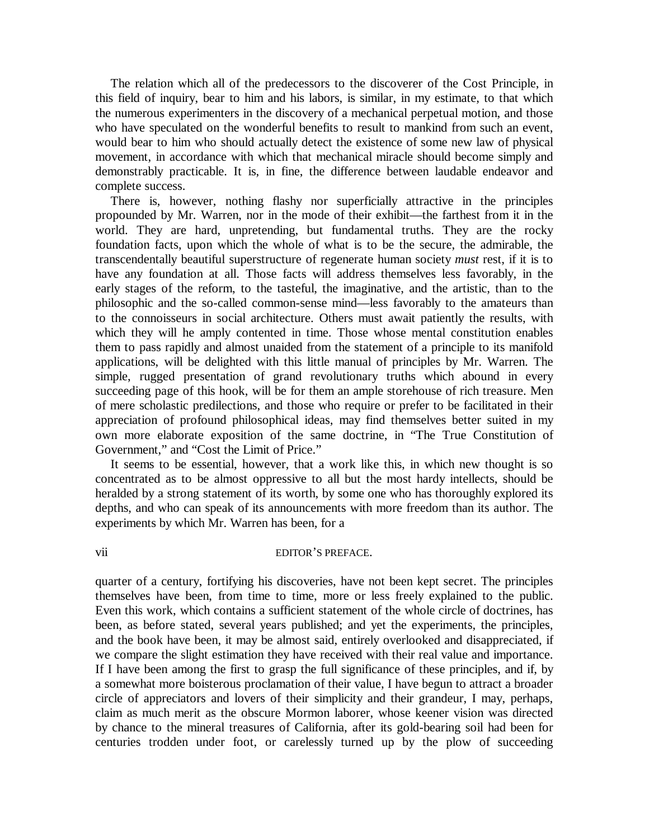The relation which all of the predecessors to the discoverer of the Cost Principle, in this field of inquiry, bear to him and his labors, is similar, in my estimate, to that which the numerous experimenters in the discovery of a mechanical perpetual motion, and those who have speculated on the wonderful benefits to result to mankind from such an event, would bear to him who should actually detect the existence of some new law of physical movement, in accordance with which that mechanical miracle should become simply and demonstrably practicable. It is, in fine, the difference between laudable endeavor and complete success.

There is, however, nothing flashy nor superficially attractive in the principles propounded by Mr. Warren, nor in the mode of their exhibit—the farthest from it in the world. They are hard, unpretending, but fundamental truths. They are the rocky foundation facts, upon which the whole of what is to be the secure, the admirable, the transcendentally beautiful superstructure of regenerate human society *must* rest, if it is to have any foundation at all. Those facts will address themselves less favorably, in the early stages of the reform, to the tasteful, the imaginative, and the artistic, than to the philosophic and the so-called common-sense mind—less favorably to the amateurs than to the connoisseurs in social architecture. Others must await patiently the results, with which they will he amply contented in time. Those whose mental constitution enables them to pass rapidly and almost unaided from the statement of a principle to its manifold applications, will be delighted with this little manual of principles by Mr. Warren. The simple, rugged presentation of grand revolutionary truths which abound in every succeeding page of this hook, will be for them an ample storehouse of rich treasure. Men of mere scholastic predilections, and those who require or prefer to be facilitated in their appreciation of profound philosophical ideas, may find themselves better suited in my own more elaborate exposition of the same doctrine, in "The True Constitution of Government," and "Cost the Limit of Price."

It seems to be essential, however, that a work like this, in which new thought is so concentrated as to be almost oppressive to all but the most hardy intellects, should be heralded by a strong statement of its worth, by some one who has thoroughly explored its depths, and who can speak of its announcements with more freedom than its author. The experiments by which Mr. Warren has been, for a

#### vii **EDITOR'S PREFACE.**

quarter of a century, fortifying his discoveries, have not been kept secret. The principles themselves have been, from time to time, more or less freely explained to the public. Even this work, which contains a sufficient statement of the whole circle of doctrines, has been, as before stated, several years published; and yet the experiments, the principles, and the book have been, it may be almost said, entirely overlooked and disappreciated, if we compare the slight estimation they have received with their real value and importance. If I have been among the first to grasp the full significance of these principles, and if, by a somewhat more boisterous proclamation of their value, I have begun to attract a broader circle of appreciators and lovers of their simplicity and their grandeur, I may, perhaps, claim as much merit as the obscure Mormon laborer, whose keener vision was directed by chance to the mineral treasures of California, after its gold-bearing soil had been for centuries trodden under foot, or carelessly turned up by the plow of succeeding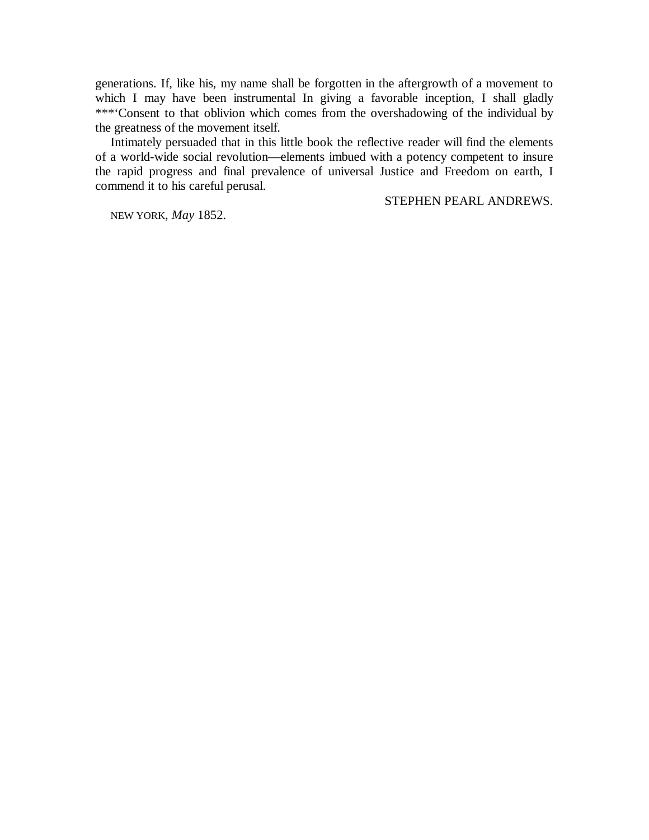generations. If, like his, my name shall be forgotten in the aftergrowth of a movement to which I may have been instrumental In giving a favorable inception, I shall gladly \*\*\*'Consent to that oblivion which comes from the overshadowing of the individual by the greatness of the movement itself.

Intimately persuaded that in this little book the reflective reader will find the elements of a world-wide social revolution—elements imbued with a potency competent to insure the rapid progress and final prevalence of universal Justice and Freedom on earth, I commend it to his careful perusal.

STEPHEN PEARL ANDREWS.

NEW YORK, *May* 1852.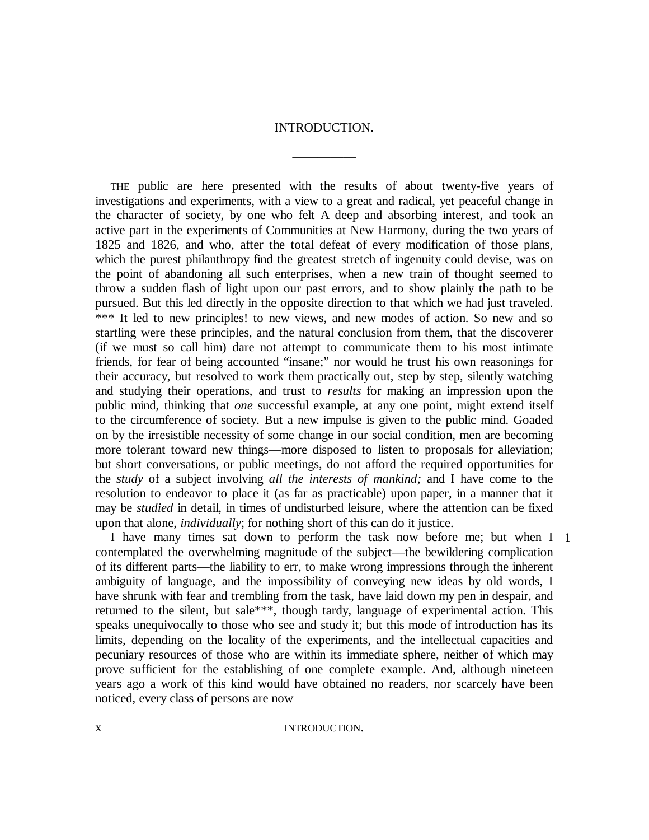#### INTRODUCTION.

—————

THE public are here presented with the results of about twenty-five years of investigations and experiments, with a view to a great and radical, yet peaceful change in the character of society, by one who felt A deep and absorbing interest, and took an active part in the experiments of Communities at New Harmony, during the two years of 1825 and 1826, and who, after the total defeat of every modification of those plans, which the purest philanthropy find the greatest stretch of ingenuity could devise, was on the point of abandoning all such enterprises, when a new train of thought seemed to throw a sudden flash of light upon our past errors, and to show plainly the path to be pursued. But this led directly in the opposite direction to that which we had just traveled. \*\*\* It led to new principles! to new views, and new modes of action. So new and so startling were these principles, and the natural conclusion from them, that the discoverer (if we must so call him) dare not attempt to communicate them to his most intimate friends, for fear of being accounted "insane;" nor would he trust his own reasonings for their accuracy, but resolved to work them practically out, step by step, silently watching and studying their operations, and trust to *results* for making an impression upon the public mind, thinking that *one* successful example, at any one point, might extend itself to the circumference of society. But a new impulse is given to the public mind. Goaded on by the irresistible necessity of some change in our social condition, men are becoming more tolerant toward new things—more disposed to listen to proposals for alleviation; but short conversations, or public meetings, do not afford the required opportunities for the *study* of a subject involving *all the interests of mankind;* and I have come to the resolution to endeavor to place it (as far as practicable) upon paper, in a manner that it may be *studied* in detail, in times of undisturbed leisure, where the attention can be fixed upon that alone, *individually*; for nothing short of this can do it justice.

I have many times sat down to perform the task now before me; but when I 1 contemplated the overwhelming magnitude of the subject—the bewildering complication of its different parts—the liability to err, to make wrong impressions through the inherent ambiguity of language, and the impossibility of conveying new ideas by old words, I have shrunk with fear and trembling from the task, have laid down my pen in despair, and returned to the silent, but sale\*\*\*, though tardy, language of experimental action. This speaks unequivocally to those who see and study it; but this mode of introduction has its limits, depending on the locality of the experiments, and the intellectual capacities and pecuniary resources of those who are within its immediate sphere, neither of which may prove sufficient for the establishing of one complete example. And, although nineteen years ago a work of this kind would have obtained no readers, nor scarcely have been noticed, every class of persons are now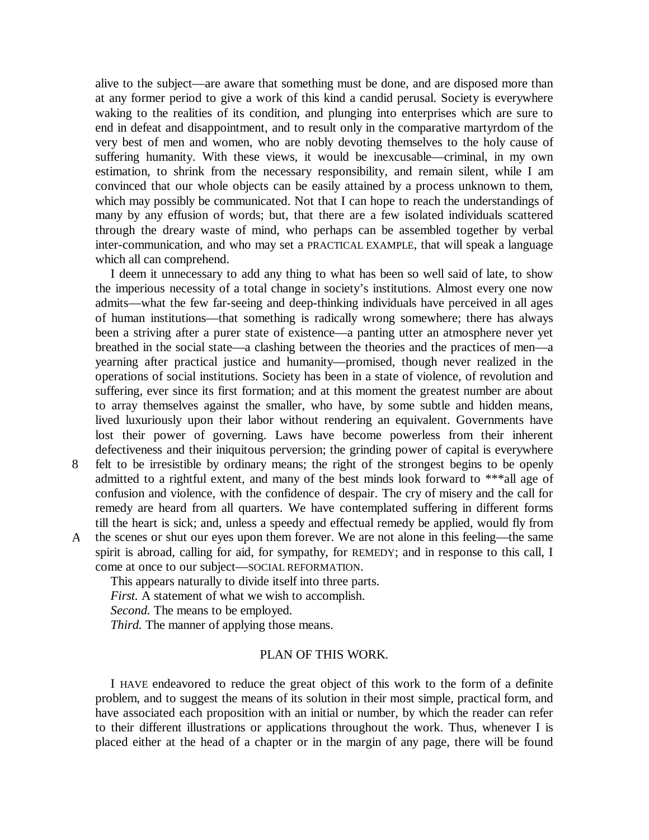alive to the subject—are aware that something must be done, and are disposed more than at any former period to give a work of this kind a candid perusal. Society is everywhere waking to the realities of its condition, and plunging into enterprises which are sure to end in defeat and disappointment, and to result only in the comparative martyrdom of the very best of men and women, who are nobly devoting themselves to the holy cause of suffering humanity. With these views, it would be inexcusable—criminal, in my own estimation, to shrink from the necessary responsibility, and remain silent, while I am convinced that our whole objects can be easily attained by a process unknown to them, which may possibly be communicated. Not that I can hope to reach the understandings of many by any effusion of words; but, that there are a few isolated individuals scattered through the dreary waste of mind, who perhaps can be assembled together by verbal inter-communication, and who may set a PRACTICAL EXAMPLE, that will speak a language which all can comprehend.

I deem it unnecessary to add any thing to what has been so well said of late, to show the imperious necessity of a total change in society's institutions. Almost every one now admits—what the few far-seeing and deep-thinking individuals have perceived in all ages of human institutions—that something is radically wrong somewhere; there has always been a striving after a purer state of existence—a panting utter an atmosphere never yet breathed in the social state—a clashing between the theories and the practices of men—a yearning after practical justice and humanity—promised, though never realized in the operations of social institutions. Society has been in a state of violence, of revolution and suffering, ever since its first formation; and at this moment the greatest number are about to array themselves against the smaller, who have, by some subtle and hidden means, lived luxuriously upon their labor without rendering an equivalent. Governments have lost their power of governing. Laws have become powerless from their inherent defectiveness and their iniquitous perversion; the grinding power of capital is everywhere

- felt to be irresistible by ordinary means; the right of the strongest begins to be openly admitted to a rightful extent, and many of the best minds look forward to \*\*\*all age of confusion and violence, with the confidence of despair. The cry of misery and the call for remedy are heard from all quarters. We have contemplated suffering in different forms till the heart is sick; and, unless a speedy and effectual remedy be applied, would fly from 8
- the scenes or shut our eyes upon them forever. We are not alone in this feeling—the same spirit is abroad, calling for aid, for sympathy, for REMEDY; and in response to this call, I come at once to our subject—SOCIAL REFORMATION. A

This appears naturally to divide itself into three parts. *First.* A statement of what we wish to accomplish. *Second.* The means to be employed. *Third.* The manner of applying those means.

# PLAN OF THIS WORK.

I HAVE endeavored to reduce the great object of this work to the form of a definite problem, and to suggest the means of its solution in their most simple, practical form, and have associated each proposition with an initial or number, by which the reader can refer to their different illustrations or applications throughout the work. Thus, whenever I is placed either at the head of a chapter or in the margin of any page, there will be found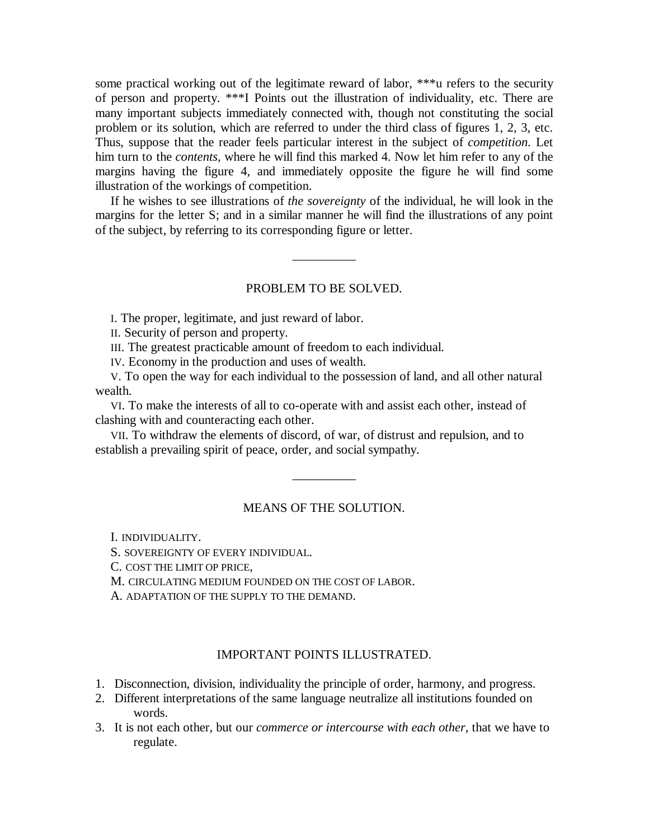some practical working out of the legitimate reward of labor, \*\*\*u refers to the security of person and property. \*\*\*I Points out the illustration of individuality, etc. There are many important subjects immediately connected with, though not constituting the social problem or its solution, which are referred to under the third class of figures 1, 2, 3, etc. Thus, suppose that the reader feels particular interest in the subject of *competition.* Let him turn to the *contents,* where he will find this marked 4. Now let him refer to any of the margins having the figure 4, and immediately opposite the figure he will find some illustration of the workings of competition.

If he wishes to see illustrations of *the sovereignty* of the individual, he will look in the margins for the letter S; and in a similar manner he will find the illustrations of any point of the subject, by referring to its corresponding figure or letter.

#### PROBLEM TO BE SOLVED.

—————

I. The proper, legitimate, and just reward of labor.

II. Security of person and property.

III. The greatest practicable amount of freedom to each individual.

IV. Economy in the production and uses of wealth.

V. To open the way for each individual to the possession of land, and all other natural wealth.

VI. To make the interests of all to co-operate with and assist each other, instead of clashing with and counteracting each other.

VII. To withdraw the elements of discord, of war, of distrust and repulsion, and to establish a prevailing spirit of peace, order, and social sympathy.

#### MEANS OF THE SOLUTION.

—————

I. INDIVIDUALITY.

S. SOVEREIGNTY OF EVERY INDIVIDUAL.

C. COST THE LIMIT OP PRICE,

M. CIRCULATING MEDIUM FOUNDED ON THE COST OF LABOR.

A. ADAPTATION OF THE SUPPLY TO THE DEMAND.

#### IMPORTANT POINTS ILLUSTRATED.

- 1. Disconnection, division, individuality the principle of order, harmony, and progress.
- 2. Different interpretations of the same language neutralize all institutions founded on words.
- 3. It is not each other, but our *commerce or intercourse with each other,* that we have to regulate.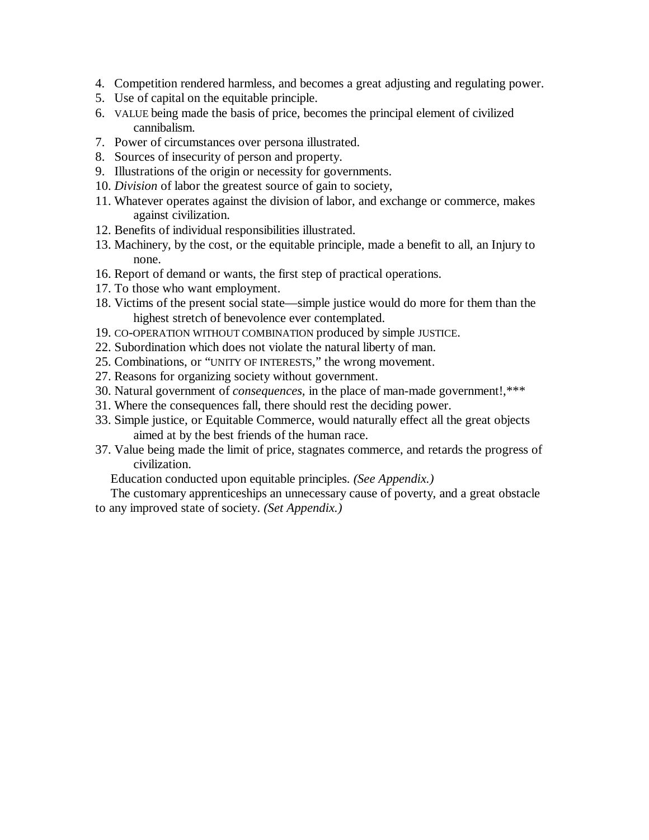- 4. Competition rendered harmless, and becomes a great adjusting and regulating power.
- 5. Use of capital on the equitable principle.
- 6. VALUE being made the basis of price, becomes the principal element of civilized cannibalism.
- 7. Power of circumstances over persona illustrated.
- 8. Sources of insecurity of person and property.
- 9. Illustrations of the origin or necessity for governments.
- 10. *Division* of labor the greatest source of gain to society,
- 11. Whatever operates against the division of labor, and exchange or commerce, makes against civilization.
- 12. Benefits of individual responsibilities illustrated.
- 13. Machinery, by the cost, or the equitable principle, made a benefit to all, an Injury to none.
- 16. Report of demand or wants, the first step of practical operations.
- 17. To those who want employment.
- 18. Victims of the present social state—simple justice would do more for them than the highest stretch of benevolence ever contemplated.
- 19. CO-OPERATION WITHOUT COMBINATION produced by simple JUSTICE.
- 22. Subordination which does not violate the natural liberty of man.
- 25. Combinations, or "UNITY OF INTERESTS," the wrong movement.
- 27. Reasons for organizing society without government.
- 30. Natural government of *consequences,* in the place of man-made government!,\*\*\*
- 31. Where the consequences fall, there should rest the deciding power.
- 33. Simple justice, or Equitable Commerce, would naturally effect all the great objects aimed at by the best friends of the human race.
- 37. Value being made the limit of price, stagnates commerce, and retards the progress of civilization.

Education conducted upon equitable principles. *(See Appendix.)* 

The customary apprenticeships an unnecessary cause of poverty, and a great obstacle to any improved state of society. *(Set Appendix.)*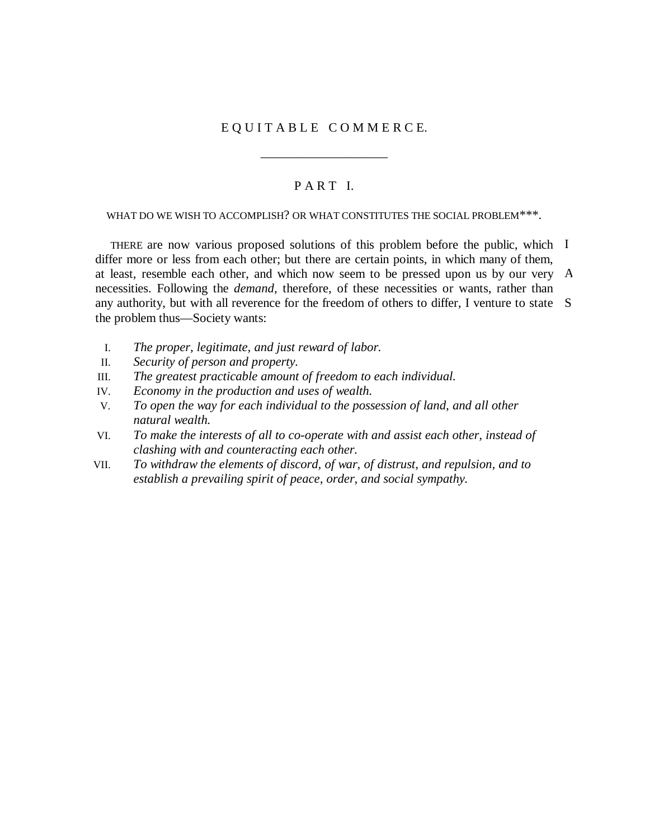# EQUITABLE COMMERCE.

——————————

#### PART I.

#### WHAT DO WE WISH TO ACCOMPLISH? OR WHAT CONSTITUTES THE SOCIAL PROBLEM\*\*\*.

THERE are now various proposed solutions of this problem before the public, which I differ more or less from each other; but there are certain points, in which many of them, at least, resemble each other, and which now seem to be pressed upon us by our very A necessities. Following the *demand,* therefore, of these necessities or wants, rather than any authority, but with all reverence for the freedom of others to differ, I venture to state Sthe problem thus—Society wants:

- I. *The proper, legitimate, and just reward of labor.*
- II. *Security of person and property.*
- III. *The greatest practicable amount of freedom to each individual.*
- IV. *Economy in the production and uses of wealth.*
- V. *To open the way for each individual to the possession of land, and all other natural wealth.*
- VI. *To make the interests of all to co-operate with and assist each other, instead of clashing with and counteracting each other.*
- VII. *To withdraw the elements of discord, of war, of distrust, and repulsion, and to establish a prevailing spirit of peace, order, and social sympathy.*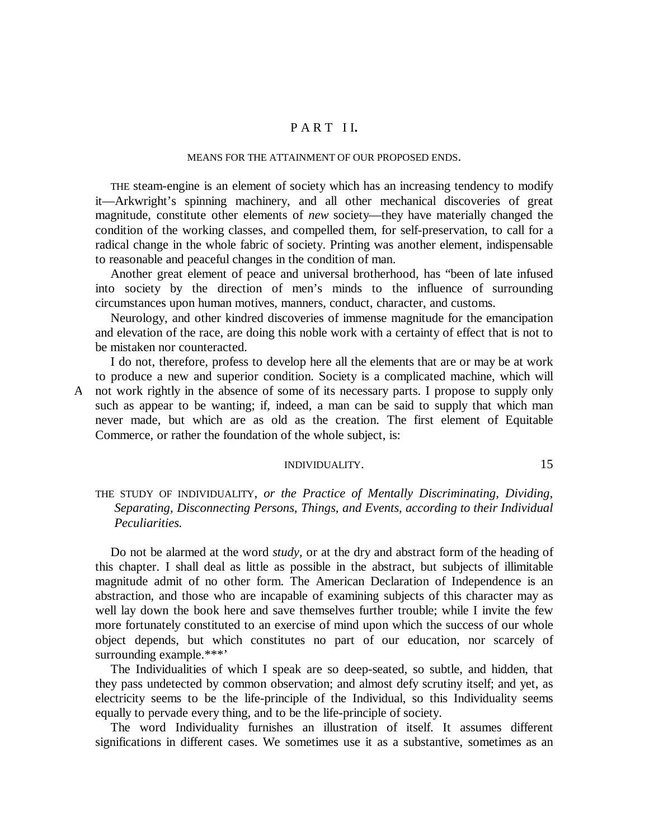### P A R T I I**.**

#### MEANS FOR THE ATTAINMENT OF OUR PROPOSED ENDS.

THE steam-engine is an element of society which has an increasing tendency to modify it—Arkwright's spinning machinery, and all other mechanical discoveries of great magnitude, constitute other elements of *new* society—they have materially changed the condition of the working classes, and compelled them, for self-preservation, to call for a radical change in the whole fabric of society. Printing was another element, indispensable to reasonable and peaceful changes in the condition of man.

Another great element of peace and universal brotherhood, has "been of late infused into society by the direction of men's minds to the influence of surrounding circumstances upon human motives, manners, conduct, character, and customs.

Neurology, and other kindred discoveries of immense magnitude for the emancipation and elevation of the race, are doing this noble work with a certainty of effect that is not to be mistaken nor counteracted.

I do not, therefore, profess to develop here all the elements that are or may be at work to produce a new and superior condition. Society is a complicated machine, which will not work rightly in the absence of some of its necessary parts. I propose to supply only Asuch as appear to be wanting; if, indeed, a man can be said to supply that which man never made, but which are as old as the creation. The first element of Equitable Commerce, or rather the foundation of the whole subject, is:

#### INDIVIDUALITY. 15

# THE STUDY OF INDIVIDUALITY, *or the Practice of Mentally Discriminating, Dividing, Separating, Disconnecting Persons, Things, and Events, according to their Individual Peculiarities.*

Do not be alarmed at the word *study,* or at the dry and abstract form of the heading of this chapter. I shall deal as little as possible in the abstract, but subjects of illimitable magnitude admit of no other form. The American Declaration of Independence is an abstraction, and those who are incapable of examining subjects of this character may as well lay down the book here and save themselves further trouble; while I invite the few more fortunately constituted to an exercise of mind upon which the success of our whole object depends, but which constitutes no part of our education, nor scarcely of surrounding example.\*\*\*'

The Individualities of which I speak are so deep-seated, so subtle, and hidden, that they pass undetected by common observation; and almost defy scrutiny itself; and yet, as electricity seems to be the life-principle of the Individual, so this Individuality seems equally to pervade every thing, and to be the life-principle of society.

The word Individuality furnishes an illustration of itself. It assumes different significations in different cases. We sometimes use it as a substantive, sometimes as an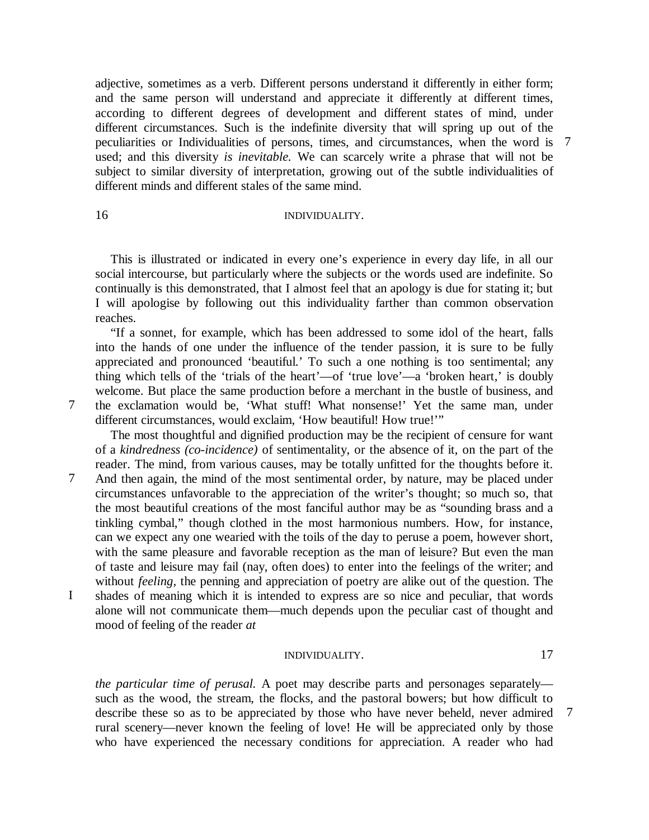adjective, sometimes as a verb. Different persons understand it differently in either form; and the same person will understand and appreciate it differently at different times, according to different degrees of development and different states of mind, under different circumstances. Such is the indefinite diversity that will spring up out of the peculiarities or Individualities of persons, times, and circumstances, when the word is 7 used; and this diversity *is inevitable.* We can scarcely write a phrase that will not be subject to similar diversity of interpretation, growing out of the subtle individualities of different minds and different stales of the same mind.

#### 16 INDIVIDUALITY.

This is illustrated or indicated in every one's experience in every day life, in all our social intercourse, but particularly where the subjects or the words used are indefinite. So continually is this demonstrated, that I almost feel that an apology is due for stating it; but I will apologise by following out this individuality farther than common observation reaches.

"If a sonnet, for example, which has been addressed to some idol of the heart, falls into the hands of one under the influence of the tender passion, it is sure to be fully appreciated and pronounced 'beautiful.' To such a one nothing is too sentimental; any thing which tells of the 'trials of the heart'—of 'true love'—a 'broken heart,' is doubly welcome. But place the same production before a merchant in the bustle of business, and the exclamation would be, 'What stuff! What nonsense!' Yet the same man, under different circumstances, would exclaim, 'How beautiful! How true!'"

The most thoughtful and dignified production may be the recipient of censure for want of a *kindredness (co-incidence)* of sentimentality, or the absence of it, on the part of the reader. The mind, from various causes, may be totally unfitted for the thoughts before it. And then again, the mind of the most sentimental order, by nature, may be placed under circumstances unfavorable to the appreciation of the writer's thought; so much so, that the most beautiful creations of the most fanciful author may be as "sounding brass and a tinkling cymbal," though clothed in the most harmonious numbers. How, for instance, can we expect any one wearied with the toils of the day to peruse a poem, however short, with the same pleasure and favorable reception as the man of leisure? But even the man of taste and leisure may fail (nay, often does) to enter into the feelings of the writer; and without *feeling,* the penning and appreciation of poetry are alike out of the question. The shades of meaning which it is intended to express are so nice and peculiar, that words alone will not communicate them—much depends upon the peculiar cast of thought and mood of feeling of the reader *at*  7

I

7

# INDIVIDUALITY. 17

*the particular time of perusal.* A poet may describe parts and personages separately such as the wood, the stream, the flocks, and the pastoral bowers; but how difficult to describe these so as to be appreciated by those who have never beheld, never admired 7rural scenery—never known the feeling of love! He will be appreciated only by those who have experienced the necessary conditions for appreciation. A reader who had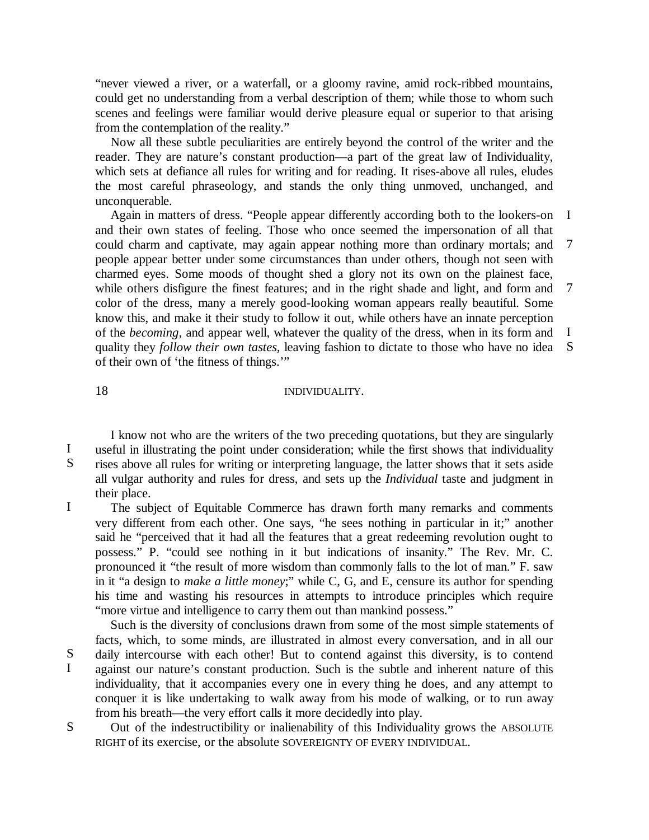"never viewed a river, or a waterfall, or a gloomy ravine, amid rock-ribbed mountains, could get no understanding from a verbal description of them; while those to whom such scenes and feelings were familiar would derive pleasure equal or superior to that arising from the contemplation of the reality."

Now all these subtle peculiarities are entirely beyond the control of the writer and the reader. They are nature's constant production—a part of the great law of Individuality, which sets at defiance all rules for writing and for reading. It rises-above all rules, eludes the most careful phraseology, and stands the only thing unmoved, unchanged, and unconquerable.

Again in matters of dress. "People appear differently according both to the lookers-on and their own states of feeling. Those who once seemed the impersonation of all that could charm and captivate, may again appear nothing more than ordinary mortals; and people appear better under some circumstances than under others, though not seen with charmed eyes. Some moods of thought shed a glory not its own on the plainest face, while others disfigure the finest features; and in the right shade and light, and form and color of the dress, many a merely good-looking woman appears really beautiful. Some know this, and make it their study to follow it out, while others have an innate perception of the *becoming,* and appear well, whatever the quality of the dress, when in its form and quality they *follow their own tastes,* leaving fashion to dictate to those who have no idea S of their own of 'the fitness of things.'" I 7 7 I

# 18 INDIVIDUALITY.

I know not who are the writers of the two preceding quotations, but they are singularly useful in illustrating the point under consideration; while the first shows that individuality rises above all rules for writing or interpreting language, the latter shows that it sets aside all vulgar authority and rules for dress, and sets up the *Individual* taste and judgment in their place. I S

The subject of Equitable Commerce has drawn forth many remarks and comments very different from each other. One says, "he sees nothing in particular in it;" another said he "perceived that it had all the features that a great redeeming revolution ought to possess." P. "could see nothing in it but indications of insanity." The Rev. Mr. C. pronounced it "the result of more wisdom than commonly falls to the lot of man." F. saw in it "a design to *make a little money*;" while C, G, and E, censure its author for spending his time and wasting his resources in attempts to introduce principles which require "more virtue and intelligence to carry them out than mankind possess." I

Such is the diversity of conclusions drawn from some of the most simple statements of facts, which, to some minds, are illustrated in almost every conversation, and in all our daily intercourse with each other! But to contend against this diversity, is to contend against our nature's constant production. Such is the subtle and inherent nature of this individuality, that it accompanies every one in every thing he does, and any attempt to conquer it is like undertaking to walk away from his mode of walking, or to run away from his breath—the very effort calls it more decidedly into play. S I

Out of the indestructibility or inalienability of this Individuality grows the ABSOLUTE RIGHT of its exercise, or the absolute SOVEREIGNTY OF EVERY INDIVIDUAL. S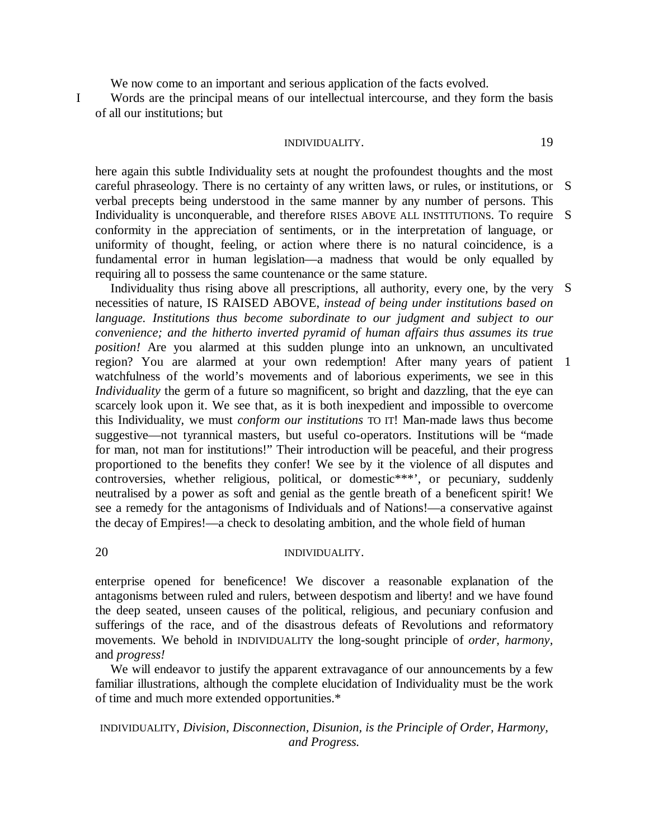We now come to an important and serious application of the facts evolved.

Words are the principal means of our intellectual intercourse, and they form the basis of all our institutions; but

# INDIVIDUALITY. 19

here again this subtle Individuality sets at nought the profoundest thoughts and the most careful phraseology. There is no certainty of any written laws, or rules, or institutions, or S verbal precepts being understood in the same manner by any number of persons. This Individuality is unconquerable, and therefore RISES ABOVE ALL INSTITUTIONS. To require S conformity in the appreciation of sentiments, or in the interpretation of language, or uniformity of thought, feeling, or action where there is no natural coincidence, is a fundamental error in human legislation—a madness that would be only equalled by requiring all to possess the same countenance or the same stature.

Individuality thus rising above all prescriptions, all authority, every one, by the very S necessities of nature, IS RAISED ABOVE, *instead of being under institutions based on language. Institutions thus become subordinate to our judgment and subject to our convenience; and the hitherto inverted pyramid of human affairs thus assumes its true position!* Are you alarmed at this sudden plunge into an unknown, an uncultivated region? You are alarmed at your own redemption! After many years of patient 1watchfulness of the world's movements and of laborious experiments, we see in this *Individuality* the germ of a future so magnificent, so bright and dazzling, that the eye can scarcely look upon it. We see that, as it is both inexpedient and impossible to overcome this Individuality, we must *conform our institutions* TO IT! Man-made laws thus become suggestive—not tyrannical masters, but useful co-operators. Institutions will be "made for man, not man for institutions!" Their introduction will be peaceful, and their progress proportioned to the benefits they confer! We see by it the violence of all disputes and controversies, whether religious, political, or domestic\*\*\*', or pecuniary, suddenly neutralised by a power as soft and genial as the gentle breath of a beneficent spirit! We see a remedy for the antagonisms of Individuals and of Nations!—a conservative against the decay of Empires!—a check to desolating ambition, and the whole field of human

### 20 INDIVIDUALITY

enterprise opened for beneficence! We discover a reasonable explanation of the antagonisms between ruled and rulers, between despotism and liberty! and we have found the deep seated, unseen causes of the political, religious, and pecuniary confusion and sufferings of the race, and of the disastrous defeats of Revolutions and reformatory movements. We behold in INDIVIDUALITY the long-sought principle of *order, harmony,*  and *progress!*

We will endeavor to justify the apparent extravagance of our announcements by a few familiar illustrations, although the complete elucidation of Individuality must be the work of time and much more extended opportunities.\*

### INDIVIDUALITY, *Division, Disconnection, Disunion, is the Principle of Order, Harmony, and Progress.*

I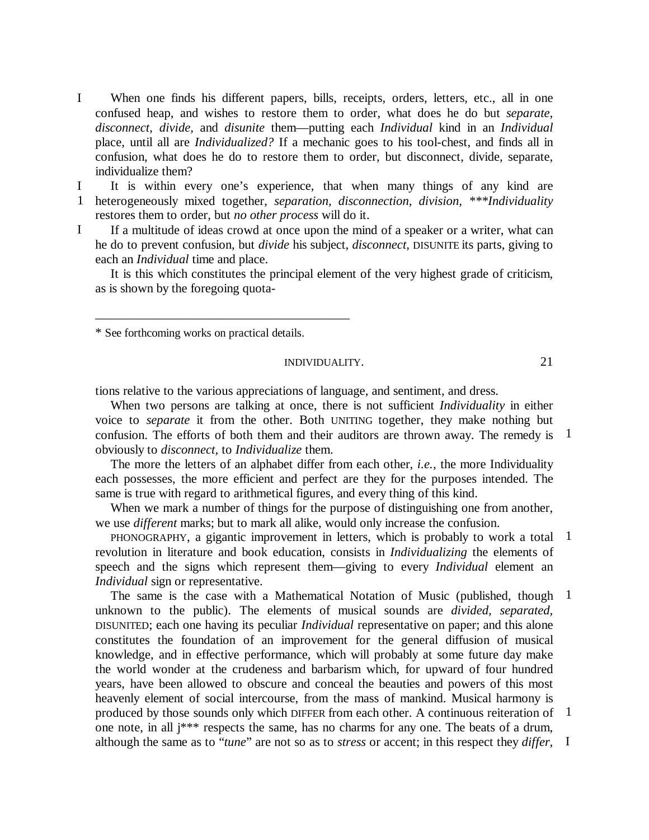- When one finds his different papers, bills, receipts, orders, letters, etc., all in one confused heap, and wishes to restore them to order, what does he do but *separate, disconnect, divide,* and *disunite* them—putting each *Individual* kind in an *Individual*  place, until all are *Individualized?* If a mechanic goes to his tool-chest, and finds all in confusion, what does he do to restore them to order, but disconnect, divide, separate, individualize them? I
- It is within every one's experience, that when many things of any kind are heterogeneously mixed together, *separation, disconnection, division, \*\*\*Individuality*  1 restores them to order, but *no other process* will do it. I
- If a multitude of ideas crowd at once upon the mind of a speaker or a writer, what can he do to prevent confusion, but *divide* his subject, *disconnect,* DISUNITE its parts, giving to each an *Individual* time and place. I

It is this which constitutes the principal element of the very highest grade of criticism, as is shown by the foregoing quota-

\* See forthcoming works on practical details.

————————————————————

#### INDIVIDUALITY. 21

tions relative to the various appreciations of language, and sentiment, and dress.

When two persons are talking at once, there is not sufficient *Individuality* in either voice to *separate* it from the other. Both UNITING together, they make nothing but confusion. The efforts of both them and their auditors are thrown away. The remedy is obviously to *disconnect,* to *Individualize* them. 1

The more the letters of an alphabet differ from each other, *i.e.,* the more Individuality each possesses, the more efficient and perfect are they for the purposes intended. The same is true with regard to arithmetical figures, and every thing of this kind.

When we mark a number of things for the purpose of distinguishing one from another, we use *different* marks; but to mark all alike, would only increase the confusion.

PHONOGRAPHY, a gigantic improvement in letters, which is probably to work a total revolution in literature and book education, consists in *Individualizing* the elements of speech and the signs which represent them—giving to every *Individual* element an *Individual* sign or representative. 1

The same is the case with a Mathematical Notation of Music (published, though 1 unknown to the public). The elements of musical sounds are *divided, separated,*  DISUNITED; each one having its peculiar *Individual* representative on paper; and this alone constitutes the foundation of an improvement for the general diffusion of musical knowledge, and in effective performance, which will probably at some future day make the world wonder at the crudeness and barbarism which, for upward of four hundred years, have been allowed to obscure and conceal the beauties and powers of this most heavenly element of social intercourse, from the mass of mankind. Musical harmony is produced by those sounds only which DIFFER from each other. A continuous reiteration of 1 one note, in all j\*\*\* respects the same, has no charms for any one. The beats of a drum, although the same as to "*tune*" are not so as to *stress* or accent; in this respect they *differ,*  I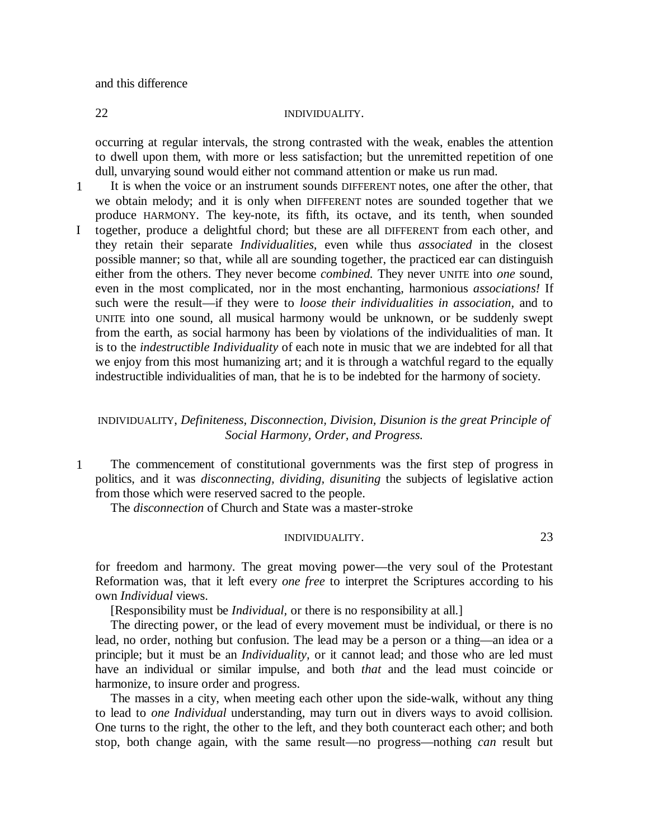# 22 INDIVIDUALITY

occurring at regular intervals, the strong contrasted with the weak, enables the attention to dwell upon them, with more or less satisfaction; but the unremitted repetition of one dull, unvarying sound would either not command attention or make us run mad.

It is when the voice or an instrument sounds DIFFERENT notes, one after the other, that we obtain melody; and it is only when DIFFERENT notes are sounded together that we produce HARMONY. The key-note, its fifth, its octave, and its tenth, when sounded I together, produce a delightful chord; but these are all DIFFERENT from each other, and they retain their separate *Individualities,* even while thus *associated* in the closest possible manner; so that, while all are sounding together, the practiced ear can distinguish either from the others. They never become *combined.* They never UNITE into *one* sound, even in the most complicated, nor in the most enchanting, harmonious *associations!* If such were the result—if they were to *loose their individualities in association,* and to UNITE into one sound, all musical harmony would be unknown, or be suddenly swept from the earth, as social harmony has been by violations of the individualities of man. It is to the *indestructible Individuality* of each note in music that we are indebted for all that we enjoy from this most humanizing art; and it is through a watchful regard to the equally indestructible individualities of man, that he is to be indebted for the harmony of society. 1

# INDIVIDUALITY, *Definiteness, Disconnection, Division, Disunion is the great Principle of Social Harmony, Order, and Progress.*

The commencement of constitutional governments was the first step of progress in politics, and it was *disconnecting, dividing, disuniting* the subjects of legislative action from those which were reserved sacred to the people. 1

The *disconnection* of Church and State was a master-stroke

# INDIVIDUALITY. 23

for freedom and harmony. The great moving power—the very soul of the Protestant Reformation was, that it left every *one free* to interpret the Scriptures according to his own *Individual* views.

[Responsibility must be *Individual,* or there is no responsibility at all.]

The directing power, or the lead of every movement must be individual, or there is no lead, no order, nothing but confusion. The lead may be a person or a thing—an idea or a principle; but it must be an *Individuality,* or it cannot lead; and those who are led must have an individual or similar impulse, and both *that* and the lead must coincide or harmonize, to insure order and progress.

The masses in a city, when meeting each other upon the side-walk, without any thing to lead to *one Individual* understanding, may turn out in divers ways to avoid collision. One turns to the right, the other to the left, and they both counteract each other; and both stop, both change again, with the same result—no progress—nothing *can* result but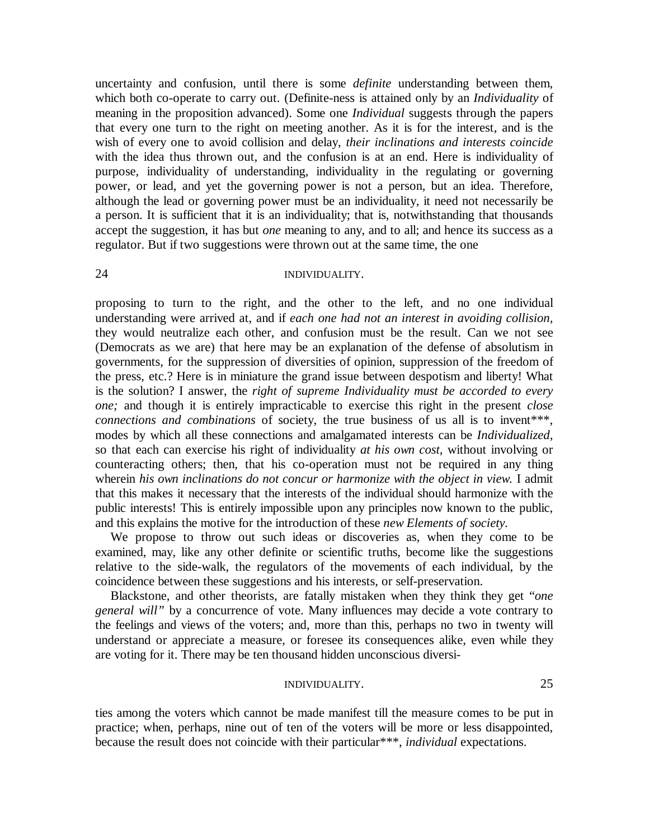uncertainty and confusion, until there is some *definite* understanding between them, which both co-operate to carry out. (Definite-ness is attained only by an *Individuality* of meaning in the proposition advanced). Some one *Individual* suggests through the papers that every one turn to the right on meeting another. As it is for the interest, and is the wish of every one to avoid collision and delay, *their inclinations and interests coincide*  with the idea thus thrown out, and the confusion is at an end. Here is individuality of purpose, individuality of understanding, individuality in the regulating or governing power, or lead, and yet the governing power is not a person, but an idea. Therefore, although the lead or governing power must be an individuality, it need not necessarily be a person. It is sufficient that it is an individuality; that is, notwithstanding that thousands accept the suggestion, it has but *one* meaning to any, and to all; and hence its success as a regulator. But if two suggestions were thrown out at the same time, the one

# 24 INDIVIDUALITY.

proposing to turn to the right, and the other to the left, and no one individual understanding were arrived at, and if *each one had not an interest in avoiding collision,*  they would neutralize each other, and confusion must be the result. Can we not see (Democrats as we are) that here may be an explanation of the defense of absolutism in governments, for the suppression of diversities of opinion, suppression of the freedom of the press, etc.? Here is in miniature the grand issue between despotism and liberty! What is the solution? I answer, the *right of supreme Individuality must be accorded to every one;* and though it is entirely impracticable to exercise this right in the present *close connections and combinations* of society, the true business of us all is to invent\*\*\*, modes by which all these connections and amalgamated interests can be *Individualized,*  so that each can exercise his right of individuality *at his own cost,* without involving or counteracting others; then, that his co-operation must not be required in any thing wherein *his own inclinations do not concur or harmonize with the object in view.* I admit that this makes it necessary that the interests of the individual should harmonize with the public interests! This is entirely impossible upon any principles now known to the public, and this explains the motive for the introduction of these *new Elements of society.*

We propose to throw out such ideas or discoveries as, when they come to be examined, may, like any other definite or scientific truths, become like the suggestions relative to the side-walk, the regulators of the movements of each individual, by the coincidence between these suggestions and his interests, or self-preservation.

Blackstone, and other theorists, are fatally mistaken when they think they get "*one general will"* by a concurrence of vote. Many influences may decide a vote contrary to the feelings and views of the voters; and, more than this, perhaps no two in twenty will understand or appreciate a measure, or foresee its consequences alike, even while they are voting for it. There may be ten thousand hidden unconscious diversi-

#### INDIVIDUALITY. 25

ties among the voters which cannot be made manifest till the measure comes to be put in practice; when, perhaps, nine out of ten of the voters will be more or less disappointed, because the result does not coincide with their particular\*\*\*, *individual* expectations.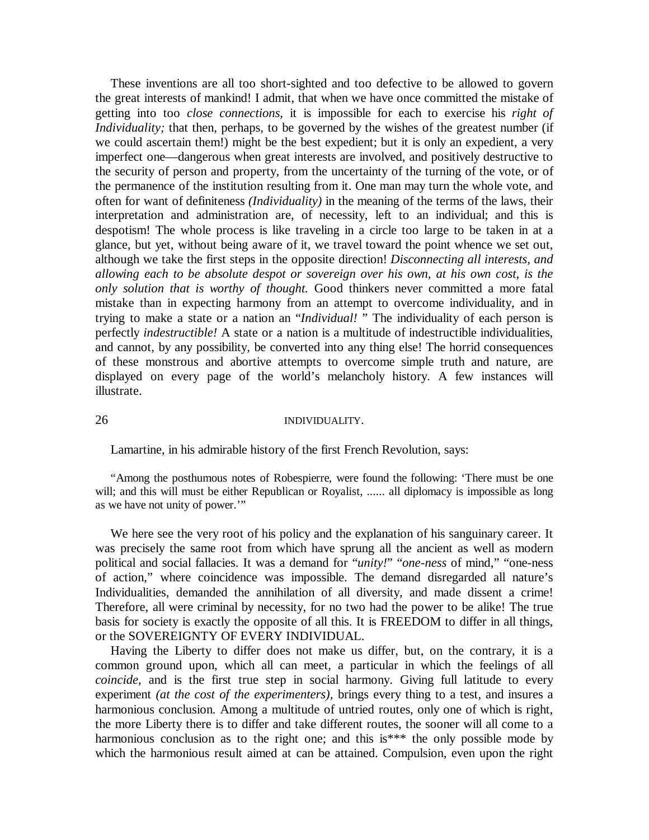These inventions are all too short-sighted and too defective to be allowed to govern the great interests of mankind! I admit, that when we have once committed the mistake of getting into too *close connections,* it is impossible for each to exercise his *right of Individuality*; that then, perhaps, to be governed by the wishes of the greatest number (if we could ascertain them!) might be the best expedient; but it is only an expedient, a very imperfect one—dangerous when great interests are involved, and positively destructive to the security of person and property, from the uncertainty of the turning of the vote, or of the permanence of the institution resulting from it. One man may turn the whole vote, and often for want of definiteness *(Individuality)* in the meaning of the terms of the laws, their interpretation and administration are, of necessity, left to an individual; and this is despotism! The whole process is like traveling in a circle too large to be taken in at a glance, but yet, without being aware of it, we travel toward the point whence we set out, although we take the first steps in the opposite direction! *Disconnecting all interests, and allowing each to be absolute despot or sovereign over his own, at his own cost, is the only solution that is worthy of thought.* Good thinkers never committed a more fatal mistake than in expecting harmony from an attempt to overcome individuality, and in trying to make a state or a nation an "*Individual!* " The individuality of each person is perfectly *indestructible!* A state or a nation is a multitude of indestructible individualities, and cannot, by any possibility, be converted into any thing else! The horrid consequences of these monstrous and abortive attempts to overcome simple truth and nature, are displayed on every page of the world's melancholy history. A few instances will illustrate.

#### 26 INDIVIDUALITY.

Lamartine, in his admirable history of the first French Revolution, says:

"Among the posthumous notes of Robespierre, were found the following: 'There must be one will; and this will must be either Republican or Royalist, ...... all diplomacy is impossible as long as we have not unity of power.'"

We here see the very root of his policy and the explanation of his sanguinary career. It was precisely the same root from which have sprung all the ancient as well as modern political and social fallacies. It was a demand for "*unity!*" "*one-ness* of mind," "one-ness of action," where coincidence was impossible. The demand disregarded all nature's Individualities, demanded the annihilation of all diversity, and made dissent a crime! Therefore, all were criminal by necessity, for no two had the power to be alike! The true basis for society is exactly the opposite of all this. It is FREEDOM to differ in all things, or the SOVEREIGNTY OF EVERY INDIVIDUAL.

Having the Liberty to differ does not make us differ, but, on the contrary, it is a common ground upon, which all can meet, a particular in which the feelings of all *coincide,* and is the first true step in social harmony. Giving full latitude to every experiment *(at the cost of the experimenters),* brings every thing to a test, and insures a harmonious conclusion. Among a multitude of untried routes, only one of which is right, the more Liberty there is to differ and take different routes, the sooner will all come to a harmonious conclusion as to the right one; and this is\*\*\* the only possible mode by which the harmonious result aimed at can be attained. Compulsion, even upon the right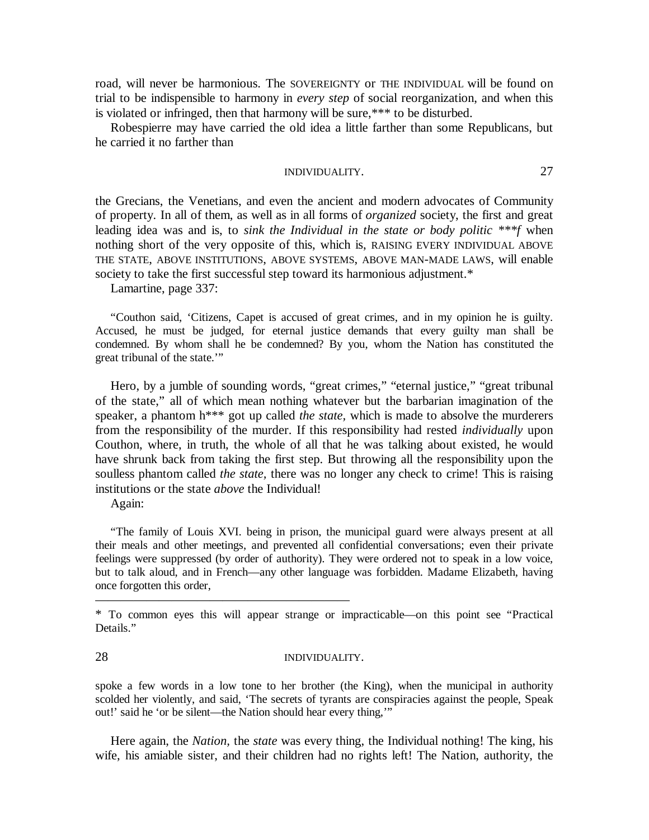road, will never be harmonious. The SOVEREIGNTY or THE INDIVIDUAL will be found on trial to be indispensible to harmony in *every step* of social reorganization, and when this is violated or infringed, then that harmony will be sure,\*\*\* to be disturbed.

Robespierre may have carried the old idea a little farther than some Republicans, but he carried it no farther than

# INDIVIDUALITY. 27

the Grecians, the Venetians, and even the ancient and modern advocates of Community of property. In all of them, as well as in all forms of *organized* society, the first and great leading idea was and is, to *sink the Individual in the state or body politic \*\*\*f* when nothing short of the very opposite of this, which is, RAISING EVERY INDIVIDUAL ABOVE THE STATE, ABOVE INSTITUTIONS, ABOVE SYSTEMS, ABOVE MAN-MADE LAWS, will enable society to take the first successful step toward its harmonious adjustment.\*

Lamartine, page 337:

"Couthon said, 'Citizens, Capet is accused of great crimes, and in my opinion he is guilty. Accused, he must be judged, for eternal justice demands that every guilty man shall be condemned. By whom shall he be condemned? By you, whom the Nation has constituted the great tribunal of the state.'"

Hero, by a jumble of sounding words, "great crimes," "eternal justice," "great tribunal of the state," all of which mean nothing whatever but the barbarian imagination of the speaker, a phantom h\*\*\* got up called *the state,* which is made to absolve the murderers from the responsibility of the murder. If this responsibility had rested *individually* upon Couthon, where, in truth, the whole of all that he was talking about existed, he would have shrunk back from taking the first step. But throwing all the responsibility upon the soulless phantom called *the state,* there was no longer any check to crime! This is raising institutions or the state *above* the Individual!

Again:

"The family of Louis XVI. being in prison, the municipal guard were always present at all their meals and other meetings, and prevented all confidential conversations; even their private feelings were suppressed (by order of authority). They were ordered not to speak in a low voice, but to talk aloud, and in French—any other language was forbidden. Madame Elizabeth, having once forgotten this order,

\* To common eyes this will appear strange or impracticable—on this point see "Practical Details."

————————————————————

28 INDIVIDUALITY.

spoke a few words in a low tone to her brother (the King), when the municipal in authority scolded her violently, and said, 'The secrets of tyrants are conspiracies against the people, Speak out!' said he 'or be silent—the Nation should hear every thing,'"

Here again, the *Nation,* the *state* was every thing, the Individual nothing! The king, his wife, his amiable sister, and their children had no rights left! The Nation, authority, the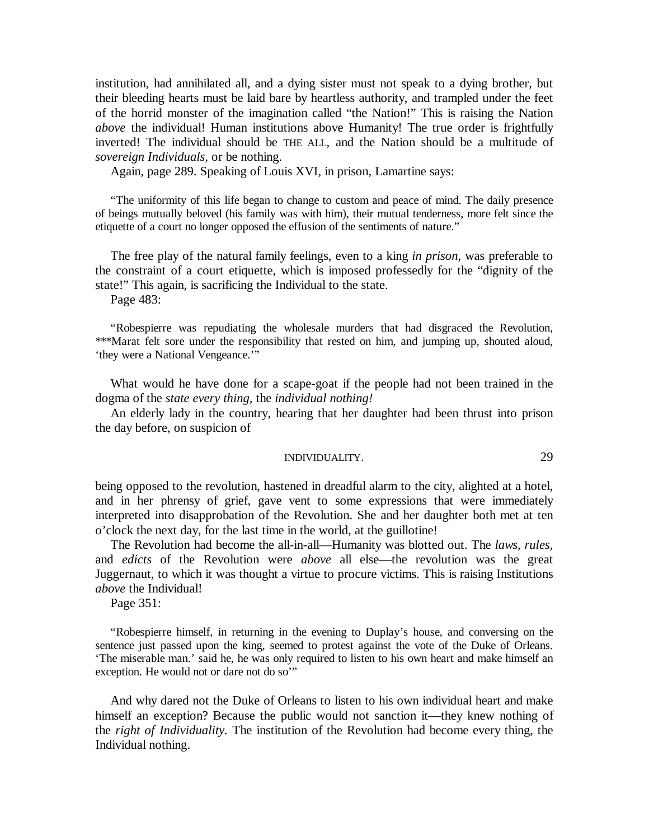institution, had annihilated all, and a dying sister must not speak to a dying brother, but their bleeding hearts must be laid bare by heartless authority, and trampled under the feet of the horrid monster of the imagination called "the Nation!" This is raising the Nation *above* the individual! Human institutions above Humanity! The true order is frightfully inverted! The individual should be THE ALL, and the Nation should be a multitude of *sovereign Individuals,* or be nothing.

Again, page 289. Speaking of Louis XVI, in prison, Lamartine says:

"The uniformity of this life began to change to custom and peace of mind. The daily presence of beings mutually beloved (his family was with him), their mutual tenderness, more felt since the etiquette of a court no longer opposed the effusion of the sentiments of nature."

The free play of the natural family feelings, even to a king *in prison,* was preferable to the constraint of a court etiquette, which is imposed professedly for the "dignity of the state!" This again, is sacrificing the Individual to the state.

Page 483:

"Robespierre was repudiating the wholesale murders that had disgraced the Revolution, \*\*\*Marat felt sore under the responsibility that rested on him, and jumping up, shouted aloud, 'they were a National Vengeance.'"

What would he have done for a scape-goat if the people had not been trained in the dogma of the *state every thing,* the *individual nothing!*

An elderly lady in the country, hearing that her daughter had been thrust into prison the day before, on suspicion of

### INDIVIDUALITY. 29

being opposed to the revolution, hastened in dreadful alarm to the city, alighted at a hotel, and in her phrensy of grief, gave vent to some expressions that were immediately interpreted into disapprobation of the Revolution. She and her daughter both met at ten o'clock the next day, for the last time in the world, at the guillotine!

The Revolution had become the all-in-all—Humanity was blotted out. The *laws, rules,*  and *edicts* of the Revolution were *above* all else—the revolution was the great Juggernaut, to which it was thought a virtue to procure victims. This is raising Institutions *above* the Individual!

Page 351:

"Robespierre himself, in returning in the evening to Duplay's house, and conversing on the sentence just passed upon the king, seemed to protest against the vote of the Duke of Orleans. 'The miserable man.' said he, he was only required to listen to his own heart and make himself an exception. He would not or dare not do so'"

And why dared not the Duke of Orleans to listen to his own individual heart and make himself an exception? Because the public would not sanction it—they knew nothing of the *right of Individuality.* The institution of the Revolution had become every thing, the Individual nothing.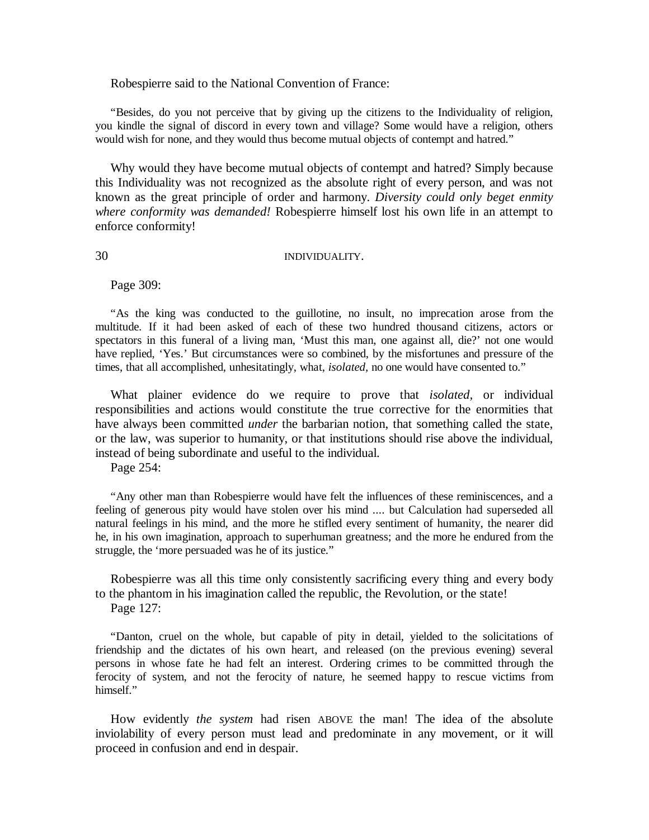Robespierre said to the National Convention of France:

"Besides, do you not perceive that by giving up the citizens to the Individuality of religion, you kindle the signal of discord in every town and village? Some would have a religion, others would wish for none, and they would thus become mutual objects of contempt and hatred."

Why would they have become mutual objects of contempt and hatred? Simply because this Individuality was not recognized as the absolute right of every person, and was not known as the great principle of order and harmony. *Diversity could only beget enmity where conformity was demanded!* Robespierre himself lost his own life in an attempt to enforce conformity!

30 INDIVIDUALITY.

Page 309:

"As the king was conducted to the guillotine, no insult, no imprecation arose from the multitude. If it had been asked of each of these two hundred thousand citizens, actors or spectators in this funeral of a living man, 'Must this man, one against all, die?' not one would have replied, 'Yes.' But circumstances were so combined, by the misfortunes and pressure of the times, that all accomplished, unhesitatingly, what, *isolated,* no one would have consented to."

What plainer evidence do we require to prove that *isolated,* or individual responsibilities and actions would constitute the true corrective for the enormities that have always been committed *under* the barbarian notion, that something called the state, or the law, was superior to humanity, or that institutions should rise above the individual, instead of being subordinate and useful to the individual.

Page 254:

"Any other man than Robespierre would have felt the influences of these reminiscences, and a feeling of generous pity would have stolen over his mind .... but Calculation had superseded all natural feelings in his mind, and the more he stifled every sentiment of humanity, the nearer did he, in his own imagination, approach to superhuman greatness; and the more he endured from the struggle, the 'more persuaded was he of its justice."

Robespierre was all this time only consistently sacrificing every thing and every body to the phantom in his imagination called the republic, the Revolution, or the state! Page 127:

"Danton, cruel on the whole, but capable of pity in detail, yielded to the solicitations of friendship and the dictates of his own heart, and released (on the previous evening) several persons in whose fate he had felt an interest. Ordering crimes to be committed through the ferocity of system, and not the ferocity of nature, he seemed happy to rescue victims from himself."

How evidently *the system* had risen ABOVE the man! The idea of the absolute inviolability of every person must lead and predominate in any movement, or it will proceed in confusion and end in despair.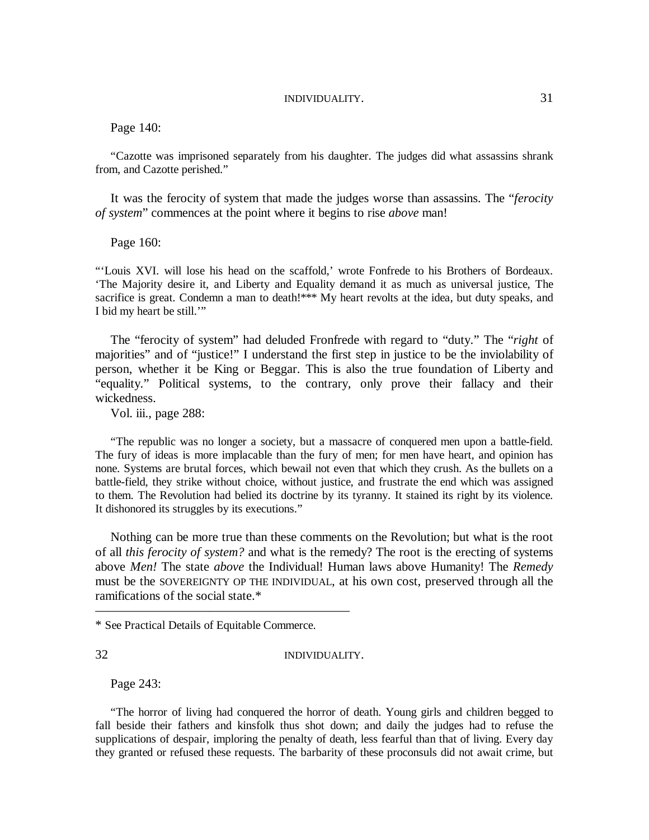#### INDIVIDUALITY. 31

Page 140:

"Cazotte was imprisoned separately from his daughter. The judges did what assassins shrank from, and Cazotte perished."

It was the ferocity of system that made the judges worse than assassins. The "*ferocity of system*" commences at the point where it begins to rise *above* man!

Page 160:

"'Louis XVI. will lose his head on the scaffold,' wrote Fonfrede to his Brothers of Bordeaux. 'The Majority desire it, and Liberty and Equality demand it as much as universal justice, The sacrifice is great. Condemn a man to death!\*\*\* My heart revolts at the idea, but duty speaks, and I bid my heart be still.'"

The "ferocity of system" had deluded Fronfrede with regard to "duty." The "*right* of majorities" and of "justice!" I understand the first step in justice to be the inviolability of person, whether it be King or Beggar. This is also the true foundation of Liberty and "equality." Political systems, to the contrary, only prove their fallacy and their wickedness.

Vol. iii., page 288:

"The republic was no longer a society, but a massacre of conquered men upon a battle-field. The fury of ideas is more implacable than the fury of men; for men have heart, and opinion has none. Systems are brutal forces, which bewail not even that which they crush. As the bullets on a battle-field, they strike without choice, without justice, and frustrate the end which was assigned to them. The Revolution had belied its doctrine by its tyranny. It stained its right by its violence. It dishonored its struggles by its executions."

Nothing can be more true than these comments on the Revolution; but what is the root of all *this ferocity of system?* and what is the remedy? The root is the erecting of systems above *Men!* The state *above* the Individual! Human laws above Humanity! The *Remedy*  must be the SOVEREIGNTY OP THE INDIVIDUAL, at his own cost, preserved through all the ramifications of the social state.\*

\* See Practical Details of Equitable Commerce.

————————————————————

### 32 INDIVIDUALITY.

Page 243:

"The horror of living had conquered the horror of death. Young girls and children begged to fall beside their fathers and kinsfolk thus shot down; and daily the judges had to refuse the supplications of despair, imploring the penalty of death, less fearful than that of living. Every day they granted or refused these requests. The barbarity of these proconsuls did not await crime, but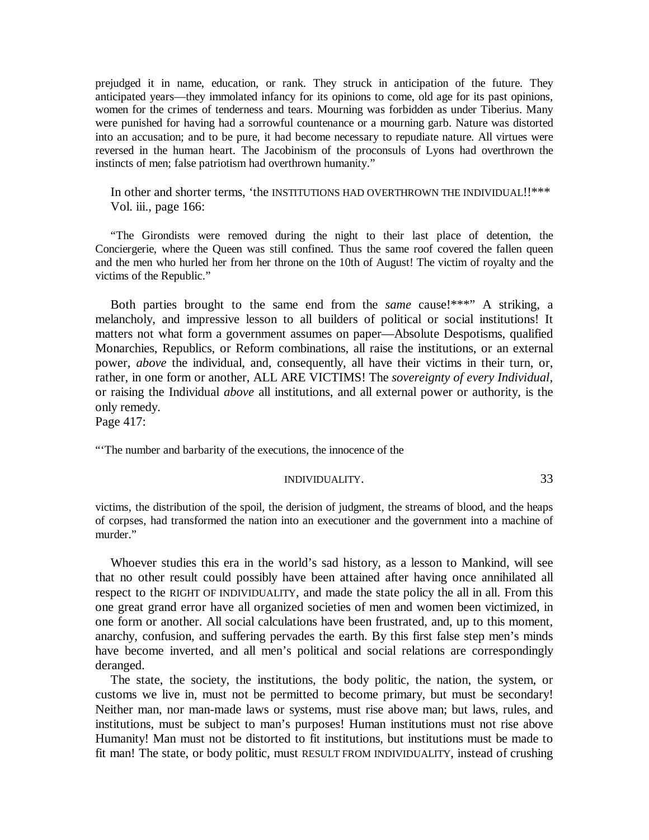prejudged it in name, education, or rank. They struck in anticipation of the future. They anticipated years—they immolated infancy for its opinions to come, old age for its past opinions, women for the crimes of tenderness and tears. Mourning was forbidden as under Tiberius. Many were punished for having had a sorrowful countenance or a mourning garb. Nature was distorted into an accusation; and to be pure, it had become necessary to repudiate nature. All virtues were reversed in the human heart. The Jacobinism of the proconsuls of Lyons had overthrown the instincts of men; false patriotism had overthrown humanity."

In other and shorter terms, 'the INSTITUTIONS HAD OVERTHROWN THE INDIVIDUAL!!\*\*\* Vol. iii., page 166:

"The Girondists were removed during the night to their last place of detention, the Conciergerie, where the Queen was still confined. Thus the same roof covered the fallen queen and the men who hurled her from her throne on the 10th of August! The victim of royalty and the victims of the Republic."

Both parties brought to the same end from the *same* cause!\*\*\*" A striking, a melancholy, and impressive lesson to all builders of political or social institutions! It matters not what form a government assumes on paper—Absolute Despotisms, qualified Monarchies, Republics, or Reform combinations, all raise the institutions, or an external power, *above* the individual, and, consequently, all have their victims in their turn, or, rather, in one form or another, ALL ARE VICTIMS! The *sovereignty of every Individual,*  or raising the Individual *above* all institutions, and all external power or authority, is the only remedy.

Page 417:

"'The number and barbarity of the executions, the innocence of the

$$
INDIVIDUALITY. \t\t\t\t 33
$$

victims, the distribution of the spoil, the derision of judgment, the streams of blood, and the heaps of corpses, had transformed the nation into an executioner and the government into a machine of murder."

Whoever studies this era in the world's sad history, as a lesson to Mankind, will see that no other result could possibly have been attained after having once annihilated all respect to the RIGHT OF INDIVIDUALITY, and made the state policy the all in all. From this one great grand error have all organized societies of men and women been victimized, in one form or another. All social calculations have been frustrated, and, up to this moment, anarchy, confusion, and suffering pervades the earth. By this first false step men's minds have become inverted, and all men's political and social relations are correspondingly deranged.

The state, the society, the institutions, the body politic, the nation, the system, or customs we live in, must not be permitted to become primary, but must be secondary! Neither man, nor man-made laws or systems, must rise above man; but laws, rules, and institutions, must be subject to man's purposes! Human institutions must not rise above Humanity! Man must not be distorted to fit institutions, but institutions must be made to fit man! The state, or body politic, must RESULT FROM INDIVIDUALITY, instead of crushing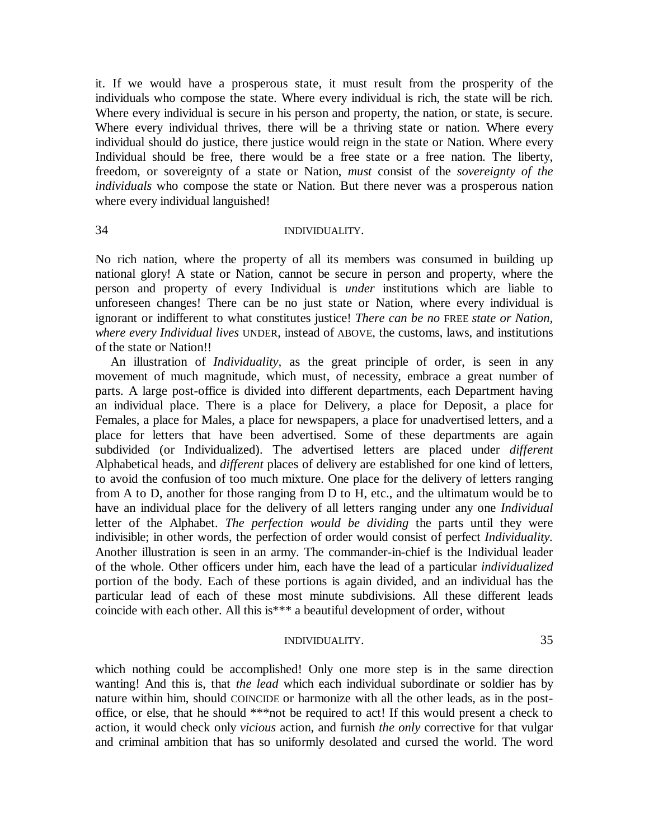it. If we would have a prosperous state, it must result from the prosperity of the individuals who compose the state. Where every individual is rich, the state will be rich. Where every individual is secure in his person and property, the nation, or state, is secure. Where every individual thrives, there will be a thriving state or nation. Where every individual should do justice, there justice would reign in the state or Nation. Where every Individual should be free, there would be a free state or a free nation. The liberty, freedom, or sovereignty of a state or Nation, *must* consist of the *sovereignty of the individuals* who compose the state or Nation. But there never was a prosperous nation where every individual languished!

#### 34 INDIVIDUALITY.

No rich nation, where the property of all its members was consumed in building up national glory! A state or Nation, cannot be secure in person and property, where the person and property of every Individual is *under* institutions which are liable to unforeseen changes! There can be no just state or Nation, where every individual is ignorant or indifferent to what constitutes justice! *There can be no* FREE *state or Nation, where every Individual lives* UNDER, instead of ABOVE, the customs, laws, and institutions of the state or Nation!!

An illustration of *Individuality,* as the great principle of order, is seen in any movement of much magnitude, which must, of necessity, embrace a great number of parts. A large post-office is divided into different departments, each Department having an individual place. There is a place for Delivery, a place for Deposit, a place for Females, a place for Males, a place for newspapers, a place for unadvertised letters, and a place for letters that have been advertised. Some of these departments are again subdivided (or Individualized). The advertised letters are placed under *different*  Alphabetical heads, and *different* places of delivery are established for one kind of letters, to avoid the confusion of too much mixture. One place for the delivery of letters ranging from A to D, another for those ranging from D to H, etc., and the ultimatum would be to have an individual place for the delivery of all letters ranging under any one *Individual*  letter of the Alphabet. *The perfection would be dividing* the parts until they were indivisible; in other words, the perfection of order would consist of perfect *Individuality.*  Another illustration is seen in an army. The commander-in-chief is the Individual leader of the whole. Other officers under him, each have the lead of a particular *individualized*  portion of the body. Each of these portions is again divided, and an individual has the particular lead of each of these most minute subdivisions. All these different leads coincide with each other. All this is\*\*\* a beautiful development of order, without

### INDIVIDUALITY. 35

which nothing could be accomplished! Only one more step is in the same direction wanting! And this is, that *the lead* which each individual subordinate or soldier has by nature within him, should COINCIDE or harmonize with all the other leads, as in the postoffice, or else, that he should \*\*\*not be required to act! If this would present a check to action, it would check only *vicious* action, and furnish *the only* corrective for that vulgar and criminal ambition that has so uniformly desolated and cursed the world. The word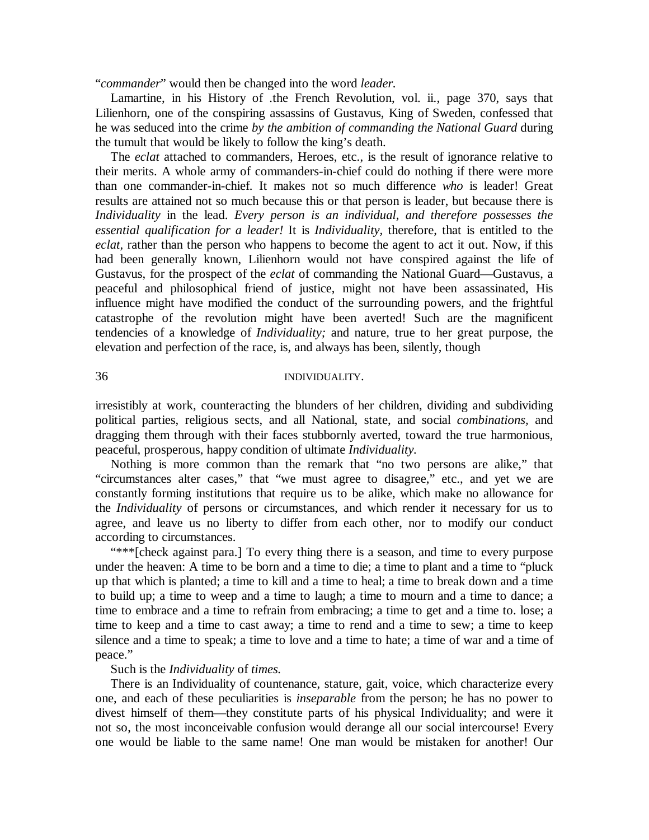"*commander*" would then be changed into the word *leader.*

Lamartine, in his History of .the French Revolution, vol. ii., page 370, says that Lilienhorn, one of the conspiring assassins of Gustavus, King of Sweden, confessed that he was seduced into the crime *by the ambition of commanding the National Guard* during the tumult that would be likely to follow the king's death.

The *eclat* attached to commanders, Heroes, etc., is the result of ignorance relative to their merits. A whole army of commanders-in-chief could do nothing if there were more than one commander-in-chief. It makes not so much difference *who* is leader! Great results are attained not so much because this or that person is leader, but because there is *Individuality* in the lead. *Every person is an individual, and therefore possesses the essential qualification for a leader!* It is *Individuality,* therefore, that is entitled to the *eclat,* rather than the person who happens to become the agent to act it out. Now, if this had been generally known, Lilienhorn would not have conspired against the life of Gustavus, for the prospect of the *eclat* of commanding the National Guard—Gustavus, a peaceful and philosophical friend of justice, might not have been assassinated, His influence might have modified the conduct of the surrounding powers, and the frightful catastrophe of the revolution might have been averted! Such are the magnificent tendencies of a knowledge of *Individuality;* and nature, true to her great purpose, the elevation and perfection of the race, is, and always has been, silently, though

#### 36 INDIVIDUALITY.

irresistibly at work, counteracting the blunders of her children, dividing and subdividing political parties, religious sects, and all National, state, and social *combinations,* and dragging them through with their faces stubbornly averted, toward the true harmonious, peaceful, prosperous, happy condition of ultimate *Individuality.*

Nothing is more common than the remark that "no two persons are alike," that "circumstances alter cases," that "we must agree to disagree," etc., and yet we are constantly forming institutions that require us to be alike, which make no allowance for the *Individuality* of persons or circumstances, and which render it necessary for us to agree, and leave us no liberty to differ from each other, nor to modify our conduct according to circumstances.

"\*\*\*[check against para.] To every thing there is a season, and time to every purpose under the heaven: A time to be born and a time to die; a time to plant and a time to "pluck up that which is planted; a time to kill and a time to heal; a time to break down and a time to build up; a time to weep and a time to laugh; a time to mourn and a time to dance; a time to embrace and a time to refrain from embracing; a time to get and a time to. lose; a time to keep and a time to cast away; a time to rend and a time to sew; a time to keep silence and a time to speak; a time to love and a time to hate; a time of war and a time of peace."

#### Such is the *Individuality* of *times.*

There is an Individuality of countenance, stature, gait, voice, which characterize every one, and each of these peculiarities is *inseparable* from the person; he has no power to divest himself of them—they constitute parts of his physical Individuality; and were it not so, the most inconceivable confusion would derange all our social intercourse! Every one would be liable to the same name! One man would be mistaken for another! Our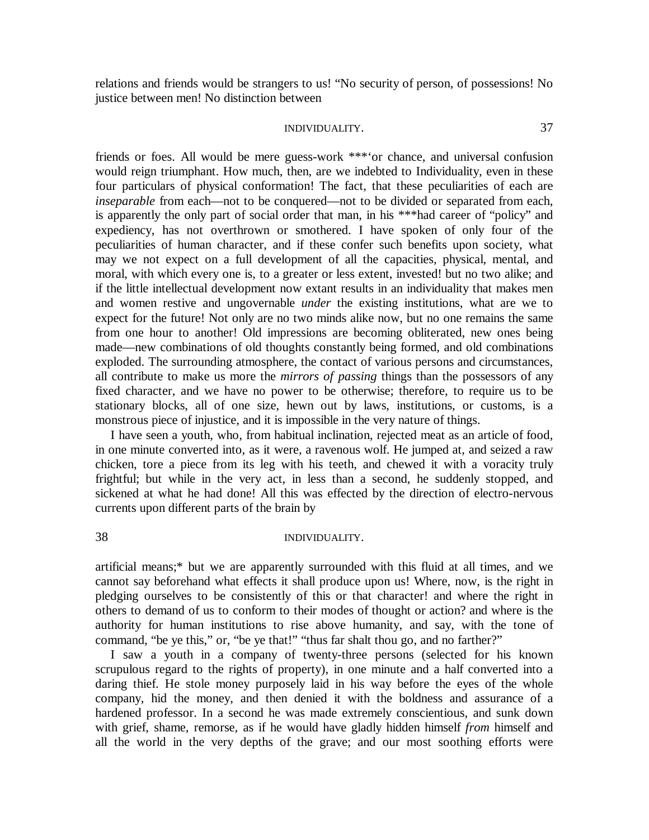relations and friends would be strangers to us! "No security of person, of possessions! No justice between men! No distinction between

### INDIVIDUALITY. 37

friends or foes. All would be mere guess-work \*\*\*'or chance, and universal confusion would reign triumphant. How much, then, are we indebted to Individuality, even in these four particulars of physical conformation! The fact, that these peculiarities of each are *inseparable* from each—not to be conquered—not to be divided or separated from each, is apparently the only part of social order that man, in his \*\*\*had career of "policy" and expediency, has not overthrown or smothered. I have spoken of only four of the peculiarities of human character, and if these confer such benefits upon society, what may we not expect on a full development of all the capacities, physical, mental, and moral, with which every one is, to a greater or less extent, invested! but no two alike; and if the little intellectual development now extant results in an individuality that makes men and women restive and ungovernable *under* the existing institutions, what are we to expect for the future! Not only are no two minds alike now, but no one remains the same from one hour to another! Old impressions are becoming obliterated, new ones being made—new combinations of old thoughts constantly being formed, and old combinations exploded. The surrounding atmosphere, the contact of various persons and circumstances, all contribute to make us more the *mirrors of passing* things than the possessors of any fixed character, and we have no power to be otherwise; therefore, to require us to be stationary blocks, all of one size, hewn out by laws, institutions, or customs, is a monstrous piece of injustice, and it is impossible in the very nature of things.

I have seen a youth, who, from habitual inclination, rejected meat as an article of food, in one minute converted into, as it were, a ravenous wolf. He jumped at, and seized a raw chicken, tore a piece from its leg with his teeth, and chewed it with a voracity truly frightful; but while in the very act, in less than a second, he suddenly stopped, and sickened at what he had done! All this was effected by the direction of electro-nervous currents upon different parts of the brain by

#### 38 INDIVIDUALITY.

artificial means;\* but we are apparently surrounded with this fluid at all times, and we cannot say beforehand what effects it shall produce upon us! Where, now, is the right in pledging ourselves to be consistently of this or that character! and where the right in others to demand of us to conform to their modes of thought or action? and where is the authority for human institutions to rise above humanity, and say, with the tone of command, "be ye this," or, "be ye that!" "thus far shalt thou go, and no farther?"

I saw a youth in a company of twenty-three persons (selected for his known scrupulous regard to the rights of property), in one minute and a half converted into a daring thief. He stole money purposely laid in his way before the eyes of the whole company, hid the money, and then denied it with the boldness and assurance of a hardened professor. In a second he was made extremely conscientious, and sunk down with grief, shame, remorse, as if he would have gladly hidden himself *from* himself and all the world in the very depths of the grave; and our most soothing efforts were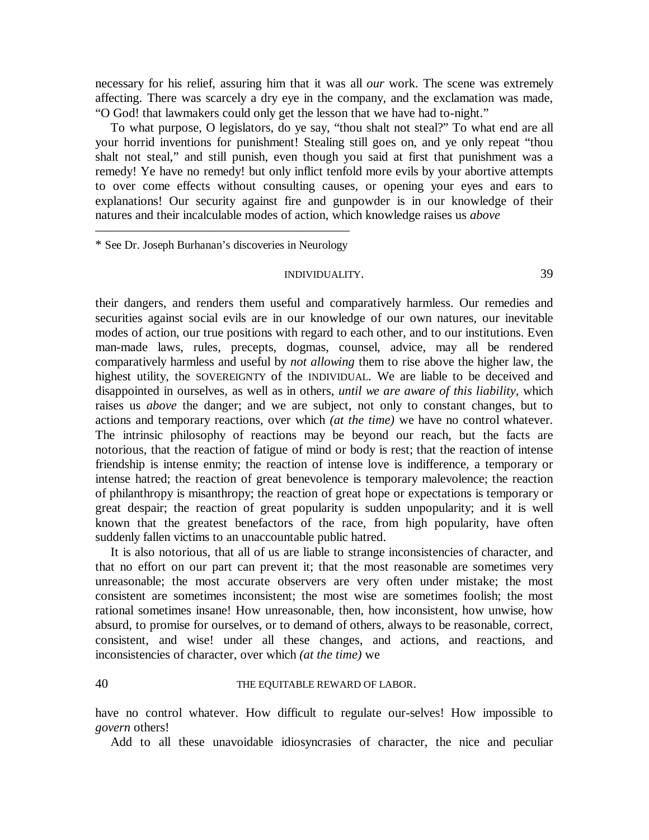necessary for his relief, assuring him that it was all *our* work. The scene was extremely affecting. There was scarcely a dry eye in the company, and the exclamation was made, "O God! that lawmakers could only get the lesson that we have had to-night."

To what purpose, O legislators, do ye say, "thou shalt not steal?" To what end are all your horrid inventions for punishment! Stealing still goes on, and ye only repeat "thou shalt not steal," and still punish, even though you said at first that punishment was a remedy! Ye have no remedy! but only inflict tenfold more evils by your abortive attempts to over come effects without consulting causes, or opening your eyes and ears to explanations! Our security against fire and gunpowder is in our knowledge of their natures and their incalculable modes of action, which knowledge raises us *above*

———————————————————— \* See Dr. Joseph Burhanan's discoveries in Neurology

# INDIVIDUALITY. 39

their dangers, and renders them useful and comparatively harmless. Our remedies and securities against social evils are in our knowledge of our own natures, our inevitable modes of action, our true positions with regard to each other, and to our institutions. Even man-made laws, rules, precepts, dogmas, counsel, advice, may all be rendered comparatively harmless and useful by *not allowing* them to rise above the higher law, the highest utility, the SOVEREIGNTY of the INDIVIDUAL. We are liable to be deceived and disappointed in ourselves, as well as in others, *until we are aware of this liability,* which raises us *above* the danger; and we are subject, not only to constant changes, but to actions and temporary reactions, over which *(at the time)* we have no control whatever. The intrinsic philosophy of reactions may be beyond our reach, but the facts are notorious, that the reaction of fatigue of mind or body is rest; that the reaction of intense friendship is intense enmity; the reaction of intense love is indifference, a temporary or intense hatred; the reaction of great benevolence is temporary malevolence; the reaction of philanthropy is misanthropy; the reaction of great hope or expectations is temporary or great despair; the reaction of great popularity is sudden unpopularity; and it is well known that the greatest benefactors of the race, from high popularity, have often suddenly fallen victims to an unaccountable public hatred.

It is also notorious, that all of us are liable to strange inconsistencies of character, and that no effort on our part can prevent it; that the most reasonable are sometimes very unreasonable; the most accurate observers are very often under mistake; the most consistent are sometimes inconsistent; the most wise are sometimes foolish; the most rational sometimes insane! How unreasonable, then, how inconsistent, how unwise, how absurd, to promise for ourselves, or to demand of others, always to be reasonable, correct, consistent, and wise! under all these changes, and actions, and reactions, and inconsistencies of character, over which *(at the time)* we

40 THE EQUITABLE REWARD OF LABOR.

have no control whatever. How difficult to regulate our-selves! How impossible to *govern* others!

Add to all these unavoidable idiosyncrasies of character, the nice and peculiar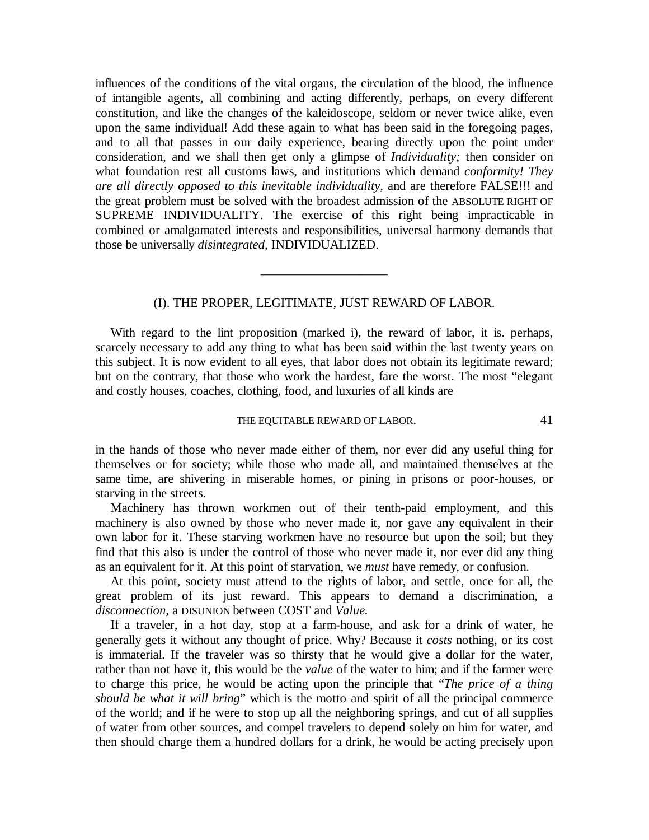influences of the conditions of the vital organs, the circulation of the blood, the influence of intangible agents, all combining and acting differently, perhaps, on every different constitution, and like the changes of the kaleidoscope, seldom or never twice alike, even upon the same individual! Add these again to what has been said in the foregoing pages, and to all that passes in our daily experience, bearing directly upon the point under consideration, and we shall then get only a glimpse of *Individuality;* then consider on what foundation rest all customs laws, and institutions which demand *conformity! They are all directly opposed to this inevitable individuality,* and are therefore FALSE!!! and the great problem must be solved with the broadest admission of the ABSOLUTE RIGHT OF SUPREME INDIVIDUALITY. The exercise of this right being impracticable in combined or amalgamated interests and responsibilities, universal harmony demands that those be universally *disintegrated,* INDIVIDUALIZED.

#### (I). THE PROPER, LEGITIMATE, JUST REWARD OF LABOR.

——————————

With regard to the lint proposition (marked i), the reward of labor, it is. perhaps, scarcely necessary to add any thing to what has been said within the last twenty years on this subject. It is now evident to all eyes, that labor does not obtain its legitimate reward; but on the contrary, that those who work the hardest, fare the worst. The most "elegant and costly houses, coaches, clothing, food, and luxuries of all kinds are

### THE EQUITABLE REWARD OF LABOR. 41

in the hands of those who never made either of them, nor ever did any useful thing for themselves or for society; while those who made all, and maintained themselves at the same time, are shivering in miserable homes, or pining in prisons or poor-houses, or starving in the streets.

Machinery has thrown workmen out of their tenth-paid employment, and this machinery is also owned by those who never made it, nor gave any equivalent in their own labor for it. These starving workmen have no resource but upon the soil; but they find that this also is under the control of those who never made it, nor ever did any thing as an equivalent for it. At this point of starvation, we *must* have remedy, or confusion.

At this point, society must attend to the rights of labor, and settle, once for all, the great problem of its just reward. This appears to demand a discrimination, a *disconnection,* a DISUNION between COST and *Value.*

If a traveler, in a hot day, stop at a farm-house, and ask for a drink of water, he generally gets it without any thought of price. Why? Because it *costs* nothing, or its cost is immaterial. If the traveler was so thirsty that he would give a dollar for the water, rather than not have it, this would be the *value* of the water to him; and if the farmer were to charge this price, he would be acting upon the principle that "*The price of a thing should be what it will bring*" which is the motto and spirit of all the principal commerce of the world; and if he were to stop up all the neighboring springs, and cut of all supplies of water from other sources, and compel travelers to depend solely on him for water, and then should charge them a hundred dollars for a drink, he would be acting precisely upon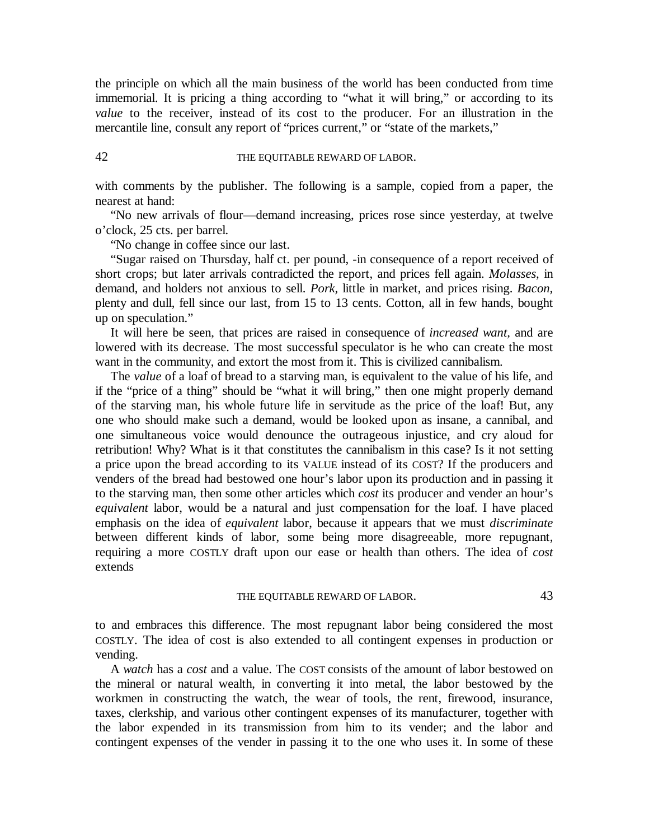the principle on which all the main business of the world has been conducted from time immemorial. It is pricing a thing according to "what it will bring," or according to its *value* to the receiver, instead of its cost to the producer. For an illustration in the mercantile line, consult any report of "prices current," or "state of the markets,"

#### 42 THE EQUITABLE REWARD OF LABOR.

with comments by the publisher. The following is a sample, copied from a paper, the nearest at hand:

"No new arrivals of flour—demand increasing, prices rose since yesterday, at twelve o'clock, 25 cts. per barrel.

"No change in coffee since our last.

"Sugar raised on Thursday, half ct. per pound, -in consequence of a report received of short crops; but later arrivals contradicted the report, and prices fell again. *Molasses,* in demand, and holders not anxious to sell. *Pork,* little in market, and prices rising. *Bacon,*  plenty and dull, fell since our last, from 15 to 13 cents. Cotton, all in few hands, bought up on speculation."

It will here be seen, that prices are raised in consequence of *increased want,* and are lowered with its decrease. The most successful speculator is he who can create the most want in the community, and extort the most from it. This is civilized cannibalism.

The *value* of a loaf of bread to a starving man, is equivalent to the value of his life, and if the "price of a thing" should be "what it will bring," then one might properly demand of the starving man, his whole future life in servitude as the price of the loaf! But, any one who should make such a demand, would be looked upon as insane, a cannibal, and one simultaneous voice would denounce the outrageous injustice, and cry aloud for retribution! Why? What is it that constitutes the cannibalism in this case? Is it not setting a price upon the bread according to its VALUE instead of its COST? If the producers and venders of the bread had bestowed one hour's labor upon its production and in passing it to the starving man, then some other articles which *cost* its producer and vender an hour's *equivalent* labor, would be a natural and just compensation for the loaf. I have placed emphasis on the idea of *equivalent* labor, because it appears that we must *discriminate*  between different kinds of labor, some being more disagreeable, more repugnant, requiring a more COSTLY draft upon our ease or health than others. The idea of *cost*  extends

THE EQUITABLE REWARD OF LABOR. 43

to and embraces this difference. The most repugnant labor being considered the most COSTLY. The idea of cost is also extended to all contingent expenses in production or vending.

A *watch* has a *cost* and a value. The COST consists of the amount of labor bestowed on the mineral or natural wealth, in converting it into metal, the labor bestowed by the workmen in constructing the watch, the wear of tools, the rent, firewood, insurance, taxes, clerkship, and various other contingent expenses of its manufacturer, together with the labor expended in its transmission from him to its vender; and the labor and contingent expenses of the vender in passing it to the one who uses it. In some of these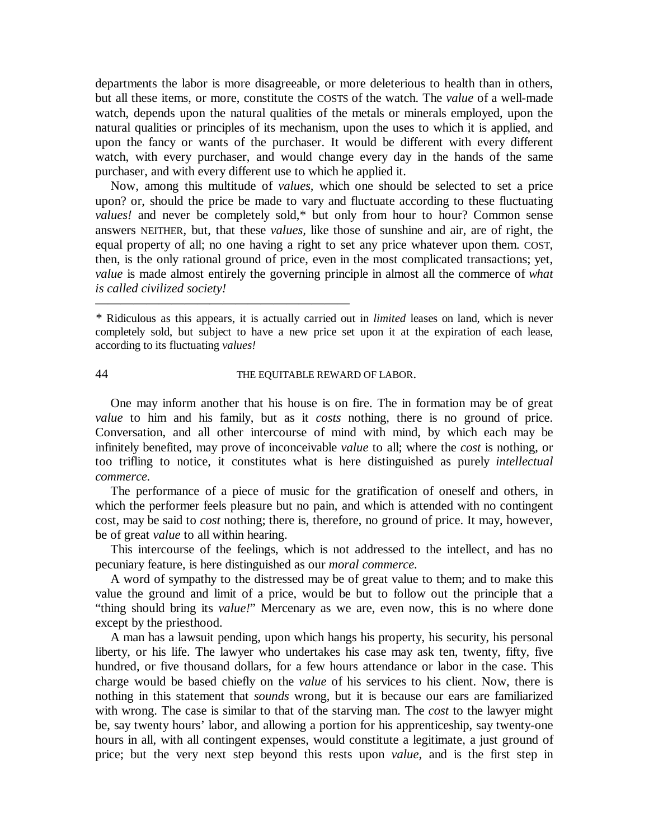departments the labor is more disagreeable, or more deleterious to health than in others, but all these items, or more, constitute the COSTS of the watch. The *value* of a well-made watch, depends upon the natural qualities of the metals or minerals employed, upon the natural qualities or principles of its mechanism, upon the uses to which it is applied, and upon the fancy or wants of the purchaser. It would be different with every different watch, with every purchaser, and would change every day in the hands of the same purchaser, and with every different use to which he applied it.

Now, among this multitude of *values,* which one should be selected to set a price upon? or, should the price be made to vary and fluctuate according to these fluctuating *values!* and never be completely sold,\* but only from hour to hour? Common sense answers NEITHER, but, that these *values,* like those of sunshine and air, are of right, the equal property of all; no one having a right to set any price whatever upon them. COST, then, is the only rational ground of price, even in the most complicated transactions; yet, *value* is made almost entirely the governing principle in almost all the commerce of *what is called civilized society!*

————————————————————

# 44 THE EQUITABLE REWARD OF LABOR.

One may inform another that his house is on fire. The in formation may be of great *value* to him and his family, but as it *costs* nothing, there is no ground of price. Conversation, and all other intercourse of mind with mind, by which each may be infinitely benefited, may prove of inconceivable *value* to all; where the *cost* is nothing, or too trifling to notice, it constitutes what is here distinguished as purely *intellectual commerce.*

The performance of a piece of music for the gratification of oneself and others, in which the performer feels pleasure but no pain, and which is attended with no contingent cost, may be said to *cost* nothing; there is, therefore, no ground of price. It may, however, be of great *value* to all within hearing.

This intercourse of the feelings, which is not addressed to the intellect, and has no pecuniary feature, is here distinguished as our *moral commerce.*

A word of sympathy to the distressed may be of great value to them; and to make this value the ground and limit of a price, would be but to follow out the principle that a "thing should bring its *value!*" Mercenary as we are, even now, this is no where done except by the priesthood.

A man has a lawsuit pending, upon which hangs his property, his security, his personal liberty, or his life. The lawyer who undertakes his case may ask ten, twenty, fifty, five hundred, or five thousand dollars, for a few hours attendance or labor in the case. This charge would be based chiefly on the *value* of his services to his client. Now, there is nothing in this statement that *sounds* wrong, but it is because our ears are familiarized with wrong. The case is similar to that of the starving man. The *cost* to the lawyer might be, say twenty hours' labor, and allowing a portion for his apprenticeship, say twenty-one hours in all, with all contingent expenses, would constitute a legitimate, a just ground of price; but the very next step beyond this rests upon *value,* and is the first step in

*<sup>\*</sup>* Ridiculous as this appears, it is actually carried out in *limited* leases on land, which is never completely sold, but subject to have a new price set upon it at the expiration of each lease, according to its fluctuating *values!*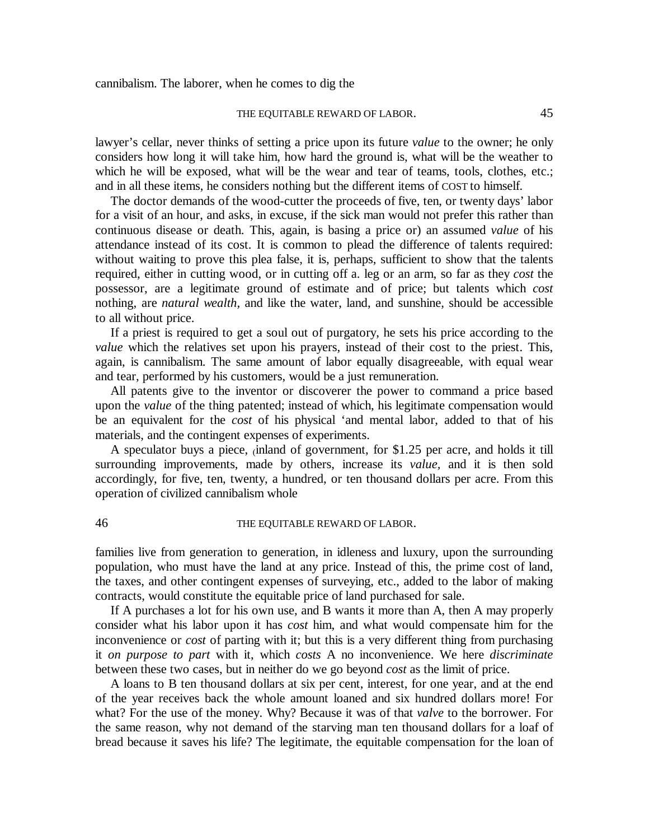#### cannibalism. The laborer, when he comes to dig the

#### THE EQUITABLE REWARD OF LABOR. 45

lawyer's cellar, never thinks of setting a price upon its future *value* to the owner; he only considers how long it will take him, how hard the ground is, what will be the weather to which he will be exposed, what will be the wear and tear of teams, tools, clothes, etc.; and in all these items, he considers nothing but the different items of COST to himself.

The doctor demands of the wood-cutter the proceeds of five, ten, or twenty days' labor for a visit of an hour, and asks, in excuse, if the sick man would not prefer this rather than continuous disease or death. This, again, is basing a price or) an assumed *value* of his attendance instead of its cost. It is common to plead the difference of talents required: without waiting to prove this plea false, it is, perhaps, sufficient to show that the talents required, either in cutting wood, or in cutting off a. leg or an arm, so far as they *cost* the possessor, are a legitimate ground of estimate and of price; but talents which *cost*  nothing, are *natural wealth,* and like the water, land, and sunshine, should be accessible to all without price.

If a priest is required to get a soul out of purgatory, he sets his price according to the *value* which the relatives set upon his prayers, instead of their cost to the priest. This, again, is cannibalism. The same amount of labor equally disagreeable, with equal wear and tear, performed by his customers, would be a just remuneration.

All patents give to the inventor or discoverer the power to command a price based upon the *value* of the thing patented; instead of which, his legitimate compensation would be an equivalent for the *cost* of his physical 'and mental labor, added to that of his materials, and the contingent expenses of experiments.

A speculator buys a piece, (inland of government, for \$1.25 per acre, and holds it till surrounding improvements, made by others, increase its *value,* and it is then sold accordingly, for five, ten, twenty, a hundred, or ten thousand dollars per acre. From this operation of civilized cannibalism whole

#### 46 THE EQUITABLE REWARD OF LABOR.

families live from generation to generation, in idleness and luxury, upon the surrounding population, who must have the land at any price. Instead of this, the prime cost of land, the taxes, and other contingent expenses of surveying, etc., added to the labor of making contracts, would constitute the equitable price of land purchased for sale.

If A purchases a lot for his own use, and B wants it more than A, then A may properly consider what his labor upon it has *cost* him, and what would compensate him for the inconvenience or *cost* of parting with it; but this is a very different thing from purchasing it *on purpose to part* with it, which *costs* A no inconvenience. We here *discriminate*  between these two cases, but in neither do we go beyond *cost* as the limit of price.

A loans to B ten thousand dollars at six per cent, interest, for one year, and at the end of the year receives back the whole amount loaned and six hundred dollars more! For what? For the use of the money. Why? Because it was of that *valve* to the borrower. For the same reason, why not demand of the starving man ten thousand dollars for a loaf of bread because it saves his life? The legitimate, the equitable compensation for the loan of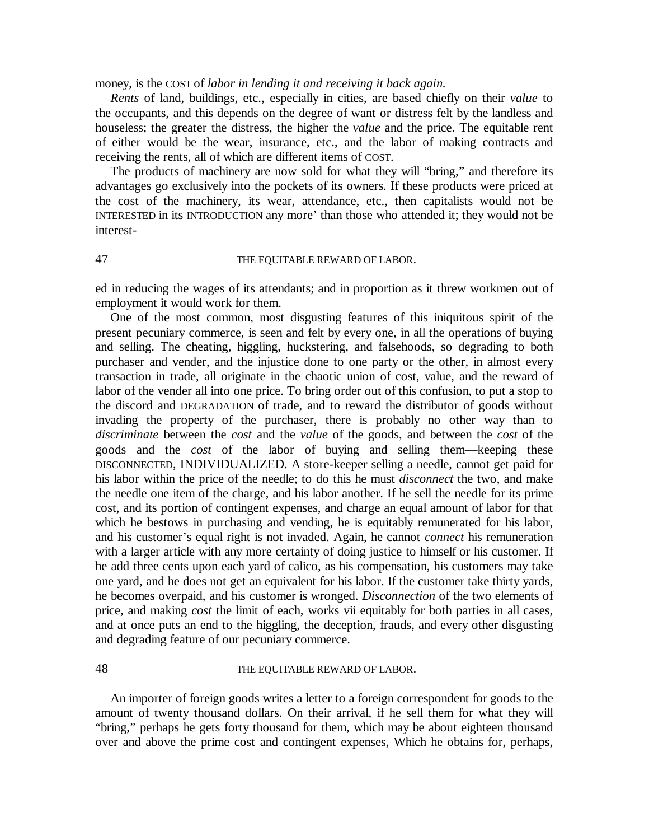money, is the COST of *labor in lending it and receiving it back again.*

*Rents* of land, buildings, etc., especially in cities, are based chiefly on their *value* to the occupants, and this depends on the degree of want or distress felt by the landless and houseless; the greater the distress, the higher the *value* and the price. The equitable rent of either would be the wear, insurance, etc., and the labor of making contracts and receiving the rents, all of which are different items of COST.

The products of machinery are now sold for what they will "bring," and therefore its advantages go exclusively into the pockets of its owners. If these products were priced at the cost of the machinery, its wear, attendance, etc., then capitalists would not be INTERESTED in its INTRODUCTION any more' than those who attended it; they would not be interest-

# 47 THE EQUITABLE REWARD OF LABOR.

ed in reducing the wages of its attendants; and in proportion as it threw workmen out of employment it would work for them.

One of the most common, most disgusting features of this iniquitous spirit of the present pecuniary commerce, is seen and felt by every one, in all the operations of buying and selling. The cheating, higgling, huckstering, and falsehoods, so degrading to both purchaser and vender, and the injustice done to one party or the other, in almost every transaction in trade, all originate in the chaotic union of cost, value, and the reward of labor of the vender all into one price. To bring order out of this confusion, to put a stop to the discord and DEGRADATION of trade, and to reward the distributor of goods without invading the property of the purchaser, there is probably no other way than to *discriminate* between the *cost* and the *value* of the goods, and between the *cost* of the goods and the *cost* of the labor of buying and selling them—keeping these DISCONNECTED, INDIVIDUALIZED. A store-keeper selling a needle, cannot get paid for his labor within the price of the needle; to do this he must *disconnect* the two, and make the needle one item of the charge, and his labor another. If he sell the needle for its prime cost, and its portion of contingent expenses, and charge an equal amount of labor for that which he bestows in purchasing and vending, he is equitably remunerated for his labor, and his customer's equal right is not invaded. Again, he cannot *connect* his remuneration with a larger article with any more certainty of doing justice to himself or his customer. If he add three cents upon each yard of calico, as his compensation, his customers may take one yard, and he does not get an equivalent for his labor. If the customer take thirty yards, he becomes overpaid, and his customer is wronged. *Disconnection* of the two elements of price, and making *cost* the limit of each, works vii equitably for both parties in all cases, and at once puts an end to the higgling, the deception, frauds, and every other disgusting and degrading feature of our pecuniary commerce.

#### 48 THE EQUITABLE REWARD OF LABOR.

An importer of foreign goods writes a letter to a foreign correspondent for goods to the amount of twenty thousand dollars. On their arrival, if he sell them for what they will "bring," perhaps he gets forty thousand for them, which may be about eighteen thousand over and above the prime cost and contingent expenses, Which he obtains for, perhaps,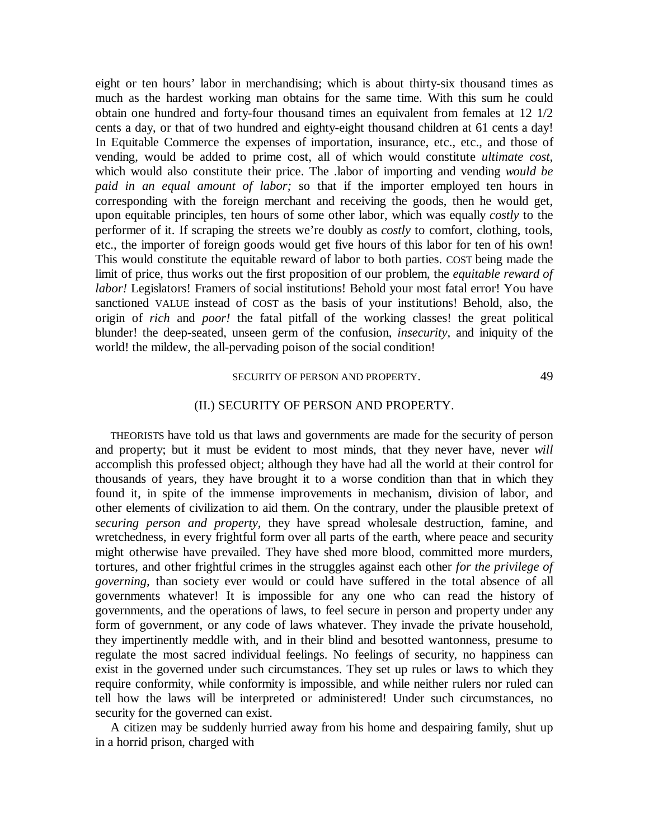eight or ten hours' labor in merchandising; which is about thirty-six thousand times as much as the hardest working man obtains for the same time. With this sum he could obtain one hundred and forty-four thousand times an equivalent from females at 12 1/2 cents a day, or that of two hundred and eighty-eight thousand children at 61 cents a day! In Equitable Commerce the expenses of importation, insurance, etc., etc., and those of vending, would be added to prime cost, all of which would constitute *ultimate cost,*  which would also constitute their price. The .labor of importing and vending *would be paid in an equal amount of labor;* so that if the importer employed ten hours in corresponding with the foreign merchant and receiving the goods, then he would get, upon equitable principles, ten hours of some other labor, which was equally *costly* to the performer of it. If scraping the streets we're doubly as *costly* to comfort, clothing, tools, etc., the importer of foreign goods would get five hours of this labor for ten of his own! This would constitute the equitable reward of labor to both parties. COST being made the limit of price, thus works out the first proposition of our problem, the *equitable reward of labor!* Legislators! Framers of social institutions! Behold your most fatal error! You have sanctioned VALUE instead of COST as the basis of your institutions! Behold, also, the origin of *rich* and *poor!* the fatal pitfall of the working classes! the great political blunder! the deep-seated, unseen germ of the confusion, *insecurity,* and iniquity of the world! the mildew, the all-pervading poison of the social condition!

# SECURITY OF PERSON AND PROPERTY. 49

#### (II.) SECURITY OF PERSON AND PROPERTY.

THEORISTS have told us that laws and governments are made for the security of person and property; but it must be evident to most minds, that they never have, never *will*  accomplish this professed object; although they have had all the world at their control for thousands of years, they have brought it to a worse condition than that in which they found it, in spite of the immense improvements in mechanism, division of labor, and other elements of civilization to aid them. On the contrary, under the plausible pretext of *securing person and property,* they have spread wholesale destruction, famine, and wretchedness, in every frightful form over all parts of the earth, where peace and security might otherwise have prevailed. They have shed more blood, committed more murders, tortures, and other frightful crimes in the struggles against each other *for the privilege of governing,* than society ever would or could have suffered in the total absence of all governments whatever! It is impossible for any one who can read the history of governments, and the operations of laws, to feel secure in person and property under any form of government, or any code of laws whatever. They invade the private household, they impertinently meddle with, and in their blind and besotted wantonness, presume to regulate the most sacred individual feelings. No feelings of security, no happiness can exist in the governed under such circumstances. They set up rules or laws to which they require conformity, while conformity is impossible, and while neither rulers nor ruled can tell how the laws will be interpreted or administered! Under such circumstances, no security for the governed can exist.

A citizen may be suddenly hurried away from his home and despairing family, shut up in a horrid prison, charged with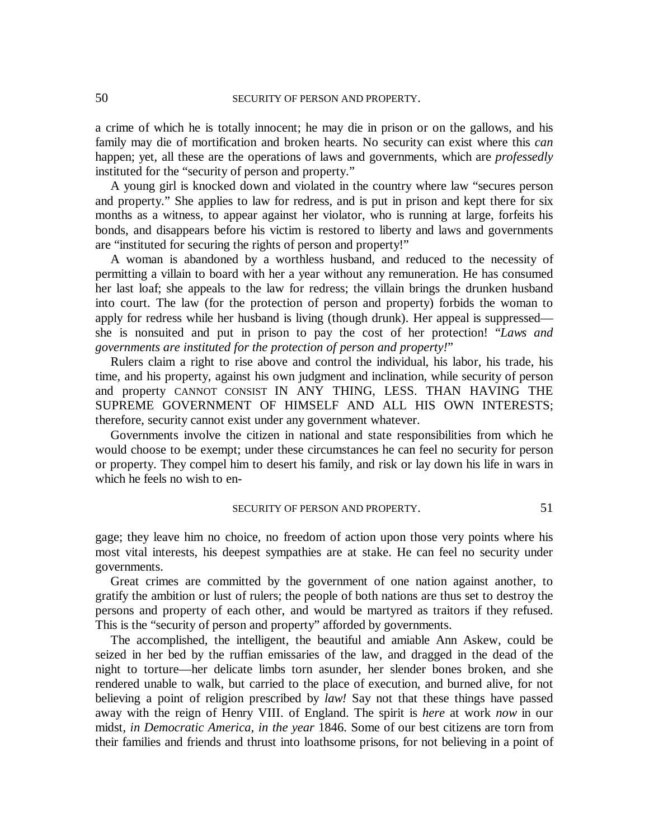a crime of which he is totally innocent; he may die in prison or on the gallows, and his family may die of mortification and broken hearts. No security can exist where this *can*  happen; yet, all these are the operations of laws and governments, which are *professedly*  instituted for the "security of person and property."

A young girl is knocked down and violated in the country where law "secures person and property." She applies to law for redress, and is put in prison and kept there for six months as a witness, to appear against her violator, who is running at large, forfeits his bonds, and disappears before his victim is restored to liberty and laws and governments are "instituted for securing the rights of person and property!"

A woman is abandoned by a worthless husband, and reduced to the necessity of permitting a villain to board with her a year without any remuneration. He has consumed her last loaf; she appeals to the law for redress; the villain brings the drunken husband into court. The law (for the protection of person and property) forbids the woman to apply for redress while her husband is living (though drunk). Her appeal is suppressed she is nonsuited and put in prison to pay the cost of her protection! "*Laws and governments are instituted for the protection of person and property!*"

Rulers claim a right to rise above and control the individual, his labor, his trade, his time, and his property, against his own judgment and inclination, while security of person and property CANNOT CONSIST IN ANY THING, LESS. THAN HAVING THE SUPREME GOVERNMENT OF HIMSELF AND ALL HIS OWN INTERESTS; therefore, security cannot exist under any government whatever.

Governments involve the citizen in national and state responsibilities from which he would choose to be exempt; under these circumstances he can feel no security for person or property. They compel him to desert his family, and risk or lay down his life in wars in which he feels no wish to en-

SECURITY OF PERSON AND PROPERTY. 51

gage; they leave him no choice, no freedom of action upon those very points where his most vital interests, his deepest sympathies are at stake. He can feel no security under governments.

Great crimes are committed by the government of one nation against another, to gratify the ambition or lust of rulers; the people of both nations are thus set to destroy the persons and property of each other, and would be martyred as traitors if they refused. This is the "security of person and property" afforded by governments.

The accomplished, the intelligent, the beautiful and amiable Ann Askew, could be seized in her bed by the ruffian emissaries of the law, and dragged in the dead of the night to torture—her delicate limbs torn asunder, her slender bones broken, and she rendered unable to walk, but carried to the place of execution, and burned alive, for not believing a point of religion prescribed by *law!* Say not that these things have passed away with the reign of Henry VIII. of England. The spirit is *here* at work *now* in our midst, *in Democratic America, in the year* 1846. Some of our best citizens are torn from their families and friends and thrust into loathsome prisons, for not believing in a point of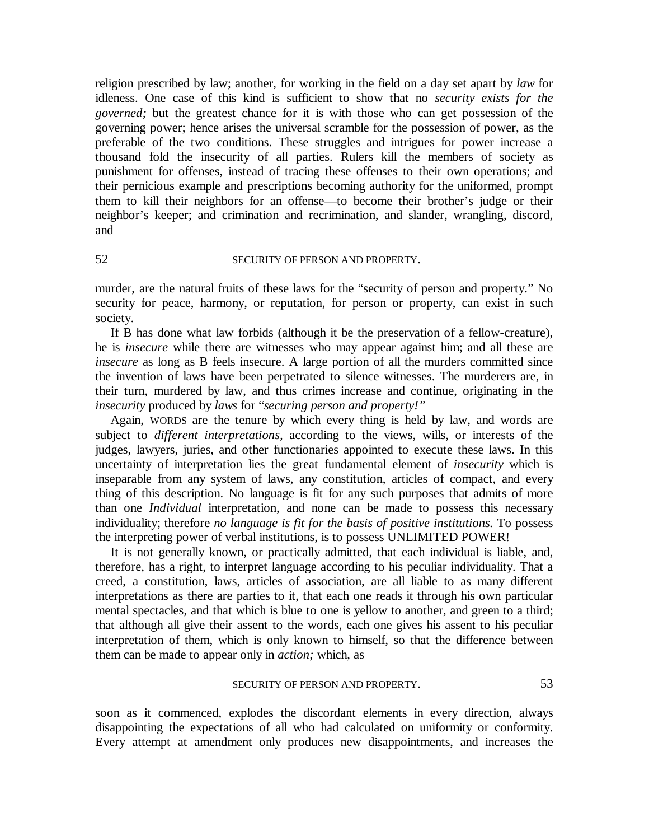religion prescribed by law; another, for working in the field on a day set apart by *law* for idleness. One case of this kind is sufficient to show that no *security exists for the governed;* but the greatest chance for it is with those who can get possession of the governing power; hence arises the universal scramble for the possession of power, as the preferable of the two conditions. These struggles and intrigues for power increase a thousand fold the insecurity of all parties. Rulers kill the members of society as punishment for offenses, instead of tracing these offenses to their own operations; and their pernicious example and prescriptions becoming authority for the uniformed, prompt them to kill their neighbors for an offense—to become their brother's judge or their neighbor's keeper; and crimination and recrimination, and slander, wrangling, discord, and

52 SECURITY OF PERSON AND PROPERTY.

murder, are the natural fruits of these laws for the "security of person and property." No security for peace, harmony, or reputation, for person or property, can exist in such society.

If B has done what law forbids (although it be the preservation of a fellow-creature), he is *insecure* while there are witnesses who may appear against him; and all these are *insecure* as long as B feels insecure. A large portion of all the murders committed since the invention of laws have been perpetrated to silence witnesses. The murderers are, in their turn, murdered by law, and thus crimes increase and continue, originating in the *insecurity* produced by *laws* for "*securing person and property!"*

Again, WORDS are the tenure by which every thing is held by law, and words are subject to *different interpretations,* according to the views, wills, or interests of the judges, lawyers, juries, and other functionaries appointed to execute these laws. In this uncertainty of interpretation lies the great fundamental element of *insecurity* which is inseparable from any system of laws, any constitution, articles of compact, and every thing of this description. No language is fit for any such purposes that admits of more than one *Individual* interpretation, and none can be made to possess this necessary individuality; therefore *no language is fit for the basis of positive institutions.* To possess the interpreting power of verbal institutions, is to possess UNLIMITED POWER!

It is not generally known, or practically admitted, that each individual is liable, and, therefore, has a right, to interpret language according to his peculiar individuality. That a creed, a constitution, laws, articles of association, are all liable to as many different interpretations as there are parties to it, that each one reads it through his own particular mental spectacles, and that which is blue to one is yellow to another, and green to a third; that although all give their assent to the words, each one gives his assent to his peculiar interpretation of them, which is only known to himself, so that the difference between them can be made to appear only in *action;* which, as

#### SECURITY OF PERSON AND PROPERTY. 53

soon as it commenced, explodes the discordant elements in every direction, always disappointing the expectations of all who had calculated on uniformity or conformity. Every attempt at amendment only produces new disappointments, and increases the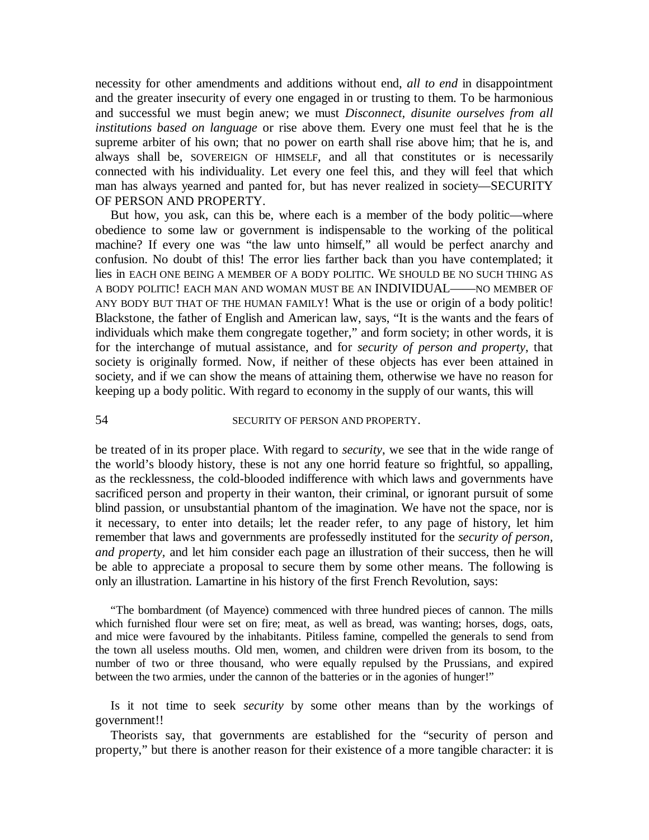necessity for other amendments and additions without end, *all to end* in disappointment and the greater insecurity of every one engaged in or trusting to them. To be harmonious and successful we must begin anew; we must *Disconnect, disunite ourselves from all institutions based on language* or rise above them. Every one must feel that he is the supreme arbiter of his own; that no power on earth shall rise above him; that he is, and always shall be, SOVEREIGN OF HIMSELF, and all that constitutes or is necessarily connected with his individuality. Let every one feel this, and they will feel that which man has always yearned and panted for, but has never realized in society—SECURITY OF PERSON AND PROPERTY.

But how, you ask, can this be, where each is a member of the body politic—where obedience to some law or government is indispensable to the working of the political machine? If every one was "the law unto himself," all would be perfect anarchy and confusion. No doubt of this! The error lies farther back than you have contemplated; it lies in EACH ONE BEING A MEMBER OF A BODY POLITIC. WE SHOULD BE NO SUCH THING AS A BODY POLITIC! EACH MAN AND WOMAN MUST BE AN INDIVIDUAL——NO MEMBER OF ANY BODY BUT THAT OF THE HUMAN FAMILY! What is the use or origin of a body politic! Blackstone, the father of English and American law, says, "It is the wants and the fears of individuals which make them congregate together," and form society; in other words, it is for the interchange of mutual assistance, and for *security of person and property*, that society is originally formed. Now, if neither of these objects has ever been attained in society, and if we can show the means of attaining them, otherwise we have no reason for keeping up a body politic. With regard to economy in the supply of our wants, this will

# 54 SECURITY OF PERSON AND PROPERTY.

be treated of in its proper place. With regard to *security*, we see that in the wide range of the world's bloody history, these is not any one horrid feature so frightful, so appalling, as the recklessness, the cold-blooded indifference with which laws and governments have sacrificed person and property in their wanton, their criminal, or ignorant pursuit of some blind passion, or unsubstantial phantom of the imagination. We have not the space, nor is it necessary, to enter into details; let the reader refer, to any page of history, let him remember that laws and governments are professedly instituted for the *security of person, and property,* and let him consider each page an illustration of their success, then he will be able to appreciate a proposal to secure them by some other means. The following is only an illustration. Lamartine in his history of the first French Revolution, says:

"The bombardment (of Mayence) commenced with three hundred pieces of cannon. The mills which furnished flour were set on fire; meat, as well as bread, was wanting; horses, dogs, oats, and mice were favoured by the inhabitants. Pitiless famine, compelled the generals to send from the town all useless mouths. Old men, women, and children were driven from its bosom, to the number of two or three thousand, who were equally repulsed by the Prussians, and expired between the two armies, under the cannon of the batteries or in the agonies of hunger!"

Is it not time to seek *security* by some other means than by the workings of government!!

Theorists say, that governments are established for the "security of person and property," but there is another reason for their existence of a more tangible character: it is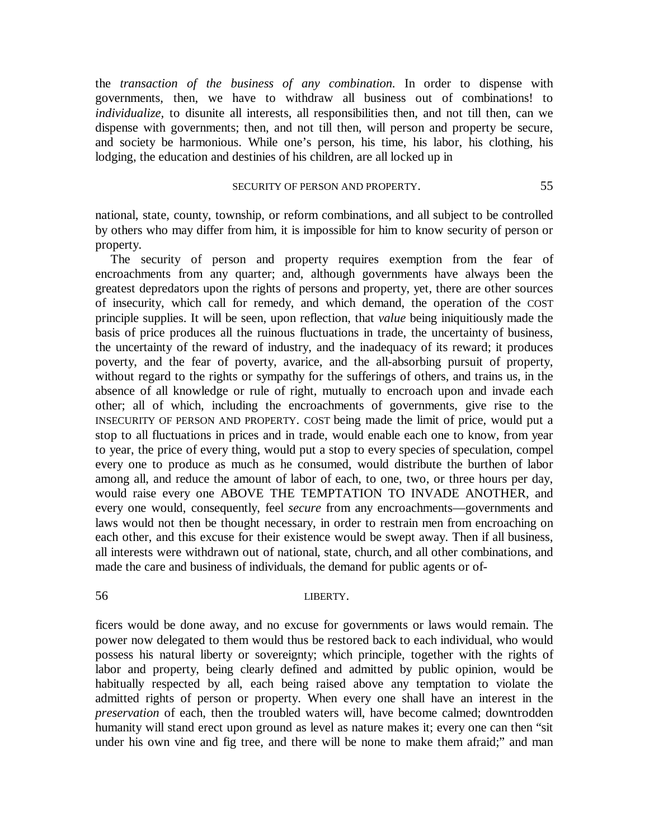the *transaction of the business of any combination.* In order to dispense with governments, then, we have to withdraw all business out of combinations! to *individualize,* to disunite all interests, all responsibilities then, and not till then, can we dispense with governments; then, and not till then, will person and property be secure, and society be harmonious. While one's person, his time, his labor, his clothing, his lodging, the education and destinies of his children, are all locked up in

# SECURITY OF PERSON AND PROPERTY. 55

national, state, county, township, or reform combinations, and all subject to be controlled by others who may differ from him, it is impossible for him to know security of person or property.

The security of person and property requires exemption from the fear of encroachments from any quarter; and, although governments have always been the greatest depredators upon the rights of persons and property, yet, there are other sources of insecurity, which call for remedy, and which demand, the operation of the COST principle supplies. It will be seen, upon reflection, that *value* being iniquitiously made the basis of price produces all the ruinous fluctuations in trade, the uncertainty of business, the uncertainty of the reward of industry, and the inadequacy of its reward; it produces poverty, and the fear of poverty, avarice, and the all-absorbing pursuit of property, without regard to the rights or sympathy for the sufferings of others, and trains us, in the absence of all knowledge or rule of right, mutually to encroach upon and invade each other; all of which, including the encroachments of governments, give rise to the INSECURITY OF PERSON AND PROPERTY. COST being made the limit of price, would put a stop to all fluctuations in prices and in trade, would enable each one to know, from year to year, the price of every thing, would put a stop to every species of speculation, compel every one to produce as much as he consumed, would distribute the burthen of labor among all, and reduce the amount of labor of each, to one, two, or three hours per day, would raise every one ABOVE THE TEMPTATION TO INVADE ANOTHER, and every one would, consequently, feel *secure* from any encroachments—governments and laws would not then be thought necessary, in order to restrain men from encroaching on each other, and this excuse for their existence would be swept away. Then if all business, all interests were withdrawn out of national, state, church, and all other combinations, and made the care and business of individuals, the demand for public agents or of-

# 56 LIBERTY.

ficers would be done away, and no excuse for governments or laws would remain. The power now delegated to them would thus be restored back to each individual, who would possess his natural liberty or sovereignty; which principle, together with the rights of labor and property, being clearly defined and admitted by public opinion, would be habitually respected by all, each being raised above any temptation to violate the admitted rights of person or property. When every one shall have an interest in the *preservation* of each, then the troubled waters will, have become calmed; downtrodden humanity will stand erect upon ground as level as nature makes it; every one can then "sit under his own vine and fig tree, and there will be none to make them afraid;" and man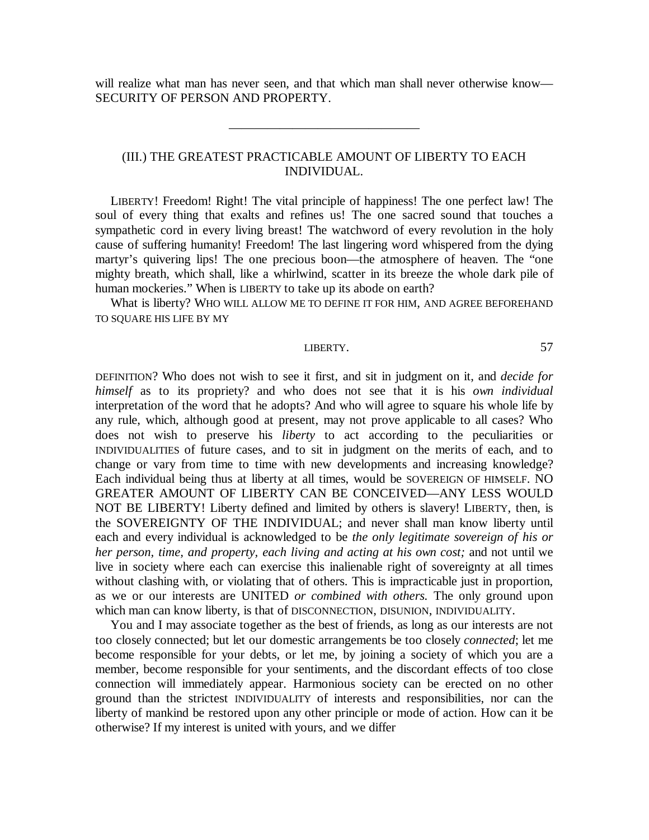will realize what man has never seen, and that which man shall never otherwise know— SECURITY OF PERSON AND PROPERTY.

# (III.) THE GREATEST PRACTICABLE AMOUNT OF LIBERTY TO EACH INDIVIDUAL.

———————————————

LIBERTY! Freedom! Right! The vital principle of happiness! The one perfect law! The soul of every thing that exalts and refines us! The one sacred sound that touches a sympathetic cord in every living breast! The watchword of every revolution in the holy cause of suffering humanity! Freedom! The last lingering word whispered from the dying martyr's quivering lips! The one precious boon—the atmosphere of heaven. The "one mighty breath, which shall, like a whirlwind, scatter in its breeze the whole dark pile of human mockeries." When is LIBERTY to take up its abode on earth?

What is liberty? WHO WILL ALLOW ME TO DEFINE IT FOR HIM, AND AGREE BEFOREHAND TO SQUARE HIS LIFE BY MY

# LIBERTY. 57

DEFINITION? Who does not wish to see it first, and sit in judgment on it, and *decide for himself* as to its propriety? and who does not see that it is his *own individual*  interpretation of the word that he adopts? And who will agree to square his whole life by any rule, which, although good at present, may not prove applicable to all cases? Who does not wish to preserve his *liberty* to act according to the peculiarities or INDIVIDUALITIES of future cases, and to sit in judgment on the merits of each, and to change or vary from time to time with new developments and increasing knowledge? Each individual being thus at liberty at all times, would be SOVEREIGN OF HIMSELF. NO GREATER AMOUNT OF LIBERTY CAN BE CONCEIVED—ANY LESS WOULD NOT BE LIBERTY! Liberty defined and limited by others is slavery! LIBERTY, then, is the SOVEREIGNTY OF THE INDIVIDUAL; and never shall man know liberty until each and every individual is acknowledged to be *the only legitimate sovereign of his or her person, time, and property, each living and acting at his own cost;* and not until we live in society where each can exercise this inalienable right of sovereignty at all times without clashing with, or violating that of others. This is impracticable just in proportion, as we or our interests are UNITED *or combined with others.* The only ground upon which man can know liberty, is that of DISCONNECTION, DISUNION, INDIVIDUALITY.

You and I may associate together as the best of friends, as long as our interests are not too closely connected; but let our domestic arrangements be too closely *connected*; let me become responsible for your debts, or let me, by joining a society of which you are a member, become responsible for your sentiments, and the discordant effects of too close connection will immediately appear. Harmonious society can be erected on no other ground than the strictest INDIVIDUALITY of interests and responsibilities, nor can the liberty of mankind be restored upon any other principle or mode of action. How can it be otherwise? If my interest is united with yours, and we differ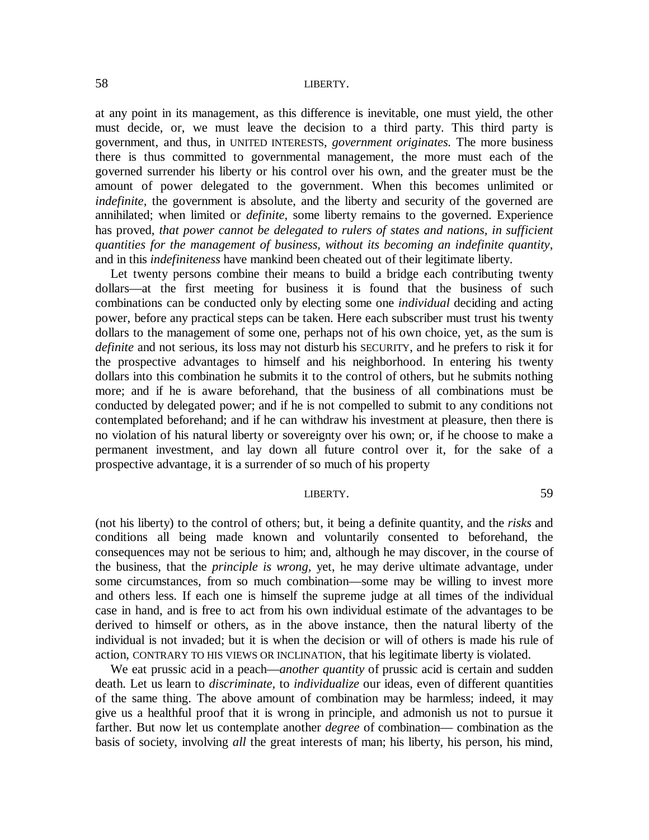#### 58 LIBERTY.

at any point in its management, as this difference is inevitable, one must yield, the other must decide, or, we must leave the decision to a third party. This third party is government, and thus, in UNITED INTERESTS, *government originates.* The more business there is thus committed to governmental management, the more must each of the governed surrender his liberty or his control over his own, and the greater must be the amount of power delegated to the government. When this becomes unlimited or *indefinite*, the government is absolute, and the liberty and security of the governed are annihilated; when limited or *definite,* some liberty remains to the governed. Experience has proved, *that power cannot be delegated to rulers of states and nations, in sufficient quantities for the management of business, without its becoming an indefinite quantity,*  and in this *indefiniteness* have mankind been cheated out of their legitimate liberty.

Let twenty persons combine their means to build a bridge each contributing twenty dollars—at the first meeting for business it is found that the business of such combinations can be conducted only by electing some one *individual* deciding and acting power, before any practical steps can be taken. Here each subscriber must trust his twenty dollars to the management of some one, perhaps not of his own choice, yet, as the sum is *definite* and not serious, its loss may not disturb his SECURITY, and he prefers to risk it for the prospective advantages to himself and his neighborhood. In entering his twenty dollars into this combination he submits it to the control of others, but he submits nothing more; and if he is aware beforehand, that the business of all combinations must be conducted by delegated power; and if he is not compelled to submit to any conditions not contemplated beforehand; and if he can withdraw his investment at pleasure, then there is no violation of his natural liberty or sovereignty over his own; or, if he choose to make a permanent investment, and lay down all future control over it, for the sake of a prospective advantage, it is a surrender of so much of his property

# LIBERTY. 59

(not his liberty) to the control of others; but, it being a definite quantity, and the *risks* and conditions all being made known and voluntarily consented to beforehand, the consequences may not be serious to him; and, although he may discover, in the course of the business, that the *principle is wrong,* yet, he may derive ultimate advantage, under some circumstances, from so much combination—some may be willing to invest more and others less. If each one is himself the supreme judge at all times of the individual case in hand, and is free to act from his own individual estimate of the advantages to be derived to himself or others, as in the above instance, then the natural liberty of the individual is not invaded; but it is when the decision or will of others is made his rule of action, CONTRARY TO HIS VIEWS OR INCLINATION, that his legitimate liberty is violated.

We eat prussic acid in a peach—*another quantity* of prussic acid is certain and sudden death. Let us learn to *discriminate,* to *individualize* our ideas, even of different quantities of the same thing. The above amount of combination may be harmless; indeed, it may give us a healthful proof that it is wrong in principle, and admonish us not to pursue it farther. But now let us contemplate another *degree* of combination— combination as the basis of society, involving *all* the great interests of man; his liberty, his person, his mind,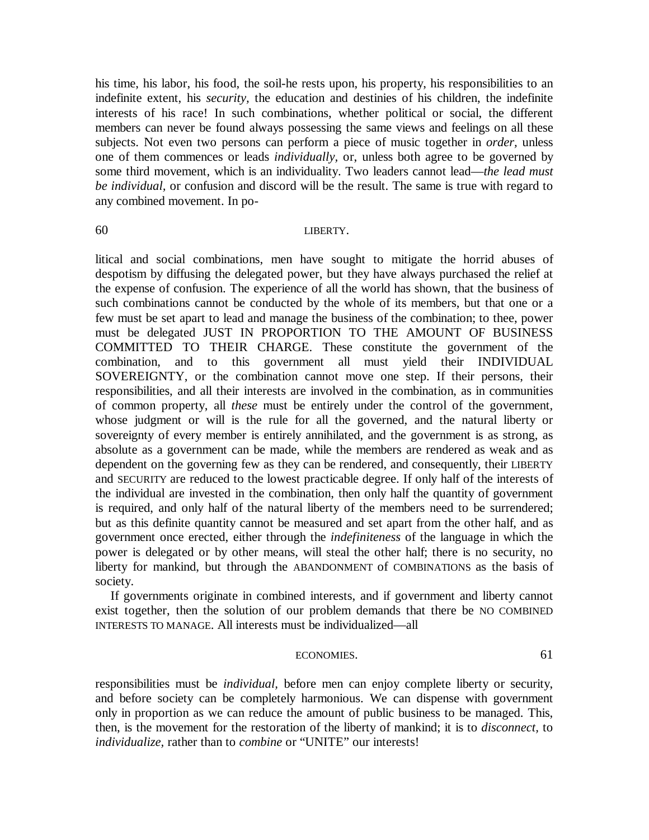his time, his labor, his food, the soil-he rests upon, his property, his responsibilities to an indefinite extent, his *security,* the education and destinies of his children, the indefinite interests of his race! In such combinations, whether political or social, the different members can never be found always possessing the same views and feelings on all these subjects. Not even two persons can perform a piece of music together in *order,* unless one of them commences or leads *individually,* or, unless both agree to be governed by some third movement, which is an individuality. Two leaders cannot lead—*the lead must be individual,* or confusion and discord will be the result. The same is true with regard to any combined movement. In po-

# 60 LIBERTY.

litical and social combinations, men have sought to mitigate the horrid abuses of despotism by diffusing the delegated power, but they have always purchased the relief at the expense of confusion. The experience of all the world has shown, that the business of such combinations cannot be conducted by the whole of its members, but that one or a few must be set apart to lead and manage the business of the combination; to thee, power must be delegated JUST IN PROPORTION TO THE AMOUNT OF BUSINESS COMMITTED TO THEIR CHARGE. These constitute the government of the combination, and to this government all must yield their INDIVIDUAL SOVEREIGNTY, or the combination cannot move one step. If their persons, their responsibilities, and all their interests are involved in the combination, as in communities of common property, all *these* must be entirely under the control of the government, whose judgment or will is the rule for all the governed, and the natural liberty or sovereignty of every member is entirely annihilated, and the government is as strong, as absolute as a government can be made, while the members are rendered as weak and as dependent on the governing few as they can be rendered, and consequently, their LIBERTY and SECURITY are reduced to the lowest practicable degree. If only half of the interests of the individual are invested in the combination, then only half the quantity of government is required, and only half of the natural liberty of the members need to be surrendered; but as this definite quantity cannot be measured and set apart from the other half, and as government once erected, either through the *indefiniteness* of the language in which the power is delegated or by other means, will steal the other half; there is no security, no liberty for mankind, but through the ABANDONMENT of COMBINATIONS as the basis of society.

If governments originate in combined interests, and if government and liberty cannot exist together, then the solution of our problem demands that there be NO COMBINED INTERESTS TO MANAGE. All interests must be individualized—all

# ECONOMIES. 61

responsibilities must be *individual,* before men can enjoy complete liberty or security, and before society can be completely harmonious. We can dispense with government only in proportion as we can reduce the amount of public business to be managed. This, then, is the movement for the restoration of the liberty of mankind; it is to *disconnect,* to *individualize,* rather than to *combine* or "UNITE" our interests!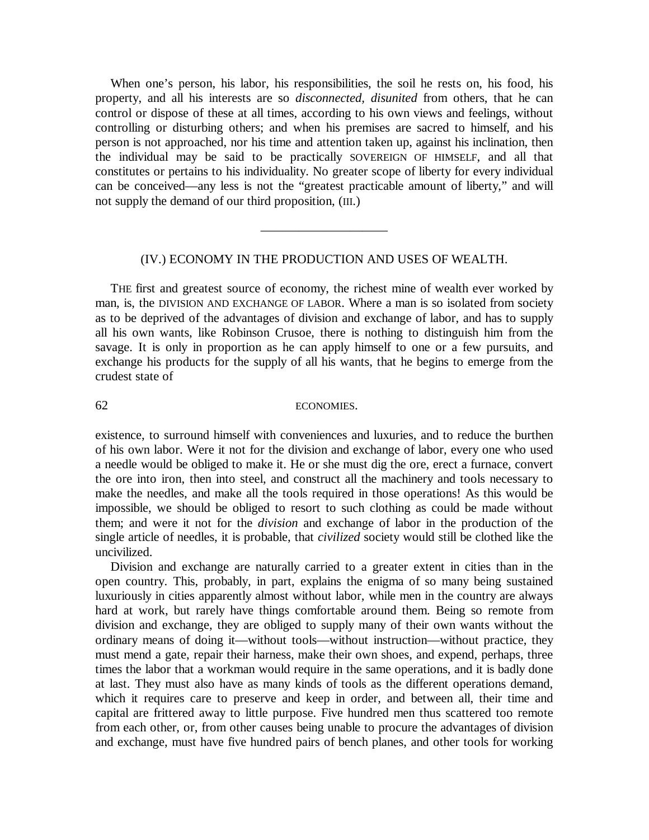When one's person, his labor, his responsibilities, the soil he rests on, his food, his property, and all his interests are so *disconnected, disunited* from others, that he can control or dispose of these at all times, according to his own views and feelings, without controlling or disturbing others; and when his premises are sacred to himself, and his person is not approached, nor his time and attention taken up, against his inclination, then the individual may be said to be practically SOVEREIGN OF HIMSELF, and all that constitutes or pertains to his individuality. No greater scope of liberty for every individual can be conceived—any less is not the "greatest practicable amount of liberty," and will not supply the demand of our third proposition, (III.)

# (IV.) ECONOMY IN THE PRODUCTION AND USES OF WEALTH.

——————————

THE first and greatest source of economy, the richest mine of wealth ever worked by man, is, the DIVISION AND EXCHANGE OF LABOR. Where a man is so isolated from society as to be deprived of the advantages of division and exchange of labor, and has to supply all his own wants, like Robinson Crusoe, there is nothing to distinguish him from the savage. It is only in proportion as he can apply himself to one or a few pursuits, and exchange his products for the supply of all his wants, that he begins to emerge from the crudest state of

## 62 ECONOMIES.

existence, to surround himself with conveniences and luxuries, and to reduce the burthen of his own labor. Were it not for the division and exchange of labor, every one who used a needle would be obliged to make it. He or she must dig the ore, erect a furnace, convert the ore into iron, then into steel, and construct all the machinery and tools necessary to make the needles, and make all the tools required in those operations! As this would be impossible, we should be obliged to resort to such clothing as could be made without them; and were it not for the *division* and exchange of labor in the production of the single article of needles, it is probable, that *civilized* society would still be clothed like the uncivilized.

Division and exchange are naturally carried to a greater extent in cities than in the open country. This, probably, in part, explains the enigma of so many being sustained luxuriously in cities apparently almost without labor, while men in the country are always hard at work, but rarely have things comfortable around them. Being so remote from division and exchange, they are obliged to supply many of their own wants without the ordinary means of doing it—without tools—without instruction—without practice, they must mend a gate, repair their harness, make their own shoes, and expend, perhaps, three times the labor that a workman would require in the same operations, and it is badly done at last. They must also have as many kinds of tools as the different operations demand, which it requires care to preserve and keep in order, and between all, their time and capital are frittered away to little purpose. Five hundred men thus scattered too remote from each other, or, from other causes being unable to procure the advantages of division and exchange, must have five hundred pairs of bench planes, and other tools for working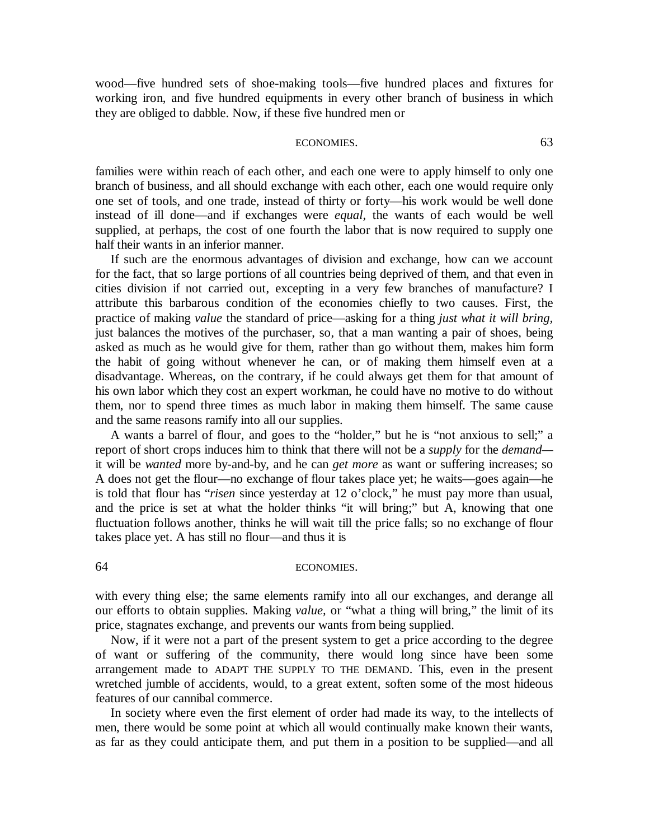wood—five hundred sets of shoe-making tools—five hundred places and fixtures for working iron, and five hundred equipments in every other branch of business in which they are obliged to dabble. Now, if these five hundred men or

#### ECONOMIES. 63

families were within reach of each other, and each one were to apply himself to only one branch of business, and all should exchange with each other, each one would require only one set of tools, and one trade, instead of thirty or forty—his work would be well done instead of ill done—and if exchanges were *equal,* the wants of each would be well supplied, at perhaps, the cost of one fourth the labor that is now required to supply one half their wants in an inferior manner.

If such are the enormous advantages of division and exchange, how can we account for the fact, that so large portions of all countries being deprived of them, and that even in cities division if not carried out, excepting in a very few branches of manufacture? I attribute this barbarous condition of the economies chiefly to two causes. First, the practice of making *value* the standard of price—asking for a thing *just what it will bring,*  just balances the motives of the purchaser, so, that a man wanting a pair of shoes, being asked as much as he would give for them, rather than go without them, makes him form the habit of going without whenever he can, or of making them himself even at a disadvantage. Whereas, on the contrary, if he could always get them for that amount of his own labor which they cost an expert workman, he could have no motive to do without them, nor to spend three times as much labor in making them himself. The same cause and the same reasons ramify into all our supplies.

A wants a barrel of flour, and goes to the "holder," but he is "not anxious to sell;" a report of short crops induces him to think that there will not be a *supply* for the *demand* it will be *wanted* more by-and-by, and he can *get more* as want or suffering increases; so A does not get the flour—no exchange of flour takes place yet; he waits—goes again—he is told that flour has "*risen* since yesterday at 12 o'clock," he must pay more than usual, and the price is set at what the holder thinks "it will bring;" but A, knowing that one fluctuation follows another, thinks he will wait till the price falls; so no exchange of flour takes place yet. A has still no flour—and thus it is

# 64 ECONOMIES.

with every thing else; the same elements ramify into all our exchanges, and derange all our efforts to obtain supplies. Making *value,* or "what a thing will bring," the limit of its price, stagnates exchange, and prevents our wants from being supplied.

Now, if it were not a part of the present system to get a price according to the degree of want or suffering of the community, there would long since have been some arrangement made to ADAPT THE SUPPLY TO THE DEMAND. This, even in the present wretched jumble of accidents, would, to a great extent, soften some of the most hideous features of our cannibal commerce.

In society where even the first element of order had made its way, to the intellects of men, there would be some point at which all would continually make known their wants, as far as they could anticipate them, and put them in a position to be supplied—and all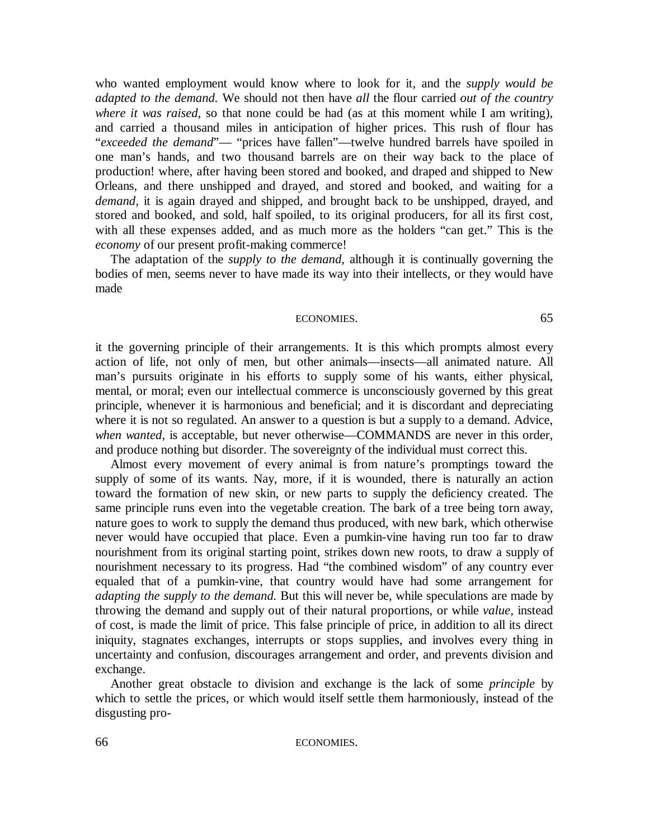who wanted employment would know where to look for it, and the *supply would be adapted to the demand.* We should not then have *all* the flour carried *out of the country where it was raised,* so that none could be had (as at this moment while I am writing), and carried a thousand miles in anticipation of higher prices. This rush of flour has "*exceeded the demand*"— "prices have fallen"—twelve hundred barrels have spoiled in one man's hands, and two thousand barrels are on their way back to the place of production! where, after having been stored and booked, and draped and shipped to New Orleans, and there unshipped and drayed, and stored and booked, and waiting for a *demand,* it is again drayed and shipped, and brought back to be unshipped, drayed, and stored and booked, and sold, half spoiled, to its original producers, for all its first cost, with all these expenses added, and as much more as the holders "can get." This is the *economy* of our present profit-making commerce!

The adaptation of the *supply to the demand,* although it is continually governing the bodies of men, seems never to have made its way into their intellects, or they would have made

### ECONOMIES. 65

it the governing principle of their arrangements. It is this which prompts almost every action of life, not only of men, but other animals—insects—all animated nature. All man's pursuits originate in his efforts to supply some of his wants, either physical, mental, or moral; even our intellectual commerce is unconsciously governed by this great principle, whenever it is harmonious and beneficial; and it is discordant and depreciating where it is not so regulated. An answer to a question is but a supply to a demand. Advice, *when wanted,* is acceptable, but never otherwise—COMMANDS are never in this order, and produce nothing but disorder. The sovereignty of the individual must correct this.

Almost every movement of every animal is from nature's promptings toward the supply of some of its wants. Nay, more, if it is wounded, there is naturally an action toward the formation of new skin, or new parts to supply the deficiency created. The same principle runs even into the vegetable creation. The bark of a tree being torn away, nature goes to work to supply the demand thus produced, with new bark, which otherwise never would have occupied that place. Even a pumkin-vine having run too far to draw nourishment from its original starting point, strikes down new roots, to draw a supply of nourishment necessary to its progress. Had "the combined wisdom" of any country ever equaled that of a pumkin-vine, that country would have had some arrangement for *adapting the supply to the demand.* But this will never be, while speculations are made by throwing the demand and supply out of their natural proportions, or while *value,* instead of cost, is made the limit of price. This false principle of price, in addition to all its direct iniquity, stagnates exchanges, interrupts or stops supplies, and involves every thing in uncertainty and confusion, discourages arrangement and order, and prevents division and exchange.

Another great obstacle to division and exchange is the lack of some *principle* by which to settle the prices, or which would itself settle them harmoniously, instead of the disgusting pro-

66 ECONOMIES.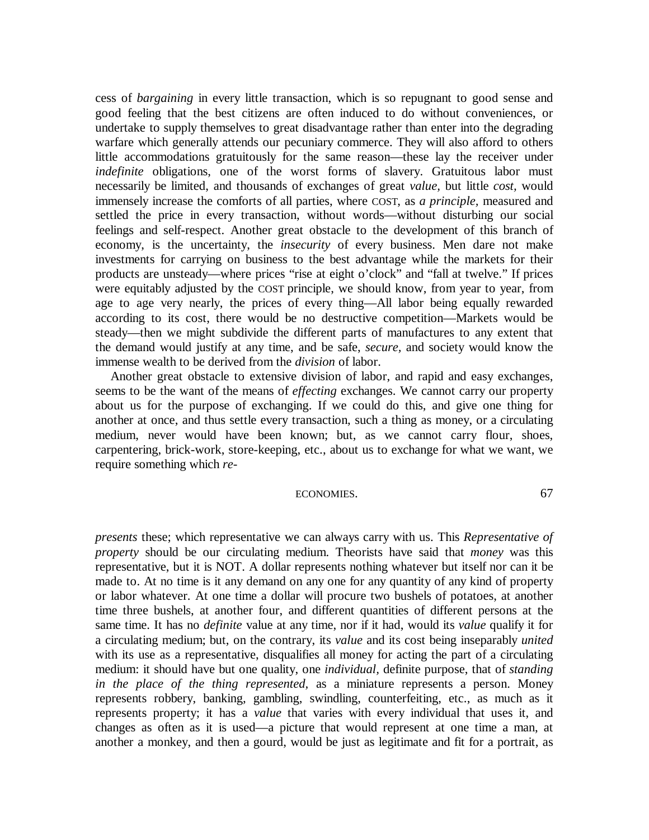cess of *bargaining* in every little transaction, which is so repugnant to good sense and good feeling that the best citizens are often induced to do without conveniences, or undertake to supply themselves to great disadvantage rather than enter into the degrading warfare which generally attends our pecuniary commerce. They will also afford to others little accommodations gratuitously for the same reason—these lay the receiver under *indefinite* obligations, one of the worst forms of slavery. Gratuitous labor must necessarily be limited, and thousands of exchanges of great *value,* but little *cost,* would immensely increase the comforts of all parties, where COST, as *a principle,* measured and settled the price in every transaction, without words—without disturbing our social feelings and self-respect. Another great obstacle to the development of this branch of economy, is the uncertainty, the *insecurity* of every business. Men dare not make investments for carrying on business to the best advantage while the markets for their products are unsteady—where prices "rise at eight o'clock" and "fall at twelve." If prices were equitably adjusted by the COST principle, we should know, from year to year, from age to age very nearly, the prices of every thing—All labor being equally rewarded according to its cost, there would be no destructive competition—Markets would be steady—then we might subdivide the different parts of manufactures to any extent that the demand would justify at any time, and be safe, *secure,* and society would know the immense wealth to be derived from the *division* of labor.

Another great obstacle to extensive division of labor, and rapid and easy exchanges, seems to be the want of the means of *effecting* exchanges. We cannot carry our property about us for the purpose of exchanging. If we could do this, and give one thing for another at once, and thus settle every transaction, such a thing as money, or a circulating medium, never would have been known; but, as we cannot carry flour, shoes, carpentering, brick-work, store-keeping, etc., about us to exchange for what we want, we require something which *re-*

#### ECONOMIES. 67

*presents* these; which representative we can always carry with us. This *Representative of property* should be our circulating medium. Theorists have said that *money* was this representative, but it is NOT. A dollar represents nothing whatever but itself nor can it be made to. At no time is it any demand on any one for any quantity of any kind of property or labor whatever. At one time a dollar will procure two bushels of potatoes, at another time three bushels, at another four, and different quantities of different persons at the same time. It has no *definite* value at any time, nor if it had, would its *value* qualify it for a circulating medium; but, on the contrary, its *value* and its cost being inseparably *united*  with its use as a representative, disqualifies all money for acting the part of a circulating medium: it should have but one quality, one *individual,* definite purpose, that of *standing in the place of the thing represented,* as a miniature represents a person. Money represents robbery, banking, gambling, swindling, counterfeiting, etc., as much as it represents property; it has a *value* that varies with every individual that uses it, and changes as often as it is used—a picture that would represent at one time a man, at another a monkey, and then a gourd, would be just as legitimate and fit for a portrait, as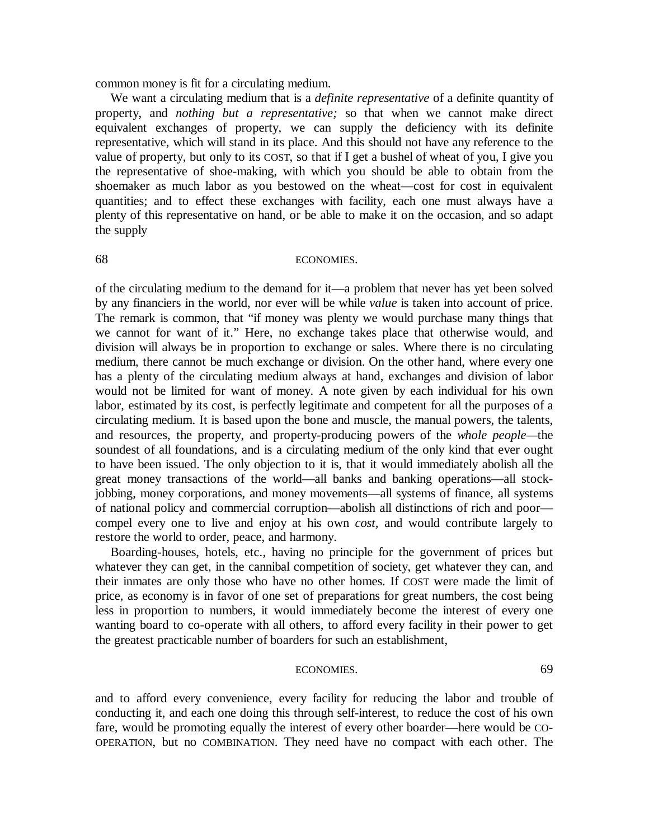common money is fit for a circulating medium.

We want a circulating medium that is a *definite representative* of a definite quantity of property, and *nothing but a representative;* so that when we cannot make direct equivalent exchanges of property, we can supply the deficiency with its definite representative, which will stand in its place. And this should not have any reference to the value of property, but only to its COST, so that if I get a bushel of wheat of you, I give you the representative of shoe-making, with which you should be able to obtain from the shoemaker as much labor as you bestowed on the wheat—cost for cost in equivalent quantities; and to effect these exchanges with facility, each one must always have a plenty of this representative on hand, or be able to make it on the occasion, and so adapt the supply

# 68 ECONOMIES.

of the circulating medium to the demand for it—a problem that never has yet been solved by any financiers in the world, nor ever will be while *value* is taken into account of price. The remark is common, that "if money was plenty we would purchase many things that we cannot for want of it." Here, no exchange takes place that otherwise would, and division will always be in proportion to exchange or sales. Where there is no circulating medium, there cannot be much exchange or division. On the other hand, where every one has a plenty of the circulating medium always at hand, exchanges and division of labor would not be limited for want of money. A note given by each individual for his own labor, estimated by its cost, is perfectly legitimate and competent for all the purposes of a circulating medium. It is based upon the bone and muscle, the manual powers, the talents, and resources, the property, and property-producing powers of the *whole people—*the soundest of all foundations, and is a circulating medium of the only kind that ever ought to have been issued. The only objection to it is, that it would immediately abolish all the great money transactions of the world—all banks and banking operations—all stockjobbing, money corporations, and money movements—all systems of finance, all systems of national policy and commercial corruption—abolish all distinctions of rich and poor compel every one to live and enjoy at his own *cost,* and would contribute largely to restore the world to order, peace, and harmony.

Boarding-houses, hotels, etc., having no principle for the government of prices but whatever they can get, in the cannibal competition of society, get whatever they can, and their inmates are only those who have no other homes. If COST were made the limit of price, as economy is in favor of one set of preparations for great numbers, the cost being less in proportion to numbers, it would immediately become the interest of every one wanting board to co-operate with all others, to afford every facility in their power to get the greatest practicable number of boarders for such an establishment,

#### ECONOMIES. 69

and to afford every convenience, every facility for reducing the labor and trouble of conducting it, and each one doing this through self-interest, to reduce the cost of his own fare, would be promoting equally the interest of every other boarder—here would be CO-OPERATION, but no COMBINATION. They need have no compact with each other. The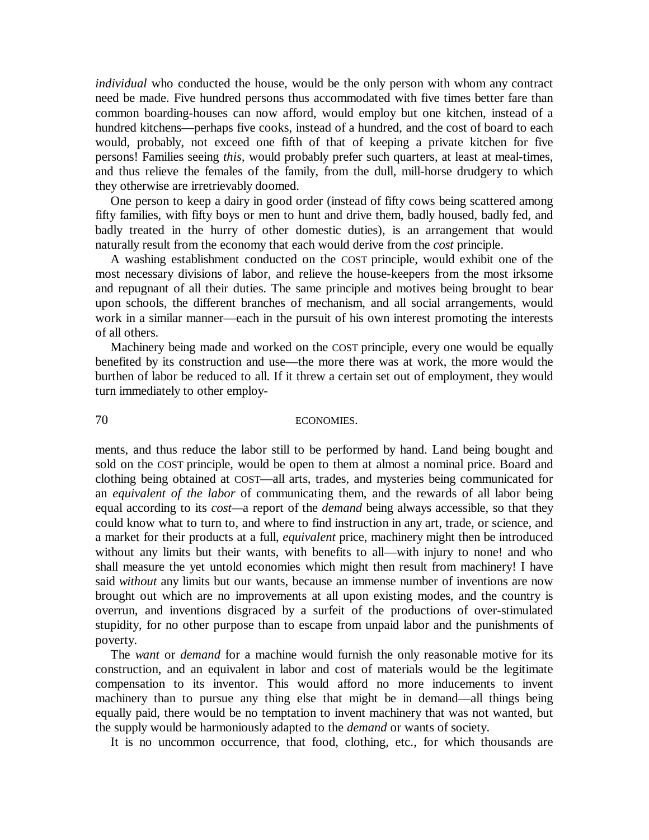*individual* who conducted the house, would be the only person with whom any contract need be made. Five hundred persons thus accommodated with five times better fare than common boarding-houses can now afford, would employ but one kitchen, instead of a hundred kitchens—perhaps five cooks, instead of a hundred, and the cost of board to each would, probably, not exceed one fifth of that of keeping a private kitchen for five persons! Families seeing *this,* would probably prefer such quarters, at least at meal-times, and thus relieve the females of the family, from the dull, mill-horse drudgery to which they otherwise are irretrievably doomed.

One person to keep a dairy in good order (instead of fifty cows being scattered among fifty families, with fifty boys or men to hunt and drive them, badly housed, badly fed, and badly treated in the hurry of other domestic duties), is an arrangement that would naturally result from the economy that each would derive from the *cost* principle.

A washing establishment conducted on the COST principle, would exhibit one of the most necessary divisions of labor, and relieve the house-keepers from the most irksome and repugnant of all their duties. The same principle and motives being brought to bear upon schools, the different branches of mechanism, and all social arrangements, would work in a similar manner—each in the pursuit of his own interest promoting the interests of all others.

Machinery being made and worked on the COST principle, every one would be equally benefited by its construction and use—the more there was at work, the more would the burthen of labor be reduced to all. If it threw a certain set out of employment, they would turn immediately to other employ-

# 70 ECONOMIES.

ments, and thus reduce the labor still to be performed by hand. Land being bought and sold on the COST principle, would be open to them at almost a nominal price. Board and clothing being obtained at COST—all arts, trades, and mysteries being communicated for an *equivalent of the labor* of communicating them, and the rewards of all labor being equal according to its *cost—*a report of the *demand* being always accessible, so that they could know what to turn to, and where to find instruction in any art, trade, or science, and a market for their products at a full, *equivalent* price, machinery might then be introduced without any limits but their wants, with benefits to all—with injury to none! and who shall measure the yet untold economies which might then result from machinery! I have said *without* any limits but our wants, because an immense number of inventions are now brought out which are no improvements at all upon existing modes, and the country is overrun, and inventions disgraced by a surfeit of the productions of over-stimulated stupidity, for no other purpose than to escape from unpaid labor and the punishments of poverty.

The *want* or *demand* for a machine would furnish the only reasonable motive for its construction, and an equivalent in labor and cost of materials would be the legitimate compensation to its inventor. This would afford no more inducements to invent machinery than to pursue any thing else that might be in demand—all things being equally paid, there would be no temptation to invent machinery that was not wanted, but the supply would be harmoniously adapted to the *demand* or wants of society.

It is no uncommon occurrence, that food, clothing, etc., for which thousands are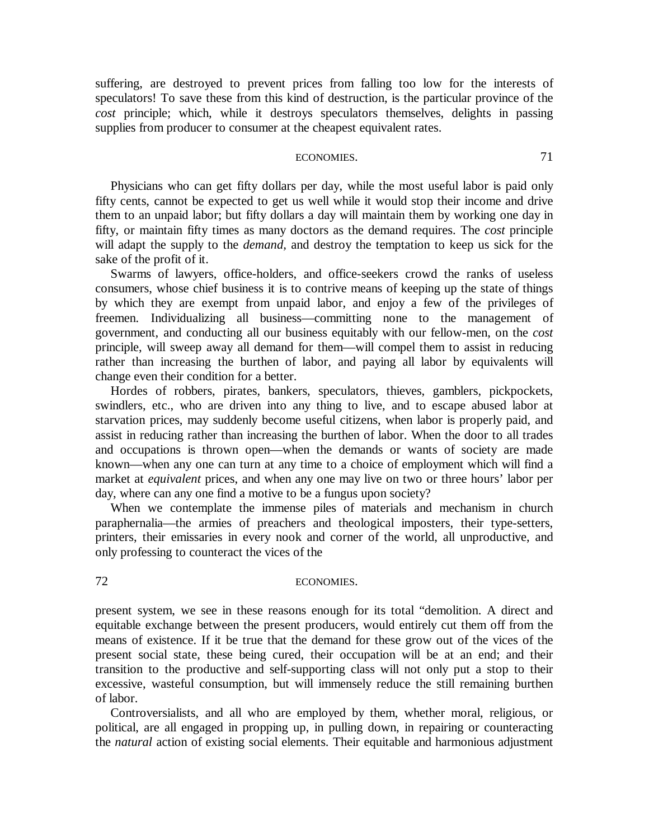suffering, are destroyed to prevent prices from falling too low for the interests of speculators! To save these from this kind of destruction, is the particular province of the *cost* principle; which, while it destroys speculators themselves, delights in passing supplies from producer to consumer at the cheapest equivalent rates.

#### ECONOMIES. 21

Physicians who can get fifty dollars per day, while the most useful labor is paid only fifty cents, cannot be expected to get us well while it would stop their income and drive them to an unpaid labor; but fifty dollars a day will maintain them by working one day in fifty, or maintain fifty times as many doctors as the demand requires. The *cost* principle will adapt the supply to the *demand,* and destroy the temptation to keep us sick for the sake of the profit of it.

Swarms of lawyers, office-holders, and office-seekers crowd the ranks of useless consumers, whose chief business it is to contrive means of keeping up the state of things by which they are exempt from unpaid labor, and enjoy a few of the privileges of freemen. Individualizing all business—committing none to the management of government, and conducting all our business equitably with our fellow-men, on the *cost*  principle, will sweep away all demand for them—will compel them to assist in reducing rather than increasing the burthen of labor, and paying all labor by equivalents will change even their condition for a better.

Hordes of robbers, pirates, bankers, speculators, thieves, gamblers, pickpockets, swindlers, etc., who are driven into any thing to live, and to escape abused labor at starvation prices, may suddenly become useful citizens, when labor is properly paid, and assist in reducing rather than increasing the burthen of labor. When the door to all trades and occupations is thrown open—when the demands or wants of society are made known—when any one can turn at any time to a choice of employment which will find a market at *equivalent* prices, and when any one may live on two or three hours' labor per day, where can any one find a motive to be a fungus upon society?

When we contemplate the immense piles of materials and mechanism in church paraphernalia—the armies of preachers and theological imposters, their type-setters, printers, their emissaries in every nook and corner of the world, all unproductive, and only professing to counteract the vices of the

#### 72 ECONOMIES.

present system, we see in these reasons enough for its total "demolition. A direct and equitable exchange between the present producers, would entirely cut them off from the means of existence. If it be true that the demand for these grow out of the vices of the present social state, these being cured, their occupation will be at an end; and their transition to the productive and self-supporting class will not only put a stop to their excessive, wasteful consumption, but will immensely reduce the still remaining burthen of labor.

Controversialists, and all who are employed by them, whether moral, religious, or political, are all engaged in propping up, in pulling down, in repairing or counteracting the *natural* action of existing social elements. Their equitable and harmonious adjustment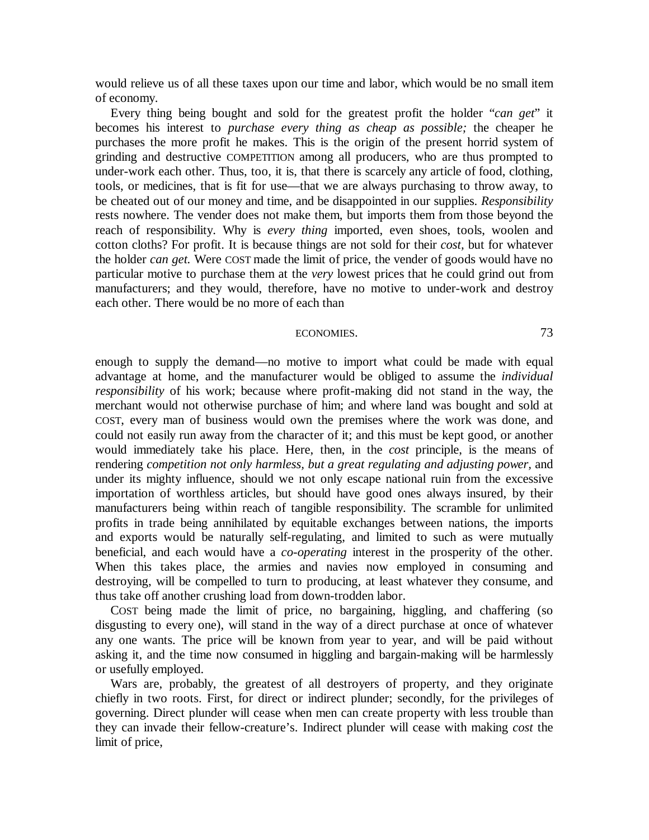would relieve us of all these taxes upon our time and labor, which would be no small item of economy.

Every thing being bought and sold for the greatest profit the holder "*can get*" it becomes his interest to *purchase every thing as cheap as possible;* the cheaper he purchases the more profit he makes. This is the origin of the present horrid system of grinding and destructive COMPETITION among all producers, who are thus prompted to under-work each other. Thus, too, it is, that there is scarcely any article of food, clothing, tools, or medicines, that is fit for use—that we are always purchasing to throw away, to be cheated out of our money and time, and be disappointed in our supplies. *Responsibility*  rests nowhere. The vender does not make them, but imports them from those beyond the reach of responsibility. Why is *every thing* imported, even shoes, tools, woolen and cotton cloths? For profit. It is because things are not sold for their *cost,* but for whatever the holder *can get.* Were COST made the limit of price, the vender of goods would have no particular motive to purchase them at the *very* lowest prices that he could grind out from manufacturers; and they would, therefore, have no motive to under-work and destroy each other. There would be no more of each than

# ECONOMIES. 73

enough to supply the demand—no motive to import what could be made with equal advantage at home, and the manufacturer would be obliged to assume the *individual responsibility* of his work; because where profit-making did not stand in the way, the merchant would not otherwise purchase of him; and where land was bought and sold at COST, every man of business would own the premises where the work was done, and could not easily run away from the character of it; and this must be kept good, or another would immediately take his place. Here, then, in the *cost* principle, is the means of rendering *competition not only harmless, but a great regulating and adjusting power, and* under its mighty influence, should we not only escape national ruin from the excessive importation of worthless articles, but should have good ones always insured, by their manufacturers being within reach of tangible responsibility. The scramble for unlimited profits in trade being annihilated by equitable exchanges between nations, the imports and exports would be naturally self-regulating, and limited to such as were mutually beneficial, and each would have a *co-operating* interest in the prosperity of the other. When this takes place, the armies and navies now employed in consuming and destroying, will be compelled to turn to producing, at least whatever they consume, and thus take off another crushing load from down-trodden labor.

COST being made the limit of price, no bargaining, higgling, and chaffering (so disgusting to every one), will stand in the way of a direct purchase at once of whatever any one wants. The price will be known from year to year, and will be paid without asking it, and the time now consumed in higgling and bargain-making will be harmlessly or usefully employed.

Wars are, probably, the greatest of all destroyers of property, and they originate chiefly in two roots. First, for direct or indirect plunder; secondly, for the privileges of governing. Direct plunder will cease when men can create property with less trouble than they can invade their fellow-creature's. Indirect plunder will cease with making *cost* the limit of price,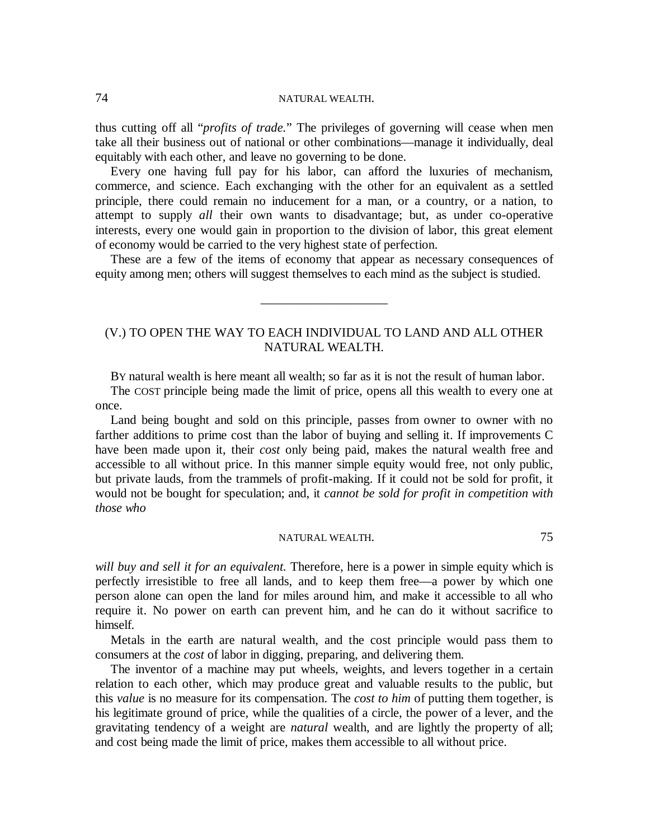# 74 NATURAL WEALTH.

thus cutting off all "*profits of trade.*" The privileges of governing will cease when men take all their business out of national or other combinations—manage it individually, deal equitably with each other, and leave no governing to be done.

Every one having full pay for his labor, can afford the luxuries of mechanism, commerce, and science. Each exchanging with the other for an equivalent as a settled principle, there could remain no inducement for a man, or a country, or a nation, to attempt to supply *all* their own wants to disadvantage; but, as under co-operative interests, every one would gain in proportion to the division of labor, this great element of economy would be carried to the very highest state of perfection.

These are a few of the items of economy that appear as necessary consequences of equity among men; others will suggest themselves to each mind as the subject is studied.

——————————

# (V.) TO OPEN THE WAY TO EACH INDIVIDUAL TO LAND AND ALL OTHER NATURAL WEALTH.

BY natural wealth is here meant all wealth; so far as it is not the result of human labor.

The COST principle being made the limit of price, opens all this wealth to every one at once.

Land being bought and sold on this principle, passes from owner to owner with no farther additions to prime cost than the labor of buying and selling it. If improvements C have been made upon it, their *cost* only being paid, makes the natural wealth free and accessible to all without price. In this manner simple equity would free, not only public, but private lauds, from the trammels of profit-making. If it could not be sold for profit, it would not be bought for speculation; and, it *cannot be sold for profit in competition with those who* 

# NATURAL WEALTH. 25

*will buy and sell it for an equivalent.* Therefore, here is a power in simple equity which is perfectly irresistible to free all lands, and to keep them free—a power by which one person alone can open the land for miles around him, and make it accessible to all who require it. No power on earth can prevent him, and he can do it without sacrifice to himself.

Metals in the earth are natural wealth, and the cost principle would pass them to consumers at the *cost* of labor in digging, preparing, and delivering them.

The inventor of a machine may put wheels, weights, and levers together in a certain relation to each other, which may produce great and valuable results to the public, but this *value* is no measure for its compensation. The *cost to him* of putting them together, is his legitimate ground of price, while the qualities of a circle, the power of a lever, and the gravitating tendency of a weight are *natural* wealth, and are lightly the property of all; and cost being made the limit of price, makes them accessible to all without price.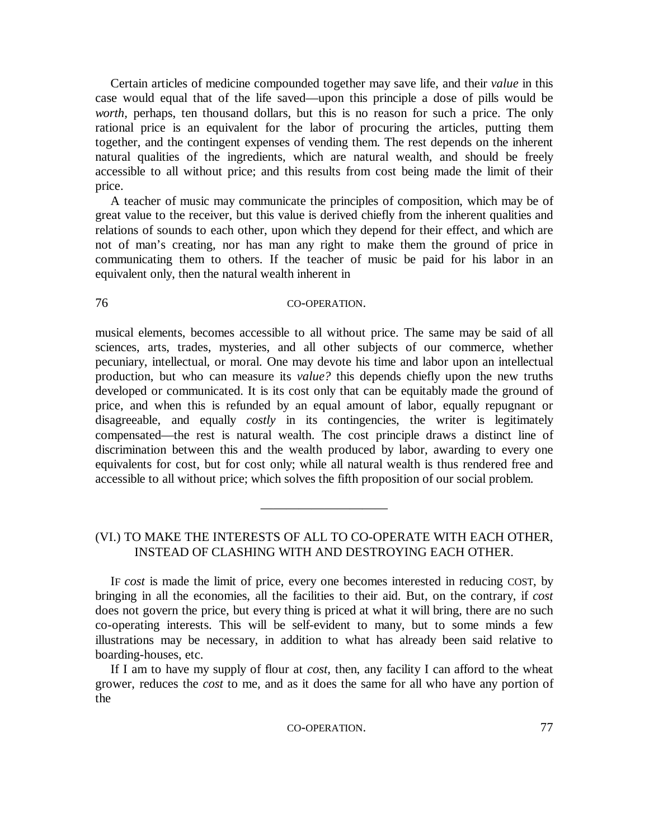Certain articles of medicine compounded together may save life, and their *value* in this case would equal that of the life saved—upon this principle a dose of pills would be *worth,* perhaps, ten thousand dollars, but this is no reason for such a price. The only rational price is an equivalent for the labor of procuring the articles, putting them together, and the contingent expenses of vending them. The rest depends on the inherent natural qualities of the ingredients, which are natural wealth, and should be freely accessible to all without price; and this results from cost being made the limit of their price.

A teacher of music may communicate the principles of composition, which may be of great value to the receiver, but this value is derived chiefly from the inherent qualities and relations of sounds to each other, upon which they depend for their effect, and which are not of man's creating, nor has man any right to make them the ground of price in communicating them to others. If the teacher of music be paid for his labor in an equivalent only, then the natural wealth inherent in

# 76 CO-OPERATION.

musical elements, becomes accessible to all without price. The same may be said of all sciences, arts, trades, mysteries, and all other subjects of our commerce, whether pecuniary, intellectual, or moral. One may devote his time and labor upon an intellectual production, but who can measure its *value?* this depends chiefly upon the new truths developed or communicated. It is its cost only that can be equitably made the ground of price, and when this is refunded by an equal amount of labor, equally repugnant or disagreeable, and equally *costly* in its contingencies, the writer is legitimately compensated—the rest is natural wealth. The cost principle draws a distinct line of discrimination between this and the wealth produced by labor, awarding to every one equivalents for cost, but for cost only; while all natural wealth is thus rendered free and accessible to all without price; which solves the fifth proposition of our social problem.

# (VI.) TO MAKE THE INTERESTS OF ALL TO CO-OPERATE WITH EACH OTHER, INSTEAD OF CLASHING WITH AND DESTROYING EACH OTHER.

——————————

IF *cost* is made the limit of price, every one becomes interested in reducing COST, by bringing in all the economies, all the facilities to their aid. But, on the contrary, if *cost*  does not govern the price, but every thing is priced at what it will bring, there are no such co-operating interests. This will be self-evident to many, but to some minds a few illustrations may be necessary, in addition to what has already been said relative to boarding-houses, etc.

If I am to have my supply of flour at *cost,* then, any facility I can afford to the wheat grower, reduces the *cost* to me, and as it does the same for all who have any portion of the

CO-OPERATION. 77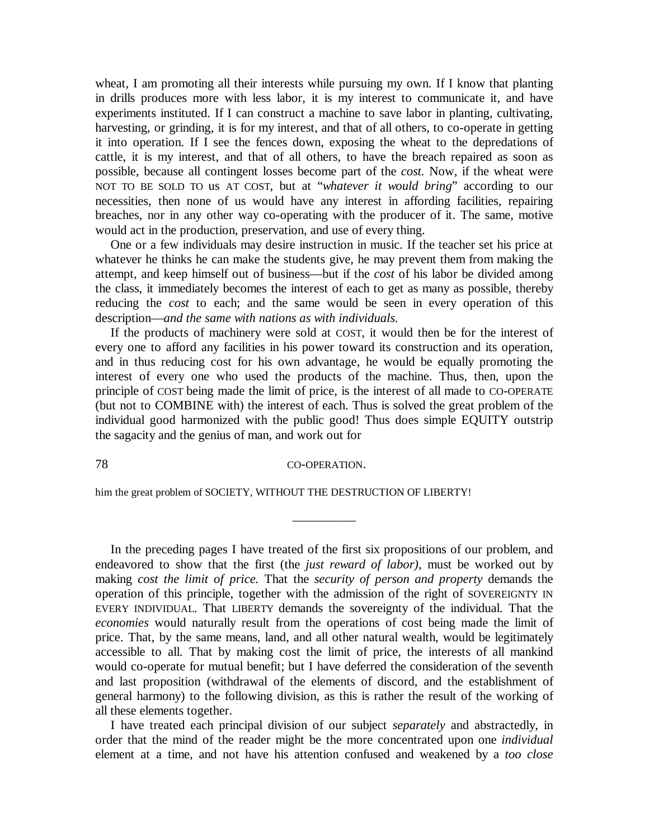wheat, I am promoting all their interests while pursuing my own. If I know that planting in drills produces more with less labor, it is my interest to communicate it, and have experiments instituted. If I can construct a machine to save labor in planting, cultivating, harvesting, or grinding, it is for my interest, and that of all others, to co-operate in getting it into operation. If I see the fences down, exposing the wheat to the depredations of cattle, it is my interest, and that of all others, to have the breach repaired as soon as possible, because all contingent losses become part of the *cost.* Now, if the wheat were NOT TO BE SOLD TO us AT COST, but at "*whatever it would bring*" according to our necessities, then none of us would have any interest in affording facilities, repairing breaches, nor in any other way co-operating with the producer of it. The same, motive would act in the production, preservation, and use of every thing.

One or a few individuals may desire instruction in music. If the teacher set his price at whatever he thinks he can make the students give, he may prevent them from making the attempt, and keep himself out of business—but if the *cost* of his labor be divided among the class, it immediately becomes the interest of each to get as many as possible, thereby reducing the *cost* to each; and the same would be seen in every operation of this description—*and the same with nations as with individuals.*

If the products of machinery were sold at COST, it would then be for the interest of every one to afford any facilities in his power toward its construction and its operation, and in thus reducing cost for his own advantage, he would be equally promoting the interest of every one who used the products of the machine. Thus, then, upon the principle of COST being made the limit of price, is the interest of all made to CO-OPERATE (but not to COMBINE with) the interest of each. Thus is solved the great problem of the individual good harmonized with the public good! Thus does simple EQUITY outstrip the sagacity and the genius of man, and work out for

#### 78 CO-OPERATION.

—————

him the great problem of SOCIETY, WITHOUT THE DESTRUCTION OF LIBERTY!

In the preceding pages I have treated of the first six propositions of our problem, and endeavored to show that the first (the *just reward of labor),* must be worked out by making *cost the limit of price.* That the *security of person and property* demands the operation of this principle, together with the admission of the right of SOVEREIGNTY IN EVERY INDIVIDUAL. That LIBERTY demands the sovereignty of the individual. That the *economies* would naturally result from the operations of cost being made the limit of price. That, by the same means, land, and all other natural wealth, would be legitimately accessible to all. That by making cost the limit of price, the interests of all mankind would co-operate for mutual benefit; but I have deferred the consideration of the seventh and last proposition (withdrawal of the elements of discord, and the establishment of general harmony) to the following division, as this is rather the result of the working of all these elements together.

I have treated each principal division of our subject *separately* and abstractedly, in order that the mind of the reader might be the more concentrated upon one *individual*  element at a time, and not have his attention confused and weakened by a *too close*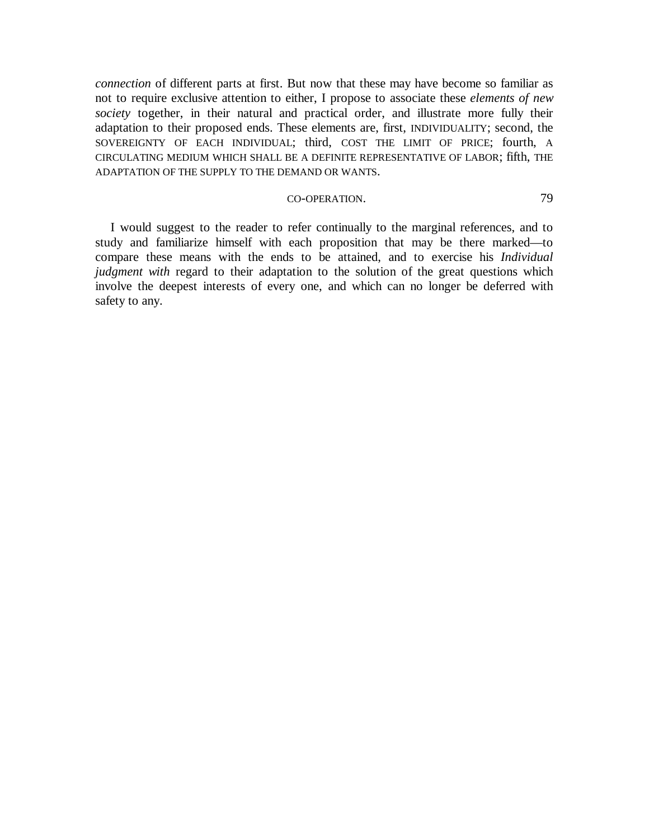*connection* of different parts at first. But now that these may have become so familiar as not to require exclusive attention to either, I propose to associate these *elements of new society* together, in their natural and practical order, and illustrate more fully their adaptation to their proposed ends. These elements are, first, INDIVIDUALITY; second, the SOVEREIGNTY OF EACH INDIVIDUAL; third, COST THE LIMIT OF PRICE; fourth, A CIRCULATING MEDIUM WHICH SHALL BE A DEFINITE REPRESENTATIVE OF LABOR; fifth, THE ADAPTATION OF THE SUPPLY TO THE DEMAND OR WANTS.

# CO-OPERATION. 79

I would suggest to the reader to refer continually to the marginal references, and to study and familiarize himself with each proposition that may be there marked—to compare these means with the ends to be attained, and to exercise his *Individual judgment with* regard to their adaptation to the solution of the great questions which involve the deepest interests of every one, and which can no longer be deferred with safety to any.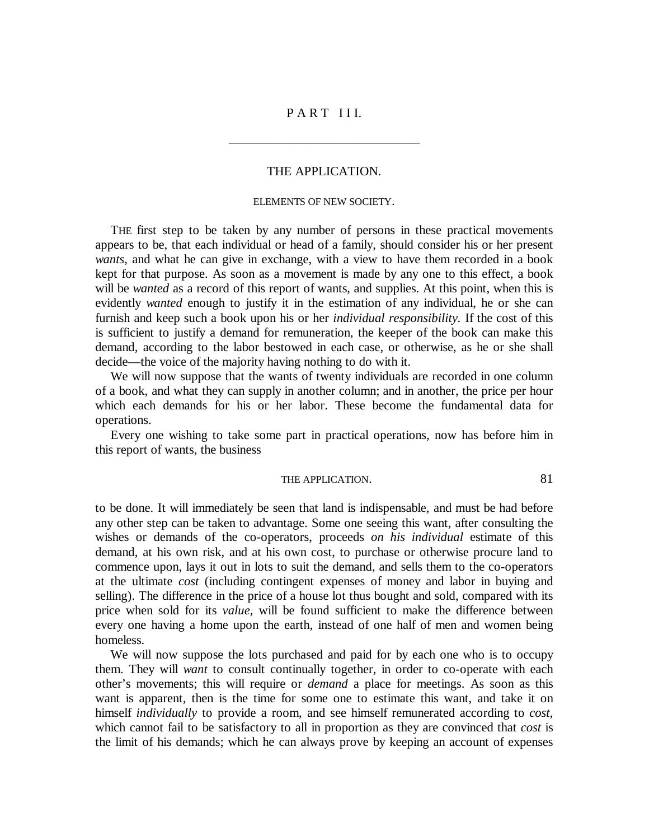# PART III.

# THE APPLICATION.

———————————————

#### ELEMENTS OF NEW SOCIETY.

THE first step to be taken by any number of persons in these practical movements appears to be, that each individual or head of a family, should consider his or her present *wants*, and what he can give in exchange, with a view to have them recorded in a book kept for that purpose. As soon as a movement is made by any one to this effect, a book will be *wanted* as a record of this report of wants, and supplies. At this point, when this is evidently *wanted* enough to justify it in the estimation of any individual, he or she can furnish and keep such a book upon his or her *individual responsibility.* If the cost of this is sufficient to justify a demand for remuneration, the keeper of the book can make this demand, according to the labor bestowed in each case, or otherwise, as he or she shall decide—the voice of the majority having nothing to do with it.

We will now suppose that the wants of twenty individuals are recorded in one column of a book, and what they can supply in another column; and in another, the price per hour which each demands for his or her labor. These become the fundamental data for operations.

Every one wishing to take some part in practical operations, now has before him in this report of wants, the business

THE APPLICATION. 
$$
81
$$

to be done. It will immediately be seen that land is indispensable, and must be had before any other step can be taken to advantage. Some one seeing this want, after consulting the wishes or demands of the co-operators, proceeds *on his individual* estimate of this demand, at his own risk, and at his own cost, to purchase or otherwise procure land to commence upon, lays it out in lots to suit the demand, and sells them to the co-operators at the ultimate *cost* (including contingent expenses of money and labor in buying and selling). The difference in the price of a house lot thus bought and sold, compared with its price when sold for its *value,* will be found sufficient to make the difference between every one having a home upon the earth, instead of one half of men and women being homeless.

We will now suppose the lots purchased and paid for by each one who is to occupy them. They will *want* to consult continually together, in order to co-operate with each other's movements; this will require or *demand* a place for meetings. As soon as this want is apparent, then is the time for some one to estimate this want, and take it on himself *individually* to provide a room, and see himself remunerated according to *cost,*  which cannot fail to be satisfactory to all in proportion as they are convinced that *cost* is the limit of his demands; which he can always prove by keeping an account of expenses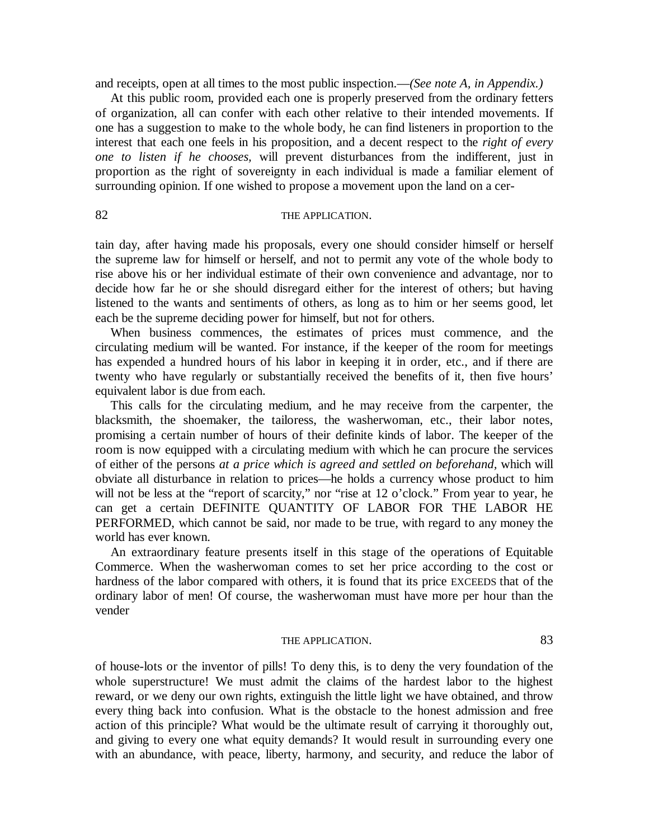and receipts, open at all times to the most public inspection.—*(See note A, in Appendix.)*

At this public room, provided each one is properly preserved from the ordinary fetters of organization, all can confer with each other relative to their intended movements. If one has a suggestion to make to the whole body, he can find listeners in proportion to the interest that each one feels in his proposition, and a decent respect to the *right of every one to listen if he chooses,* will prevent disturbances from the indifferent, just in proportion as the right of sovereignty in each individual is made a familiar element of surrounding opinion. If one wished to propose a movement upon the land on a cer-

## 82 THE APPLICATION.

tain day, after having made his proposals, every one should consider himself or herself the supreme law for himself or herself, and not to permit any vote of the whole body to rise above his or her individual estimate of their own convenience and advantage, nor to decide how far he or she should disregard either for the interest of others; but having listened to the wants and sentiments of others, as long as to him or her seems good, let each be the supreme deciding power for himself, but not for others.

When business commences, the estimates of prices must commence, and the circulating medium will be wanted. For instance, if the keeper of the room for meetings has expended a hundred hours of his labor in keeping it in order, etc., and if there are twenty who have regularly or substantially received the benefits of it, then five hours' equivalent labor is due from each.

This calls for the circulating medium, and he may receive from the carpenter, the blacksmith, the shoemaker, the tailoress, the washerwoman, etc., their labor notes, promising a certain number of hours of their definite kinds of labor. The keeper of the room is now equipped with a circulating medium with which he can procure the services of either of the persons *at a price which is agreed and settled on beforehand,* which will obviate all disturbance in relation to prices—he holds a currency whose product to him will not be less at the "report of scarcity," nor "rise at 12 o'clock." From year to year, he can get a certain DEFINITE QUANTITY OF LABOR FOR THE LABOR HE PERFORMED, which cannot be said, nor made to be true, with regard to any money the world has ever known.

An extraordinary feature presents itself in this stage of the operations of Equitable Commerce. When the washerwoman comes to set her price according to the cost or hardness of the labor compared with others, it is found that its price EXCEEDS that of the ordinary labor of men! Of course, the washerwoman must have more per hour than the vender

### THE APPLICATION. 83

of house-lots or the inventor of pills! To deny this, is to deny the very foundation of the whole superstructure! We must admit the claims of the hardest labor to the highest reward, or we deny our own rights, extinguish the little light we have obtained, and throw every thing back into confusion. What is the obstacle to the honest admission and free action of this principle? What would be the ultimate result of carrying it thoroughly out, and giving to every one what equity demands? It would result in surrounding every one with an abundance, with peace, liberty, harmony, and security, and reduce the labor of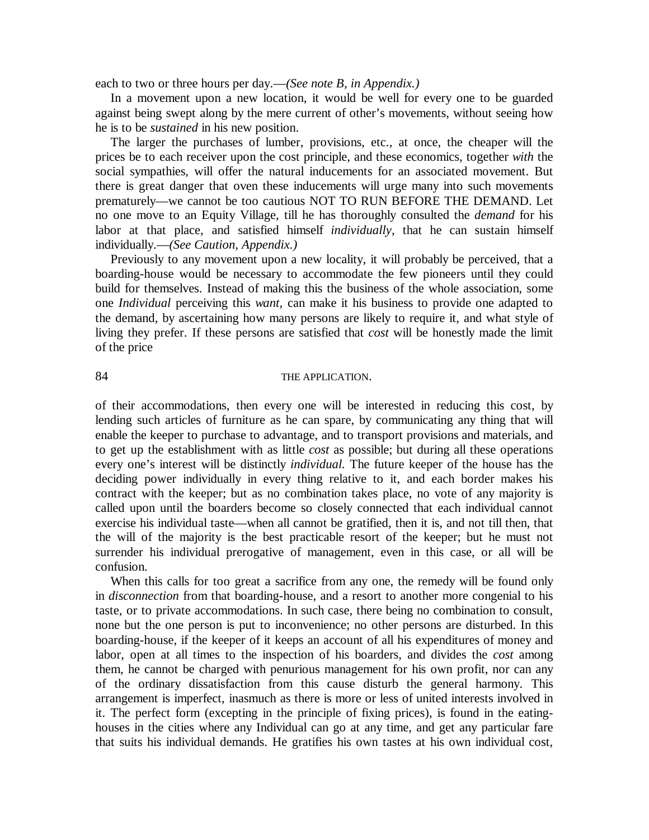each to two or three hours per day.—*(See note B, in Appendix.)*

In a movement upon a new location, it would be well for every one to be guarded against being swept along by the mere current of other's movements, without seeing how he is to be *sustained* in his new position.

The larger the purchases of lumber, provisions, etc., at once, the cheaper will the prices be to each receiver upon the cost principle, and these economics, together *with* the social sympathies, will offer the natural inducements for an associated movement. But there is great danger that oven these inducements will urge many into such movements prematurely—we cannot be too cautious NOT TO RUN BEFORE THE DEMAND. Let no one move to an Equity Village, till he has thoroughly consulted the *demand* for his labor at that place, and satisfied himself *individually,* that he can sustain himself individually.—*(See Caution, Appendix.)*

Previously to any movement upon a new locality, it will probably be perceived, that a boarding-house would be necessary to accommodate the few pioneers until they could build for themselves. Instead of making this the business of the whole association, some one *Individual* perceiving this *want,* can make it his business to provide one adapted to the demand, by ascertaining how many persons are likely to require it, and what style of living they prefer. If these persons are satisfied that *cost* will be honestly made the limit of the price

# 84 THE APPLICATION.

of their accommodations, then every one will be interested in reducing this cost, by lending such articles of furniture as he can spare, by communicating any thing that will enable the keeper to purchase to advantage, and to transport provisions and materials, and to get up the establishment with as little *cost* as possible; but during all these operations every one's interest will be distinctly *individual.* The future keeper of the house has the deciding power individually in every thing relative to it, and each border makes his contract with the keeper; but as no combination takes place, no vote of any majority is called upon until the boarders become so closely connected that each individual cannot exercise his individual taste—when all cannot be gratified, then it is, and not till then, that the will of the majority is the best practicable resort of the keeper; but he must not surrender his individual prerogative of management, even in this case, or all will be confusion.

When this calls for too great a sacrifice from any one, the remedy will be found only in *disconnection* from that boarding-house, and a resort to another more congenial to his taste, or to private accommodations. In such case, there being no combination to consult, none but the one person is put to inconvenience; no other persons are disturbed. In this boarding-house, if the keeper of it keeps an account of all his expenditures of money and labor, open at all times to the inspection of his boarders, and divides the *cost* among them, he cannot be charged with penurious management for his own profit, nor can any of the ordinary dissatisfaction from this cause disturb the general harmony. This arrangement is imperfect, inasmuch as there is more or less of united interests involved in it. The perfect form (excepting in the principle of fixing prices), is found in the eatinghouses in the cities where any Individual can go at any time, and get any particular fare that suits his individual demands. He gratifies his own tastes at his own individual cost,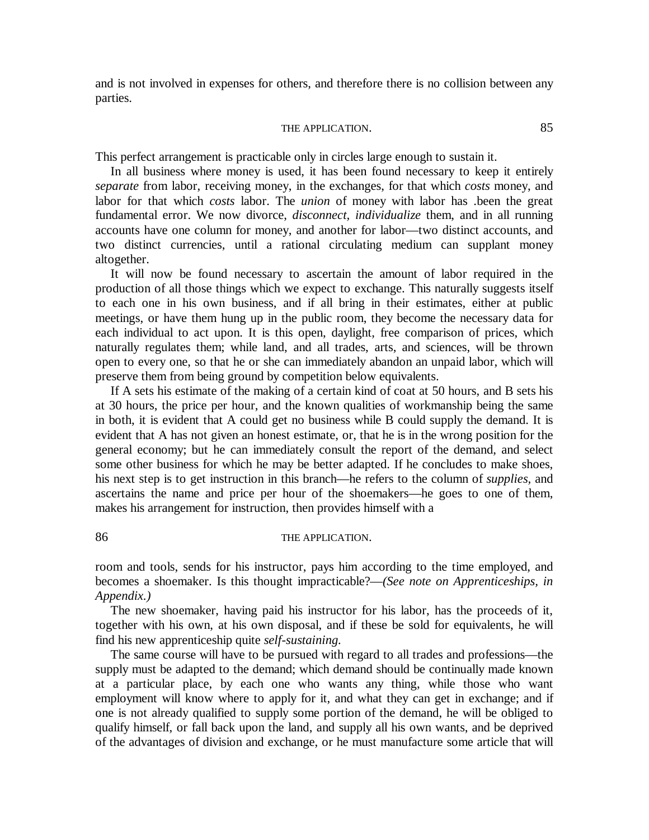and is not involved in expenses for others, and therefore there is no collision between any parties.

# THE APPLICATION. 85

This perfect arrangement is practicable only in circles large enough to sustain it.

In all business where money is used, it has been found necessary to keep it entirely *separate* from labor, receiving money, in the exchanges, for that which *costs* money, and labor for that which *costs* labor. The *union* of money with labor has .been the great fundamental error. We now divorce, *disconnect, individualize* them, and in all running accounts have one column for money, and another for labor—two distinct accounts, and two distinct currencies, until a rational circulating medium can supplant money altogether.

It will now be found necessary to ascertain the amount of labor required in the production of all those things which we expect to exchange. This naturally suggests itself to each one in his own business, and if all bring in their estimates, either at public meetings, or have them hung up in the public room, they become the necessary data for each individual to act upon. It is this open, daylight, free comparison of prices, which naturally regulates them; while land, and all trades, arts, and sciences, will be thrown open to every one, so that he or she can immediately abandon an unpaid labor, which will preserve them from being ground by competition below equivalents.

If A sets his estimate of the making of a certain kind of coat at 50 hours, and B sets his at 30 hours, the price per hour, and the known qualities of workmanship being the same in both, it is evident that A could get no business while B could supply the demand. It is evident that A has not given an honest estimate, or, that he is in the wrong position for the general economy; but he can immediately consult the report of the demand, and select some other business for which he may be better adapted. If he concludes to make shoes, his next step is to get instruction in this branch—he refers to the column of *supplies,* and ascertains the name and price per hour of the shoemakers—he goes to one of them, makes his arrangement for instruction, then provides himself with a

#### 86 THE APPLICATION.

room and tools, sends for his instructor, pays him according to the time employed, and becomes a shoemaker. Is this thought impracticable?—*(See note on Apprenticeships, in Appendix.)*

The new shoemaker, having paid his instructor for his labor, has the proceeds of it, together with his own, at his own disposal, and if these be sold for equivalents, he will find his new apprenticeship quite *self-sustaining.*

The same course will have to be pursued with regard to all trades and professions—the supply must be adapted to the demand; which demand should be continually made known at a particular place, by each one who wants any thing, while those who want employment will know where to apply for it, and what they can get in exchange; and if one is not already qualified to supply some portion of the demand, he will be obliged to qualify himself, or fall back upon the land, and supply all his own wants, and be deprived of the advantages of division and exchange, or he must manufacture some article that will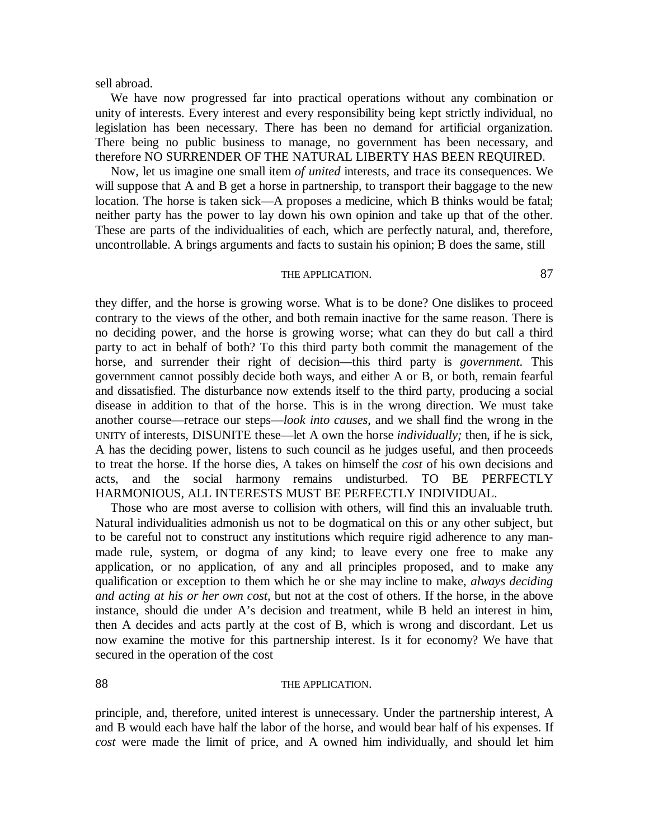sell abroad.

We have now progressed far into practical operations without any combination or unity of interests. Every interest and every responsibility being kept strictly individual, no legislation has been necessary. There has been no demand for artificial organization. There being no public business to manage, no government has been necessary, and therefore NO SURRENDER OF THE NATURAL LIBERTY HAS BEEN REQUIRED.

Now, let us imagine one small item *of united* interests, and trace its consequences. We will suppose that A and B get a horse in partnership, to transport their baggage to the new location. The horse is taken sick—A proposes a medicine, which B thinks would be fatal; neither party has the power to lay down his own opinion and take up that of the other. These are parts of the individualities of each, which are perfectly natural, and, therefore, uncontrollable. A brings arguments and facts to sustain his opinion; B does the same, still

# THE APPLICATION. 87

they differ, and the horse is growing worse. What is to be done? One dislikes to proceed contrary to the views of the other, and both remain inactive for the same reason. There is no deciding power, and the horse is growing worse; what can they do but call a third party to act in behalf of both? To this third party both commit the management of the horse, and surrender their right of decision—this third party is *government.* This government cannot possibly decide both ways, and either A or B, or both, remain fearful and dissatisfied. The disturbance now extends itself to the third party, producing a social disease in addition to that of the horse. This is in the wrong direction. We must take another course—retrace our steps—*look into causes*, and we shall find the wrong in the UNITY of interests, DISUNITE these—let A own the horse *individually;* then, if he is sick, A has the deciding power, listens to such council as he judges useful, and then proceeds to treat the horse. If the horse dies, A takes on himself the *cost* of his own decisions and acts, and the social harmony remains undisturbed. TO BE PERFECTLY HARMONIOUS, ALL INTERESTS MUST BE PERFECTLY INDIVIDUAL.

Those who are most averse to collision with others, will find this an invaluable truth. Natural individualities admonish us not to be dogmatical on this or any other subject, but to be careful not to construct any institutions which require rigid adherence to any manmade rule, system, or dogma of any kind; to leave every one free to make any application, or no application, of any and all principles proposed, and to make any qualification or exception to them which he or she may incline to make, *always deciding and acting at his or her own cost,* but not at the cost of others. If the horse, in the above instance, should die under A's decision and treatment, while B held an interest in him, then A decides and acts partly at the cost of B, which is wrong and discordant. Let us now examine the motive for this partnership interest. Is it for economy? We have that secured in the operation of the cost

88 THE APPLICATION.

principle, and, therefore, united interest is unnecessary. Under the partnership interest, A and B would each have half the labor of the horse, and would bear half of his expenses. If *cost* were made the limit of price, and A owned him individually, and should let him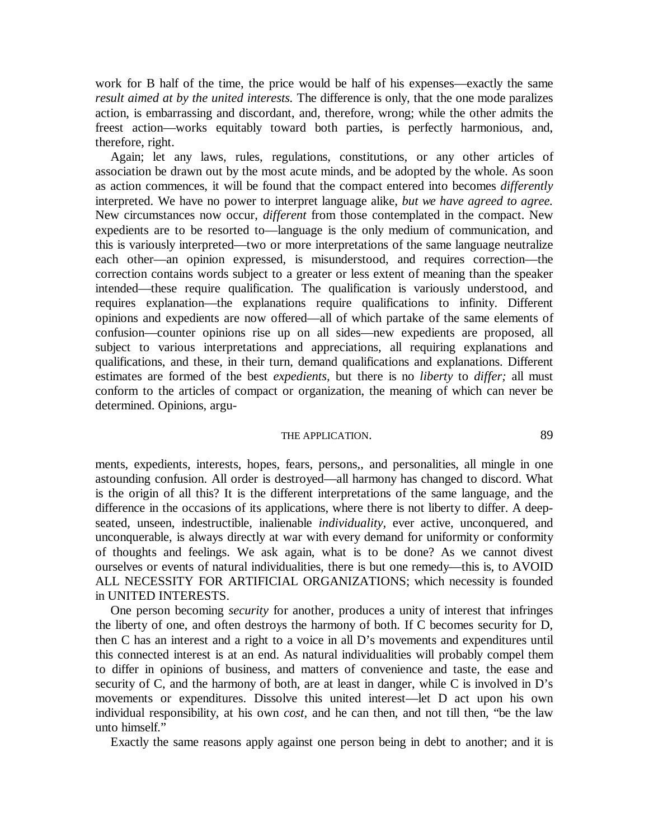work for B half of the time, the price would be half of his expenses—exactly the same *result aimed at by the united interests.* The difference is only, that the one mode paralizes action, is embarrassing and discordant, and, therefore, wrong; while the other admits the freest action—works equitably toward both parties, is perfectly harmonious, and, therefore, right.

Again; let any laws, rules, regulations, constitutions, or any other articles of association be drawn out by the most acute minds, and be adopted by the whole. As soon as action commences, it will be found that the compact entered into becomes *differently*  interpreted. We have no power to interpret language alike, *but we have agreed to agree.*  New circumstances now occur, *different* from those contemplated in the compact. New expedients are to be resorted to—language is the only medium of communication, and this is variously interpreted—two or more interpretations of the same language neutralize each other—an opinion expressed, is misunderstood, and requires correction—the correction contains words subject to a greater or less extent of meaning than the speaker intended—these require qualification. The qualification is variously understood, and requires explanation—the explanations require qualifications to infinity. Different opinions and expedients are now offered—all of which partake of the same elements of confusion—counter opinions rise up on all sides—new expedients are proposed, all subject to various interpretations and appreciations, all requiring explanations and qualifications, and these, in their turn, demand qualifications and explanations. Different estimates are formed of the best *expedients,* but there is no *liberty* to *differ;* all must conform to the articles of compact or organization, the meaning of which can never be determined. Opinions, argu-

## THE APPLICATION. 89

ments, expedients, interests, hopes, fears, persons,, and personalities, all mingle in one astounding confusion. All order is destroyed—all harmony has changed to discord. What is the origin of all this? It is the different interpretations of the same language, and the difference in the occasions of its applications, where there is not liberty to differ. A deepseated, unseen, indestructible, inalienable *individuality,* ever active, unconquered, and unconquerable, is always directly at war with every demand for uniformity or conformity of thoughts and feelings. We ask again, what is to be done? As we cannot divest ourselves or events of natural individualities, there is but one remedy—this is, to AVOID ALL NECESSITY FOR ARTIFICIAL ORGANIZATIONS; which necessity is founded in UNITED INTERESTS.

One person becoming *security* for another, produces a unity of interest that infringes the liberty of one, and often destroys the harmony of both. If C becomes security for D, then C has an interest and a right to a voice in all D's movements and expenditures until this connected interest is at an end. As natural individualities will probably compel them to differ in opinions of business, and matters of convenience and taste, the ease and security of C, and the harmony of both, are at least in danger, while C is involved in D's movements or expenditures. Dissolve this united interest—let D act upon his own individual responsibility, at his own *cost,* and he can then, and not till then, "be the law unto himself."

Exactly the same reasons apply against one person being in debt to another; and it is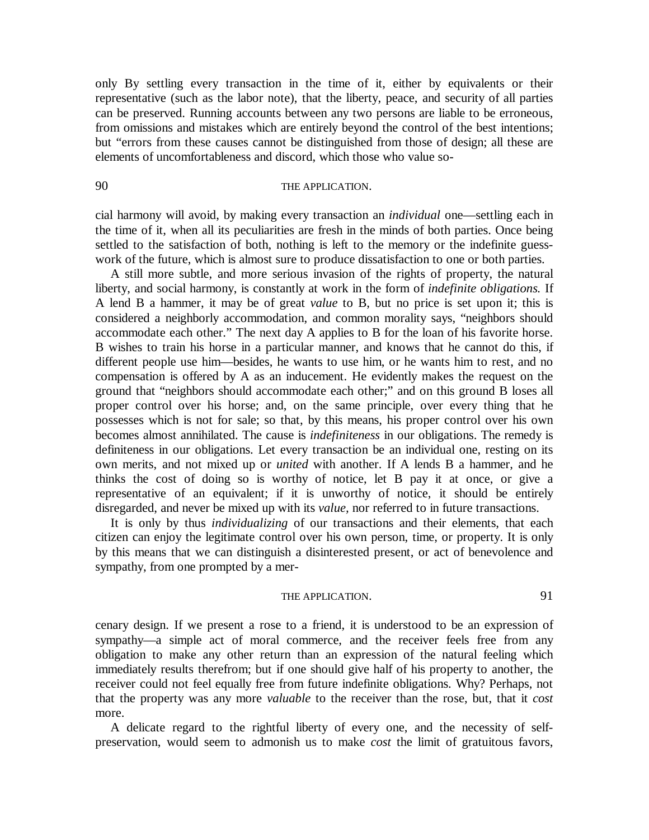only By settling every transaction in the time of it, either by equivalents or their representative (such as the labor note), that the liberty, peace, and security of all parties can be preserved. Running accounts between any two persons are liable to be erroneous, from omissions and mistakes which are entirely beyond the control of the best intentions; but "errors from these causes cannot be distinguished from those of design; all these are elements of uncomfortableness and discord, which those who value so-

## 90 THE APPLICATION.

cial harmony will avoid, by making every transaction an *individual* one—settling each in the time of it, when all its peculiarities are fresh in the minds of both parties. Once being settled to the satisfaction of both, nothing is left to the memory or the indefinite guesswork of the future, which is almost sure to produce dissatisfaction to one or both parties.

A still more subtle, and more serious invasion of the rights of property, the natural liberty, and social harmony, is constantly at work in the form of *indefinite obligations.* If A lend B a hammer, it may be of great *value* to B, but no price is set upon it; this is considered a neighborly accommodation, and common morality says, "neighbors should accommodate each other." The next day A applies to B for the loan of his favorite horse. B wishes to train his horse in a particular manner, and knows that he cannot do this, if different people use him—besides, he wants to use him, or he wants him to rest, and no compensation is offered by A as an inducement. He evidently makes the request on the ground that "neighbors should accommodate each other;" and on this ground B loses all proper control over his horse; and, on the same principle, over every thing that he possesses which is not for sale; so that, by this means, his proper control over his own becomes almost annihilated. The cause is *indefiniteness* in our obligations. The remedy is definiteness in our obligations. Let every transaction be an individual one, resting on its own merits, and not mixed up or *united* with another. If A lends B a hammer, and he thinks the cost of doing so is worthy of notice, let B pay it at once, or give a representative of an equivalent; if it is unworthy of notice, it should be entirely disregarded, and never be mixed up with its *value,* nor referred to in future transactions.

It is only by thus *individualizing* of our transactions and their elements, that each citizen can enjoy the legitimate control over his own person, time, or property. It is only by this means that we can distinguish a disinterested present, or act of benevolence and sympathy, from one prompted by a mer-

# THE APPLICATION. 91

cenary design. If we present a rose to a friend, it is understood to be an expression of sympathy—a simple act of moral commerce, and the receiver feels free from any obligation to make any other return than an expression of the natural feeling which immediately results therefrom; but if one should give half of his property to another, the receiver could not feel equally free from future indefinite obligations. Why? Perhaps, not that the property was any more *valuable* to the receiver than the rose, but, that it *cost*  more.

A delicate regard to the rightful liberty of every one, and the necessity of selfpreservation, would seem to admonish us to make *cost* the limit of gratuitous favors,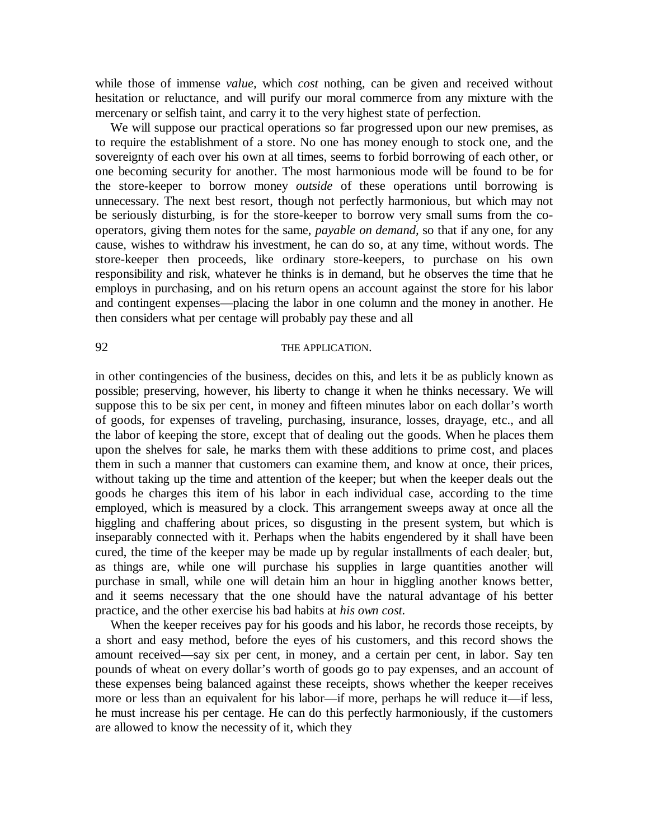while those of immense *value,* which *cost* nothing, can be given and received without hesitation or reluctance, and will purify our moral commerce from any mixture with the mercenary or selfish taint, and carry it to the very highest state of perfection.

We will suppose our practical operations so far progressed upon our new premises, as to require the establishment of a store. No one has money enough to stock one, and the sovereignty of each over his own at all times, seems to forbid borrowing of each other, or one becoming security for another. The most harmonious mode will be found to be for the store-keeper to borrow money *outside* of these operations until borrowing is unnecessary. The next best resort, though not perfectly harmonious, but which may not be seriously disturbing, is for the store-keeper to borrow very small sums from the cooperators, giving them notes for the same, *payable on demand,* so that if any one, for any cause, wishes to withdraw his investment, he can do so, at any time, without words. The store-keeper then proceeds, like ordinary store-keepers, to purchase on his own responsibility and risk, whatever he thinks is in demand, but he observes the time that he employs in purchasing, and on his return opens an account against the store for his labor and contingent expenses—placing the labor in one column and the money in another. He then considers what per centage will probably pay these and all

# 92 THE APPLICATION.

in other contingencies of the business, decides on this, and lets it be as publicly known as possible; preserving, however, his liberty to change it when he thinks necessary. We will suppose this to be six per cent, in money and fifteen minutes labor on each dollar's worth of goods, for expenses of traveling, purchasing, insurance, losses, drayage, etc., and all the labor of keeping the store, except that of dealing out the goods. When he places them upon the shelves for sale, he marks them with these additions to prime cost, and places them in such a manner that customers can examine them, and know at once, their prices, without taking up the time and attention of the keeper; but when the keeper deals out the goods he charges this item of his labor in each individual case, according to the time employed, which is measured by a clock. This arrangement sweeps away at once all the higgling and chaffering about prices, so disgusting in the present system, but which is inseparably connected with it. Perhaps when the habits engendered by it shall have been cured, the time of the keeper may be made up by regular installments of each dealer; but, as things are, while one will purchase his supplies in large quantities another will purchase in small, while one will detain him an hour in higgling another knows better, and it seems necessary that the one should have the natural advantage of his better practice, and the other exercise his bad habits at *his own cost.*

When the keeper receives pay for his goods and his labor, he records those receipts, by a short and easy method, before the eyes of his customers, and this record shows the amount received—say six per cent, in money, and a certain per cent, in labor. Say ten pounds of wheat on every dollar's worth of goods go to pay expenses, and an account of these expenses being balanced against these receipts, shows whether the keeper receives more or less than an equivalent for his labor—if more, perhaps he will reduce it—if less, he must increase his per centage. He can do this perfectly harmoniously, if the customers are allowed to know the necessity of it, which they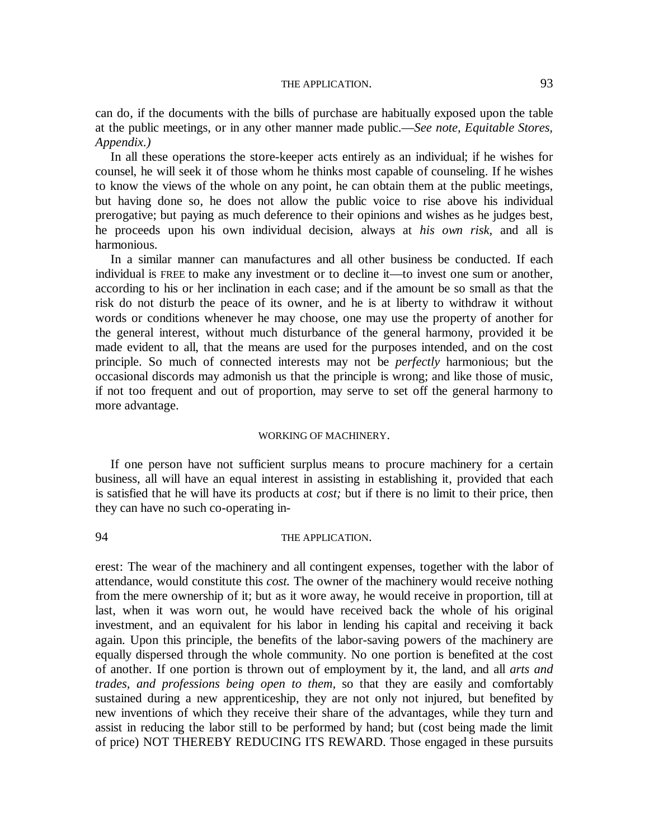### THE APPLICATION. 93

can do, if the documents with the bills of purchase are habitually exposed upon the table at the public meetings, or in any other manner made public.—*See note, Equitable Stores, Appendix.)*

In all these operations the store-keeper acts entirely as an individual; if he wishes for counsel, he will seek it of those whom he thinks most capable of counseling. If he wishes to know the views of the whole on any point, he can obtain them at the public meetings, but having done so, he does not allow the public voice to rise above his individual prerogative; but paying as much deference to their opinions and wishes as he judges best, he proceeds upon his own individual decision, always at *his own risk,* and all is harmonious.

In a similar manner can manufactures and all other business be conducted. If each individual is FREE to make any investment or to decline it—to invest one sum or another, according to his or her inclination in each case; and if the amount be so small as that the risk do not disturb the peace of its owner, and he is at liberty to withdraw it without words or conditions whenever he may choose, one may use the property of another for the general interest, without much disturbance of the general harmony, provided it be made evident to all, that the means are used for the purposes intended, and on the cost principle. So much of connected interests may not be *perfectly* harmonious; but the occasional discords may admonish us that the principle is wrong; and like those of music, if not too frequent and out of proportion, may serve to set off the general harmony to more advantage.

#### WORKING OF MACHINERY.

If one person have not sufficient surplus means to procure machinery for a certain business, all will have an equal interest in assisting in establishing it, provided that each is satisfied that he will have its products at *cost;* but if there is no limit to their price, then they can have no such co-operating in-

## 94 THE APPLICATION.

erest: The wear of the machinery and all contingent expenses, together with the labor of attendance, would constitute this *cost.* The owner of the machinery would receive nothing from the mere ownership of it; but as it wore away, he would receive in proportion, till at last, when it was worn out, he would have received back the whole of his original investment, and an equivalent for his labor in lending his capital and receiving it back again. Upon this principle, the benefits of the labor-saving powers of the machinery are equally dispersed through the whole community. No one portion is benefited at the cost of another. If one portion is thrown out of employment by it, the land, and all *arts and trades, and professions being open to them,* so that they are easily and comfortably sustained during a new apprenticeship, they are not only not injured, but benefited by new inventions of which they receive their share of the advantages, while they turn and assist in reducing the labor still to be performed by hand; but (cost being made the limit of price) NOT THEREBY REDUCING ITS REWARD. Those engaged in these pursuits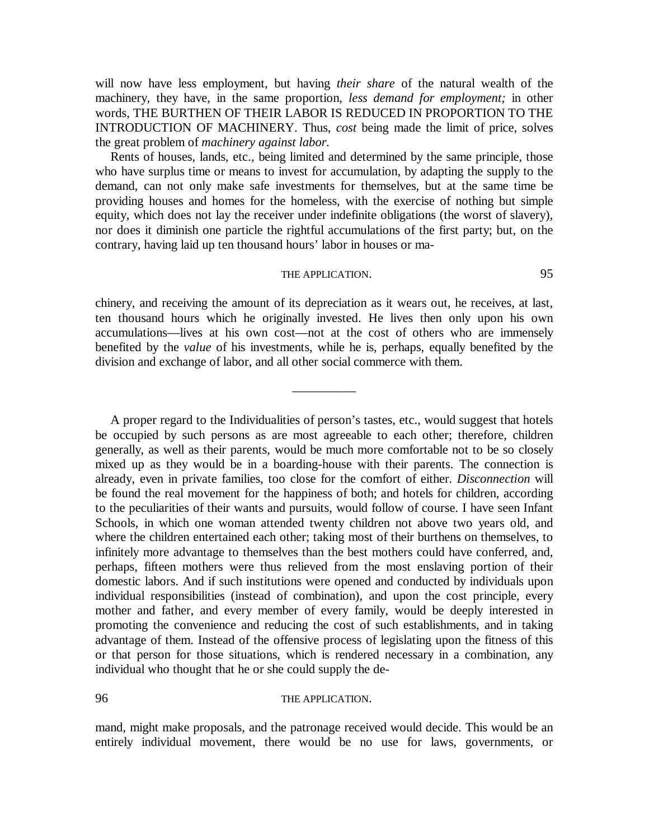will now have less employment, but having *their share* of the natural wealth of the machinery, they have, in the same proportion, *less demand for employment;* in other words, THE BURTHEN OF THEIR LABOR IS REDUCED IN PROPORTION TO THE INTRODUCTION OF MACHINERY. Thus, *cost* being made the limit of price, solves the great problem of *machinery against labor.*

Rents of houses, lands, etc., being limited and determined by the same principle, those who have surplus time or means to invest for accumulation, by adapting the supply to the demand, can not only make safe investments for themselves, but at the same time be providing houses and homes for the homeless, with the exercise of nothing but simple equity, which does not lay the receiver under indefinite obligations (the worst of slavery), nor does it diminish one particle the rightful accumulations of the first party; but, on the contrary, having laid up ten thousand hours' labor in houses or ma-

# THE APPLICATION. 95

chinery, and receiving the amount of its depreciation as it wears out, he receives, at last, ten thousand hours which he originally invested. He lives then only upon his own accumulations—lives at his own cost—not at the cost of others who are immensely benefited by the *value* of his investments, while he is, perhaps, equally benefited by the division and exchange of labor, and all other social commerce with them.

—————

A proper regard to the Individualities of person's tastes, etc., would suggest that hotels be occupied by such persons as are most agreeable to each other; therefore, children generally, as well as their parents, would be much more comfortable not to be so closely mixed up as they would be in a boarding-house with their parents. The connection is already, even in private families, too close for the comfort of either. *Disconnection* will be found the real movement for the happiness of both; and hotels for children, according to the peculiarities of their wants and pursuits, would follow of course. I have seen Infant Schools, in which one woman attended twenty children not above two years old, and where the children entertained each other; taking most of their burthens on themselves, to infinitely more advantage to themselves than the best mothers could have conferred, and, perhaps, fifteen mothers were thus relieved from the most enslaving portion of their domestic labors. And if such institutions were opened and conducted by individuals upon individual responsibilities (instead of combination), and upon the cost principle, every mother and father, and every member of every family, would be deeply interested in promoting the convenience and reducing the cost of such establishments, and in taking advantage of them. Instead of the offensive process of legislating upon the fitness of this or that person for those situations, which is rendered necessary in a combination, any individual who thought that he or she could supply the de-

96 THE APPLICATION.

mand, might make proposals, and the patronage received would decide. This would be an entirely individual movement, there would be no use for laws, governments, or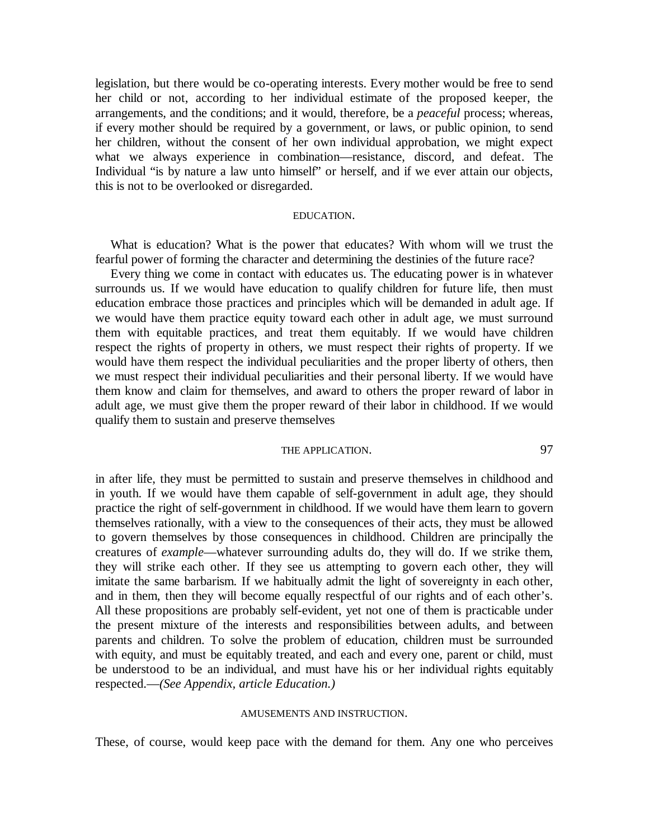legislation, but there would be co-operating interests. Every mother would be free to send her child or not, according to her individual estimate of the proposed keeper, the arrangements, and the conditions; and it would, therefore, be a *peaceful* process; whereas, if every mother should be required by a government, or laws, or public opinion, to send her children, without the consent of her own individual approbation, we might expect what we always experience in combination—resistance, discord, and defeat. The Individual "is by nature a law unto himself" or herself, and if we ever attain our objects, this is not to be overlooked or disregarded.

#### EDUCATION.

What is education? What is the power that educates? With whom will we trust the fearful power of forming the character and determining the destinies of the future race?

Every thing we come in contact with educates us. The educating power is in whatever surrounds us. If we would have education to qualify children for future life, then must education embrace those practices and principles which will be demanded in adult age. If we would have them practice equity toward each other in adult age, we must surround them with equitable practices, and treat them equitably. If we would have children respect the rights of property in others, we must respect their rights of property. If we would have them respect the individual peculiarities and the proper liberty of others, then we must respect their individual peculiarities and their personal liberty. If we would have them know and claim for themselves, and award to others the proper reward of labor in adult age, we must give them the proper reward of their labor in childhood. If we would qualify them to sustain and preserve themselves

# THE APPLICATION. 97

in after life, they must be permitted to sustain and preserve themselves in childhood and in youth. If we would have them capable of self-government in adult age, they should practice the right of self-government in childhood. If we would have them learn to govern themselves rationally, with a view to the consequences of their acts, they must be allowed to govern themselves by those consequences in childhood. Children are principally the creatures of *example*—whatever surrounding adults do, they will do. If we strike them, they will strike each other. If they see us attempting to govern each other, they will imitate the same barbarism. If we habitually admit the light of sovereignty in each other, and in them, then they will become equally respectful of our rights and of each other's. All these propositions are probably self-evident, yet not one of them is practicable under the present mixture of the interests and responsibilities between adults, and between parents and children. To solve the problem of education, children must be surrounded with equity, and must be equitably treated, and each and every one, parent or child, must be understood to be an individual, and must have his or her individual rights equitably respected.—*(See Appendix, article Education.)* 

#### AMUSEMENTS AND INSTRUCTION.

These, of course, would keep pace with the demand for them. Any one who perceives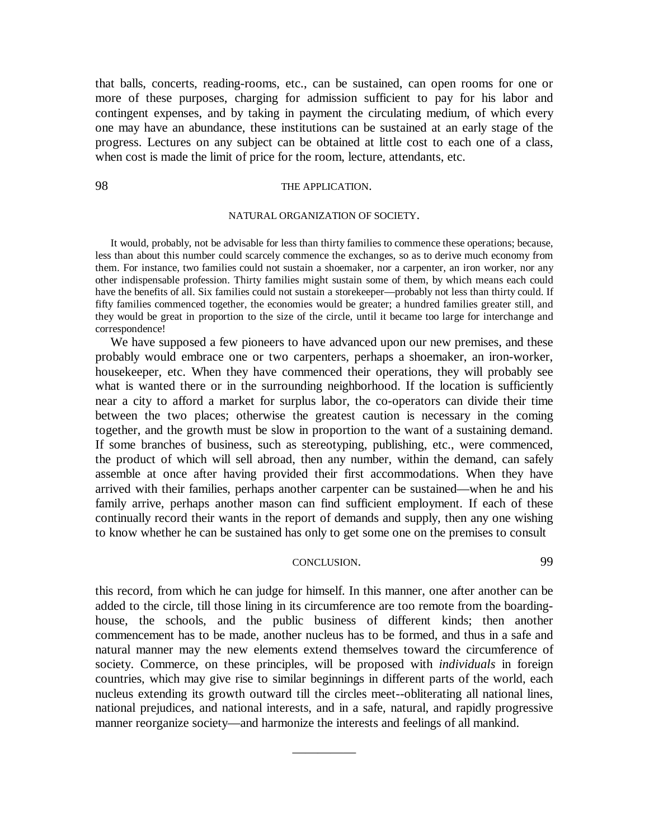that balls, concerts, reading-rooms, etc., can be sustained, can open rooms for one or more of these purposes, charging for admission sufficient to pay for his labor and contingent expenses, and by taking in payment the circulating medium, of which every one may have an abundance, these institutions can be sustained at an early stage of the progress. Lectures on any subject can be obtained at little cost to each one of a class, when cost is made the limit of price for the room, lecture, attendants, etc.

### 98 THE APPLICATION.

#### NATURAL ORGANIZATION OF SOCIETY.

It would, probably, not be advisable for less than thirty families to commence these operations; because, less than about this number could scarcely commence the exchanges, so as to derive much economy from them. For instance, two families could not sustain a shoemaker, nor a carpenter, an iron worker, nor any other indispensable profession. Thirty families might sustain some of them, by which means each could have the benefits of all. Six families could not sustain a storekeeper—probably not less than thirty could. If fifty families commenced together, the economies would be greater; a hundred families greater still, and they would be great in proportion to the size of the circle, until it became too large for interchange and correspondence!

We have supposed a few pioneers to have advanced upon our new premises, and these probably would embrace one or two carpenters, perhaps a shoemaker, an iron-worker, housekeeper, etc. When they have commenced their operations, they will probably see what is wanted there or in the surrounding neighborhood. If the location is sufficiently near a city to afford a market for surplus labor, the co-operators can divide their time between the two places; otherwise the greatest caution is necessary in the coming together, and the growth must be slow in proportion to the want of a sustaining demand. If some branches of business, such as stereotyping, publishing, etc., were commenced, the product of which will sell abroad, then any number, within the demand, can safely assemble at once after having provided their first accommodations. When they have arrived with their families, perhaps another carpenter can be sustained—when he and his family arrive, perhaps another mason can find sufficient employment. If each of these continually record their wants in the report of demands and supply, then any one wishing to know whether he can be sustained has only to get some one on the premises to consult

# CONCLUSION. 99

this record, from which he can judge for himself. In this manner, one after another can be added to the circle, till those lining in its circumference are too remote from the boardinghouse, the schools, and the public business of different kinds; then another commencement has to be made, another nucleus has to be formed, and thus in a safe and natural manner may the new elements extend themselves toward the circumference of society. Commerce, on these principles, will be proposed with *individuals* in foreign countries, which may give rise to similar beginnings in different parts of the world, each nucleus extending its growth outward till the circles meet--obliterating all national lines, national prejudices, and national interests, and in a safe, natural, and rapidly progressive manner reorganize society—and harmonize the interests and feelings of all mankind.

—————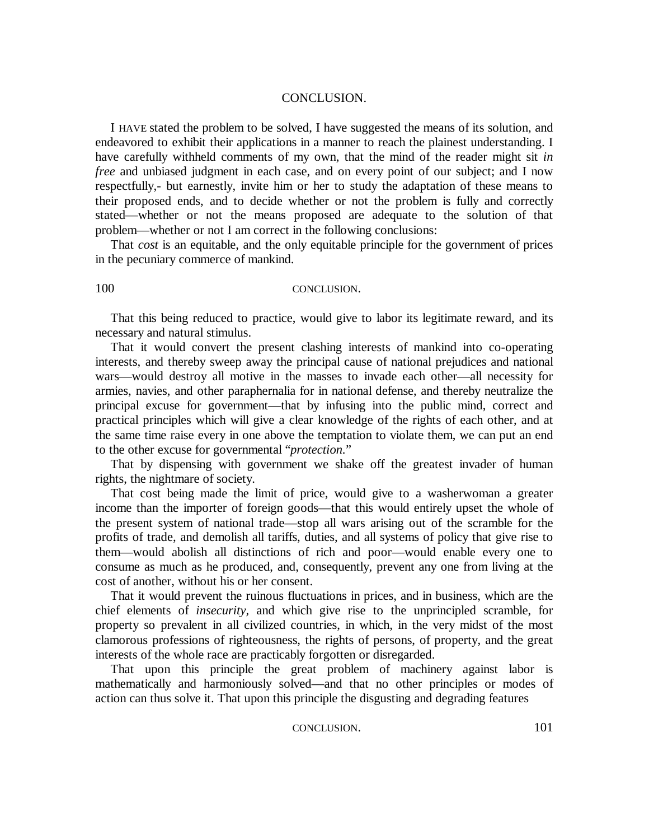## CONCLUSION.

I HAVE stated the problem to be solved, I have suggested the means of its solution, and endeavored to exhibit their applications in a manner to reach the plainest understanding. I have carefully withheld comments of my own, that the mind of the reader might sit *in free* and unbiased judgment in each case, and on every point of our subject; and I now respectfully,- but earnestly, invite him or her to study the adaptation of these means to their proposed ends, and to decide whether or not the problem is fully and correctly stated—whether or not the means proposed are adequate to the solution of that problem—whether or not I am correct in the following conclusions:

That *cost* is an equitable, and the only equitable principle for the government of prices in the pecuniary commerce of mankind.

#### 100 CONCLUSION.

That this being reduced to practice, would give to labor its legitimate reward, and its necessary and natural stimulus.

That it would convert the present clashing interests of mankind into co-operating interests, and thereby sweep away the principal cause of national prejudices and national wars—would destroy all motive in the masses to invade each other—all necessity for armies, navies, and other paraphernalia for in national defense, and thereby neutralize the principal excuse for government—that by infusing into the public mind, correct and practical principles which will give a clear knowledge of the rights of each other, and at the same time raise every in one above the temptation to violate them, we can put an end to the other excuse for governmental "*protection.*"

That by dispensing with government we shake off the greatest invader of human rights, the nightmare of society.

That cost being made the limit of price, would give to a washerwoman a greater income than the importer of foreign goods—that this would entirely upset the whole of the present system of national trade—stop all wars arising out of the scramble for the profits of trade, and demolish all tariffs, duties, and all systems of policy that give rise to them—would abolish all distinctions of rich and poor—would enable every one to consume as much as he produced, and, consequently, prevent any one from living at the cost of another, without his or her consent.

That it would prevent the ruinous fluctuations in prices, and in business, which are the chief elements of *insecurity,* and which give rise to the unprincipled scramble, for property so prevalent in all civilized countries, in which, in the very midst of the most clamorous professions of righteousness, the rights of persons, of property, and the great interests of the whole race are practicably forgotten or disregarded.

That upon this principle the great problem of machinery against labor is mathematically and harmoniously solved—and that no other principles or modes of action can thus solve it. That upon this principle the disgusting and degrading features

CONCLUSION. 101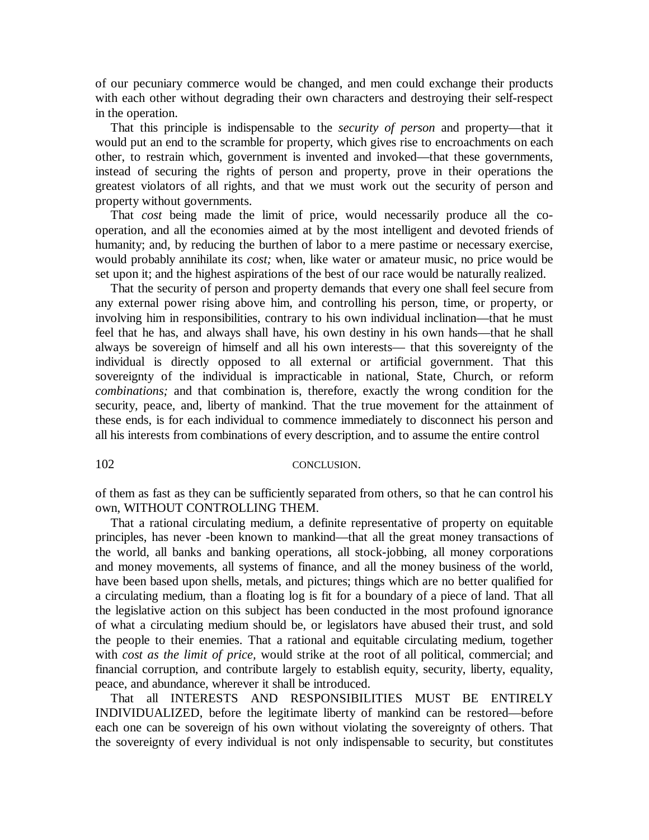of our pecuniary commerce would be changed, and men could exchange their products with each other without degrading their own characters and destroying their self-respect in the operation.

That this principle is indispensable to the *security of person* and property—that it would put an end to the scramble for property, which gives rise to encroachments on each other, to restrain which, government is invented and invoked—that these governments, instead of securing the rights of person and property, prove in their operations the greatest violators of all rights, and that we must work out the security of person and property without governments.

That *cost* being made the limit of price, would necessarily produce all the cooperation, and all the economies aimed at by the most intelligent and devoted friends of humanity; and, by reducing the burthen of labor to a mere pastime or necessary exercise, would probably annihilate its *cost;* when, like water or amateur music, no price would be set upon it; and the highest aspirations of the best of our race would be naturally realized.

That the security of person and property demands that every one shall feel secure from any external power rising above him, and controlling his person, time, or property, or involving him in responsibilities, contrary to his own individual inclination—that he must feel that he has, and always shall have, his own destiny in his own hands—that he shall always be sovereign of himself and all his own interests— that this sovereignty of the individual is directly opposed to all external or artificial government. That this sovereignty of the individual is impracticable in national, State, Church, or reform *combinations;* and that combination is, therefore, exactly the wrong condition for the security, peace, and, liberty of mankind. That the true movement for the attainment of these ends, is for each individual to commence immediately to disconnect his person and all his interests from combinations of every description, and to assume the entire control

#### 102 CONCLUSION.

of them as fast as they can be sufficiently separated from others, so that he can control his own, WITHOUT CONTROLLING THEM.

That a rational circulating medium, a definite representative of property on equitable principles, has never -been known to mankind—that all the great money transactions of the world, all banks and banking operations, all stock-jobbing, all money corporations and money movements, all systems of finance, and all the money business of the world, have been based upon shells, metals, and pictures; things which are no better qualified for a circulating medium, than a floating log is fit for a boundary of a piece of land. That all the legislative action on this subject has been conducted in the most profound ignorance of what a circulating medium should be, or legislators have abused their trust, and sold the people to their enemies. That a rational and equitable circulating medium, together with *cost as the limit of price,* would strike at the root of all political, commercial; and financial corruption, and contribute largely to establish equity, security, liberty, equality, peace, and abundance, wherever it shall be introduced.

That all INTERESTS AND RESPONSIBILITIES MUST BE ENTIRELY INDIVIDUALIZED, before the legitimate liberty of mankind can be restored—before each one can be sovereign of his own without violating the sovereignty of others. That the sovereignty of every individual is not only indispensable to security, but constitutes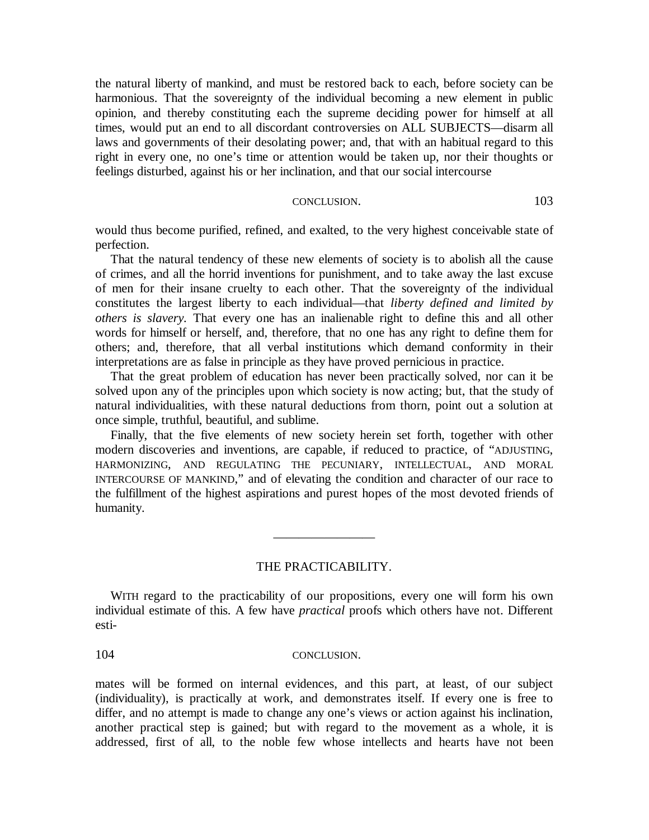the natural liberty of mankind, and must be restored back to each, before society can be harmonious. That the sovereignty of the individual becoming a new element in public opinion, and thereby constituting each the supreme deciding power for himself at all times, would put an end to all discordant controversies on ALL SUBJECTS—disarm all laws and governments of their desolating power; and, that with an habitual regard to this right in every one, no one's time or attention would be taken up, nor their thoughts or feelings disturbed, against his or her inclination, and that our social intercourse

$$
CONCLUSION. \t\t 103
$$

would thus become purified, refined, and exalted, to the very highest conceivable state of perfection.

That the natural tendency of these new elements of society is to abolish all the cause of crimes, and all the horrid inventions for punishment, and to take away the last excuse of men for their insane cruelty to each other. That the sovereignty of the individual constitutes the largest liberty to each individual—that *liberty defined and limited by others is slavery.* That every one has an inalienable right to define this and all other words for himself or herself, and, therefore, that no one has any right to define them for others; and, therefore, that all verbal institutions which demand conformity in their interpretations are as false in principle as they have proved pernicious in practice.

That the great problem of education has never been practically solved, nor can it be solved upon any of the principles upon which society is now acting; but, that the study of natural individualities, with these natural deductions from thorn, point out a solution at once simple, truthful, beautiful, and sublime.

Finally, that the five elements of new society herein set forth, together with other modern discoveries and inventions, are capable, if reduced to practice, of "ADJUSTING, HARMONIZING, AND REGULATING THE PECUNIARY, INTELLECTUAL, AND MORAL INTERCOURSE OF MANKIND," and of elevating the condition and character of our race to the fulfillment of the highest aspirations and purest hopes of the most devoted friends of humanity.

#### THE PRACTICABILITY.

————————

WITH regard to the practicability of our propositions, every one will form his own individual estimate of this. A few have *practical* proofs which others have not. Different esti-

### 104 CONCLUSION.

mates will be formed on internal evidences, and this part, at least, of our subject (individuality), is practically at work, and demonstrates itself. If every one is free to differ, and no attempt is made to change any one's views or action against his inclination, another practical step is gained; but with regard to the movement as a whole, it is addressed, first of all, to the noble few whose intellects and hearts have not been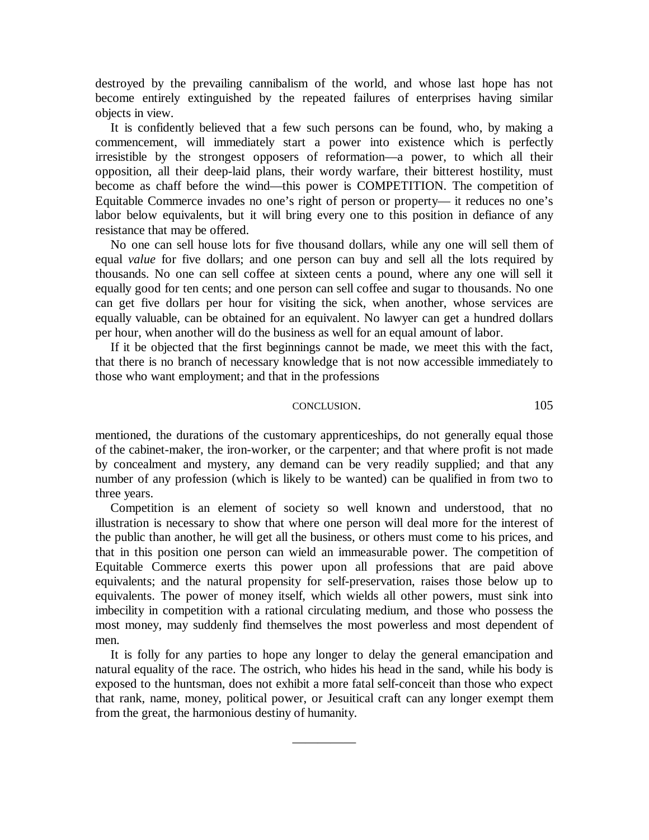destroyed by the prevailing cannibalism of the world, and whose last hope has not become entirely extinguished by the repeated failures of enterprises having similar objects in view.

It is confidently believed that a few such persons can be found, who, by making a commencement, will immediately start a power into existence which is perfectly irresistible by the strongest opposers of reformation—a power, to which all their opposition, all their deep-laid plans, their wordy warfare, their bitterest hostility, must become as chaff before the wind—this power is COMPETITION. The competition of Equitable Commerce invades no one's right of person or property— it reduces no one's labor below equivalents, but it will bring every one to this position in defiance of any resistance that may be offered.

No one can sell house lots for five thousand dollars, while any one will sell them of equal *value* for five dollars; and one person can buy and sell all the lots required by thousands. No one can sell coffee at sixteen cents a pound, where any one will sell it equally good for ten cents; and one person can sell coffee and sugar to thousands. No one can get five dollars per hour for visiting the sick, when another, whose services are equally valuable, can be obtained for an equivalent. No lawyer can get a hundred dollars per hour, when another will do the business as well for an equal amount of labor.

If it be objected that the first beginnings cannot be made, we meet this with the fact, that there is no branch of necessary knowledge that is not now accessible immediately to those who want employment; and that in the professions

$$
CONCLUSION. \t\t 105
$$

mentioned, the durations of the customary apprenticeships, do not generally equal those of the cabinet-maker, the iron-worker, or the carpenter; and that where profit is not made by concealment and mystery, any demand can be very readily supplied; and that any number of any profession (which is likely to be wanted) can be qualified in from two to three years.

Competition is an element of society so well known and understood, that no illustration is necessary to show that where one person will deal more for the interest of the public than another, he will get all the business, or others must come to his prices, and that in this position one person can wield an immeasurable power. The competition of Equitable Commerce exerts this power upon all professions that are paid above equivalents; and the natural propensity for self-preservation, raises those below up to equivalents. The power of money itself, which wields all other powers, must sink into imbecility in competition with a rational circulating medium, and those who possess the most money, may suddenly find themselves the most powerless and most dependent of men.

It is folly for any parties to hope any longer to delay the general emancipation and natural equality of the race. The ostrich, who hides his head in the sand, while his body is exposed to the huntsman, does not exhibit a more fatal self-conceit than those who expect that rank, name, money, political power, or Jesuitical craft can any longer exempt them from the great, the harmonious destiny of humanity.

—————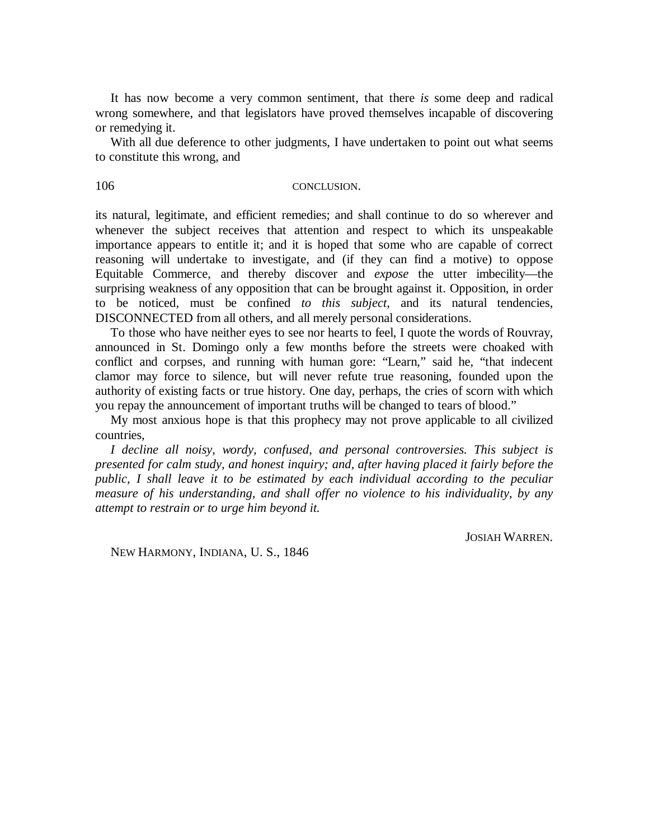It has now become a very common sentiment, that there *is* some deep and radical wrong somewhere, and that legislators have proved themselves incapable of discovering or remedying it.

With all due deference to other judgments, I have undertaken to point out what seems to constitute this wrong, and

## 106 CONCLUSION.

its natural, legitimate, and efficient remedies; and shall continue to do so wherever and whenever the subject receives that attention and respect to which its unspeakable importance appears to entitle it; and it is hoped that some who are capable of correct reasoning will undertake to investigate, and (if they can find a motive) to oppose Equitable Commerce, and thereby discover and *expose* the utter imbecility—the surprising weakness of any opposition that can be brought against it. Opposition, in order to be noticed, must be confined *to this subject,* and its natural tendencies, DISCONNECTED from all others, and all merely personal considerations.

To those who have neither eyes to see nor hearts to feel, I quote the words of Rouvray, announced in St. Domingo only a few months before the streets were choaked with conflict and corpses, and running with human gore: "Learn," said he, "that indecent clamor may force to silence, but will never refute true reasoning, founded upon the authority of existing facts or true history. One day, perhaps, the cries of scorn with which you repay the announcement of important truths will be changed to tears of blood."

My most anxious hope is that this prophecy may not prove applicable to all civilized countries,

*I decline all noisy, wordy, confused, and personal controversies. This subject is presented for calm study, and honest inquiry; and, after having placed it fairly before the public, I shall leave it to be estimated by each individual according to the peculiar measure of his understanding, and shall offer no violence to his individuality, by any attempt to restrain or to urge him beyond it.* 

JOSIAH WARREN.

NEW HARMONY, INDIANA, U. S., 1846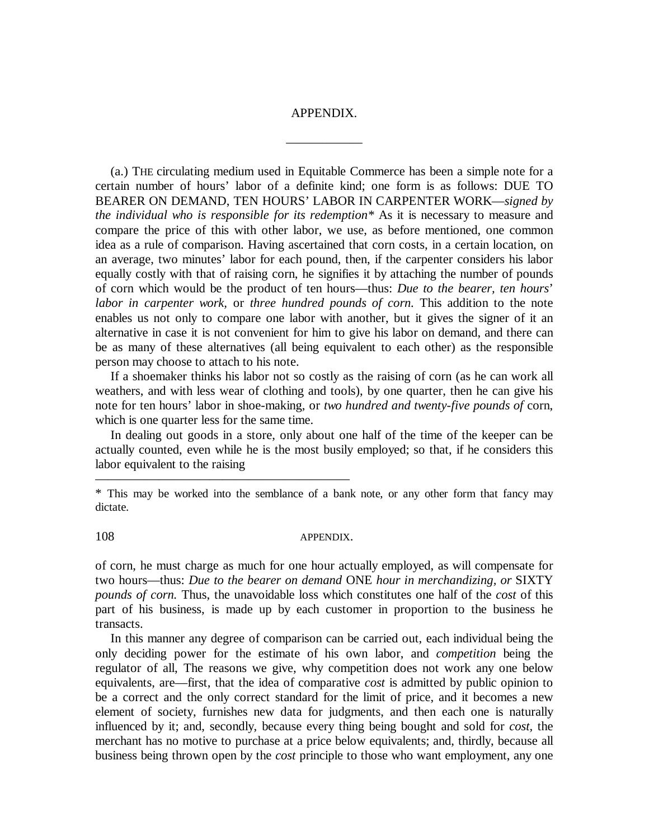# APPENDIX.

——————

(a.) THE circulating medium used in Equitable Commerce has been a simple note for a certain number of hours' labor of a definite kind; one form is as follows: DUE TO BEARER ON DEMAND, TEN HOURS' LABOR IN CARPENTER WORK—*signed by the individual who is responsible for its redemption\** As it is necessary to measure and compare the price of this with other labor, we use, as before mentioned, one common idea as a rule of comparison. Having ascertained that corn costs, in a certain location, on an average, two minutes' labor for each pound, then, if the carpenter considers his labor equally costly with that of raising corn, he signifies it by attaching the number of pounds of corn which would be the product of ten hours—thus: *Due to the bearer, ten hours*' *labor in carpenter work,* or *three hundred pounds of corn.* This addition to the note enables us not only to compare one labor with another, but it gives the signer of it an alternative in case it is not convenient for him to give his labor on demand, and there can be as many of these alternatives (all being equivalent to each other) as the responsible person may choose to attach to his note.

If a shoemaker thinks his labor not so costly as the raising of corn (as he can work all weathers, and with less wear of clothing and tools), by one quarter, then he can give his note for ten hours' labor in shoe-making, or *two hundred and twenty-five pounds of* corn, which is one quarter less for the same time.

In dealing out goods in a store, only about one half of the time of the keeper can be actually counted, even while he is the most busily employed; so that, if he considers this labor equivalent to the raising

————————————————————

# 108 APPENDIX.

of corn, he must charge as much for one hour actually employed, as will compensate for two hours—thus: *Due to the bearer on demand* ONE *hour in merchandizing, or* SIXTY *pounds of corn.* Thus, the unavoidable loss which constitutes one half of the *cost* of this part of his business, is made up by each customer in proportion to the business he transacts.

In this manner any degree of comparison can be carried out, each individual being the only deciding power for the estimate of his own labor, and *competition* being the regulator of all, The reasons we give, why competition does not work any one below equivalents, are—first, that the idea of comparative *cost* is admitted by public opinion to be a correct and the only correct standard for the limit of price, and it becomes a new element of society, furnishes new data for judgments, and then each one is naturally influenced by it; and, secondly, because every thing being bought and sold for *cost,* the merchant has no motive to purchase at a price below equivalents; and, thirdly, because all business being thrown open by the *cost* principle to those who want employment, any one

<sup>\*</sup> This may be worked into the semblance of a bank note, or any other form that fancy may dictate.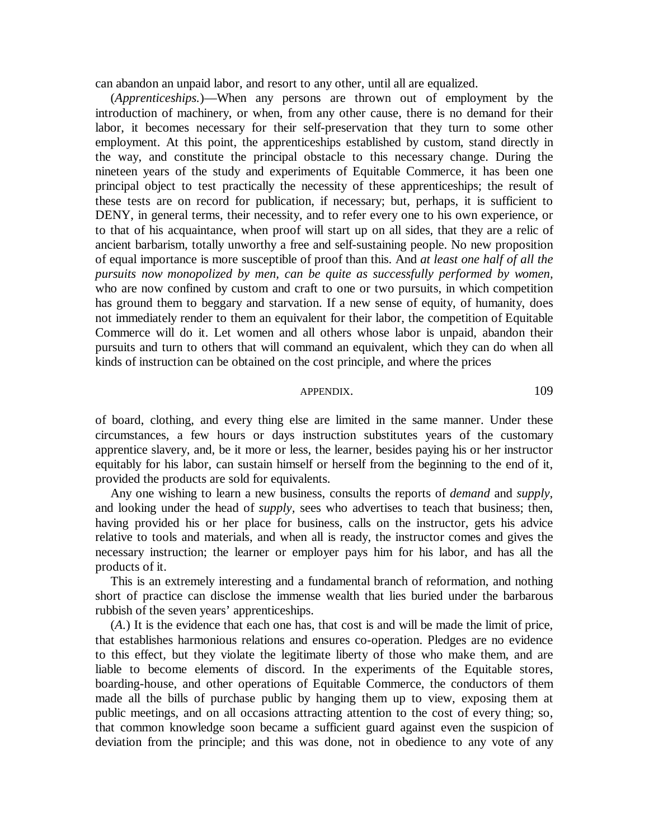can abandon an unpaid labor, and resort to any other, until all are equalized.

(*Apprenticeships.*)—When any persons are thrown out of employment by the introduction of machinery, or when, from any other cause, there is no demand for their labor, it becomes necessary for their self-preservation that they turn to some other employment. At this point, the apprenticeships established by custom, stand directly in the way, and constitute the principal obstacle to this necessary change. During the nineteen years of the study and experiments of Equitable Commerce, it has been one principal object to test practically the necessity of these apprenticeships; the result of these tests are on record for publication, if necessary; but, perhaps, it is sufficient to DENY, in general terms, their necessity, and to refer every one to his own experience, or to that of his acquaintance, when proof will start up on all sides, that they are a relic of ancient barbarism, totally unworthy a free and self-sustaining people. No new proposition of equal importance is more susceptible of proof than this. And *at least one half of all the pursuits now monopolized by men, can be quite as successfully performed by women,*  who are now confined by custom and craft to one or two pursuits, in which competition has ground them to beggary and starvation. If a new sense of equity, of humanity, does not immediately render to them an equivalent for their labor, the competition of Equitable Commerce will do it. Let women and all others whose labor is unpaid, abandon their pursuits and turn to others that will command an equivalent, which they can do when all kinds of instruction can be obtained on the cost principle, and where the prices

# APPENDIX. 109

of board, clothing, and every thing else are limited in the same manner. Under these circumstances, a few hours or days instruction substitutes years of the customary apprentice slavery, and, be it more or less, the learner, besides paying his or her instructor equitably for his labor, can sustain himself or herself from the beginning to the end of it, provided the products are sold for equivalents.

Any one wishing to learn a new business, consults the reports of *demand* and *supply,*  and looking under the head of *supply,* sees who advertises to teach that business; then, having provided his or her place for business, calls on the instructor, gets his advice relative to tools and materials, and when all is ready, the instructor comes and gives the necessary instruction; the learner or employer pays him for his labor, and has all the products of it.

This is an extremely interesting and a fundamental branch of reformation, and nothing short of practice can disclose the immense wealth that lies buried under the barbarous rubbish of the seven years' apprenticeships.

(*A.*) It is the evidence that each one has, that cost is and will be made the limit of price, that establishes harmonious relations and ensures co-operation. Pledges are no evidence to this effect, but they violate the legitimate liberty of those who make them, and are liable to become elements of discord. In the experiments of the Equitable stores, boarding-house, and other operations of Equitable Commerce, the conductors of them made all the bills of purchase public by hanging them up to view, exposing them at public meetings, and on all occasions attracting attention to the cost of every thing; so, that common knowledge soon became a sufficient guard against even the suspicion of deviation from the principle; and this was done, not in obedience to any vote of any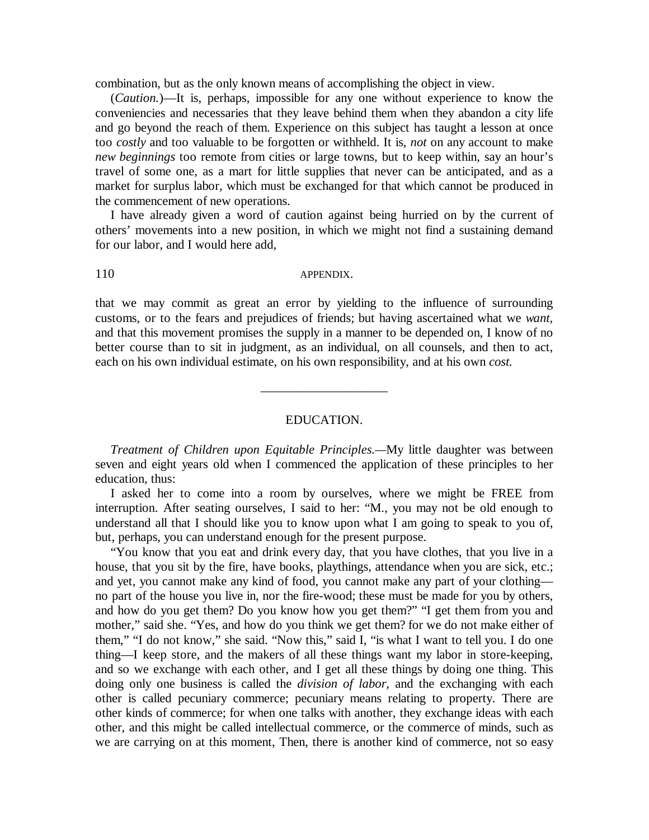combination, but as the only known means of accomplishing the object in view.

(*Caution.*)—It is, perhaps, impossible for any one without experience to know the conveniencies and necessaries that they leave behind them when they abandon a city life and go beyond the reach of them. Experience on this subject has taught a lesson at once too *costly* and too valuable to be forgotten or withheld. It is, *not* on any account to make *new beginnings* too remote from cities or large towns, but to keep within, say an hour's travel of some one, as a mart for little supplies that never can be anticipated, and as a market for surplus labor, which must be exchanged for that which cannot be produced in the commencement of new operations.

I have already given a word of caution against being hurried on by the current of others' movements into a new position, in which we might not find a sustaining demand for our labor, and I would here add,

# 110 APPENDIX.

that we may commit as great an error by yielding to the influence of surrounding customs, or to the fears and prejudices of friends; but having ascertained what we *want,*  and that this movement promises the supply in a manner to be depended on, I know of no better course than to sit in judgment, as an individual, on all counsels, and then to act, each on his own individual estimate, on his own responsibility, and at his own *cost.* 

## EDUCATION.

——————————

*Treatment of Children upon Equitable Principles.—*My little daughter was between seven and eight years old when I commenced the application of these principles to her education, thus:

I asked her to come into a room by ourselves, where we might be FREE from interruption. After seating ourselves, I said to her: "M., you may not be old enough to understand all that I should like you to know upon what I am going to speak to you of, but, perhaps, you can understand enough for the present purpose.

"You know that you eat and drink every day, that you have clothes, that you live in a house, that you sit by the fire, have books, playthings, attendance when you are sick, etc.; and yet, you cannot make any kind of food, you cannot make any part of your clothing no part of the house you live in, nor the fire-wood; these must be made for you by others, and how do you get them? Do you know how you get them?" "I get them from you and mother," said she. "Yes, and how do you think we get them? for we do not make either of them," "I do not know," she said. "Now this," said I, "is what I want to tell you. I do one thing—I keep store, and the makers of all these things want my labor in store-keeping, and so we exchange with each other, and I get all these things by doing one thing. This doing only one business is called the *division of labor,* and the exchanging with each other is called pecuniary commerce; pecuniary means relating to property. There are other kinds of commerce; for when one talks with another, they exchange ideas with each other, and this might be called intellectual commerce, or the commerce of minds, such as we are carrying on at this moment, Then, there is another kind of commerce, not so easy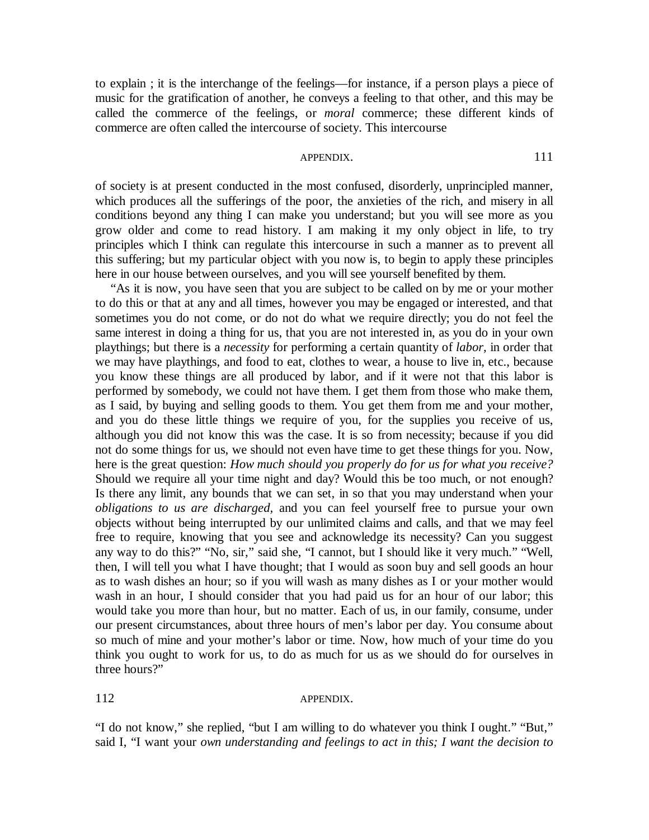to explain ; it is the interchange of the feelings—for instance, if a person plays a piece of music for the gratification of another, he conveys a feeling to that other, and this may be called the commerce of the feelings, or *moral* commerce; these different kinds of commerce are often called the intercourse of society. This intercourse

## APPENDIX. 111

of society is at present conducted in the most confused, disorderly, unprincipled manner, which produces all the sufferings of the poor, the anxieties of the rich, and misery in all conditions beyond any thing I can make you understand; but you will see more as you grow older and come to read history. I am making it my only object in life, to try principles which I think can regulate this intercourse in such a manner as to prevent all this suffering; but my particular object with you now is, to begin to apply these principles here in our house between ourselves, and you will see yourself benefited by them.

"As it is now, you have seen that you are subject to be called on by me or your mother to do this or that at any and all times, however you may be engaged or interested, and that sometimes you do not come, or do not do what we require directly; you do not feel the same interest in doing a thing for us, that you are not interested in, as you do in your own playthings; but there is a *necessity* for performing a certain quantity of *labor,* in order that we may have playthings, and food to eat, clothes to wear, a house to live in, etc., because you know these things are all produced by labor, and if it were not that this labor is performed by somebody, we could not have them. I get them from those who make them, as I said, by buying and selling goods to them. You get them from me and your mother, and you do these little things we require of you, for the supplies you receive of us, although you did not know this was the case. It is so from necessity; because if you did not do some things for us, we should not even have time to get these things for you. Now, here is the great question: *How much should you properly do for us for what you receive?*  Should we require all your time night and day? Would this be too much, or not enough? Is there any limit, any bounds that we can set, in so that you may understand when your *obligations to us are discharged,* and you can feel yourself free to pursue your own objects without being interrupted by our unlimited claims and calls, and that we may feel free to require, knowing that you see and acknowledge its necessity? Can you suggest any way to do this?" "No, sir," said she, "I cannot, but I should like it very much." "Well, then, I will tell you what I have thought; that I would as soon buy and sell goods an hour as to wash dishes an hour; so if you will wash as many dishes as I or your mother would wash in an hour, I should consider that you had paid us for an hour of our labor; this would take you more than hour, but no matter. Each of us, in our family, consume, under our present circumstances, about three hours of men's labor per day. You consume about so much of mine and your mother's labor or time. Now, how much of your time do you think you ought to work for us, to do as much for us as we should do for ourselves in three hours?"

112 APPENDIX.

"I do not know," she replied, "but I am willing to do whatever you think I ought." "But," said I, "I want your *own understanding and feelings to act in this; I want the decision to*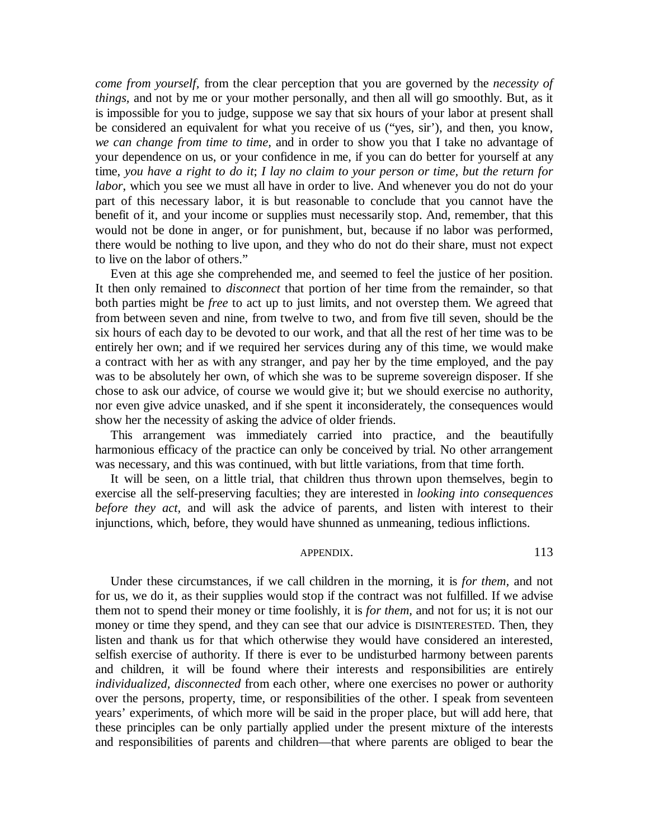*come from yourself,* from the clear perception that you are governed by the *necessity of things,* and not by me or your mother personally, and then all will go smoothly. But, as it is impossible for you to judge, suppose we say that six hours of your labor at present shall be considered an equivalent for what you receive of us ("yes, sir'), and then, you know, *we can change from time to time,* and in order to show you that I take no advantage of your dependence on us, or your confidence in me, if you can do better for yourself at any time, *you have a right to do it*; *I lay no claim to your person or time, but the return for labor*, which you see we must all have in order to live. And whenever you do not do your part of this necessary labor, it is but reasonable to conclude that you cannot have the benefit of it, and your income or supplies must necessarily stop. And, remember, that this would not be done in anger, or for punishment, but, because if no labor was performed, there would be nothing to live upon, and they who do not do their share, must not expect to live on the labor of others."

Even at this age she comprehended me, and seemed to feel the justice of her position. It then only remained to *disconnect* that portion of her time from the remainder, so that both parties might be *free* to act up to just limits, and not overstep them. We agreed that from between seven and nine, from twelve to two, and from five till seven, should be the six hours of each day to be devoted to our work, and that all the rest of her time was to be entirely her own; and if we required her services during any of this time, we would make a contract with her as with any stranger, and pay her by the time employed, and the pay was to be absolutely her own, of which she was to be supreme sovereign disposer. If she chose to ask our advice, of course we would give it; but we should exercise no authority, nor even give advice unasked, and if she spent it inconsiderately, the consequences would show her the necessity of asking the advice of older friends.

This arrangement was immediately carried into practice, and the beautifully harmonious efficacy of the practice can only be conceived by trial. No other arrangement was necessary, and this was continued, with but little variations, from that time forth.

It will be seen, on a little trial, that children thus thrown upon themselves, begin to exercise all the self-preserving faculties; they are interested in *looking into consequences before they act,* and will ask the advice of parents, and listen with interest to their injunctions, which, before, they would have shunned as unmeaning, tedious inflictions.

## APPENDIX. 113

Under these circumstances, if we call children in the morning, it is *for them,* and not for us, we do it, as their supplies would stop if the contract was not fulfilled. If we advise them not to spend their money or time foolishly, it is *for them,* and not for us; it is not our money or time they spend, and they can see that our advice is DISINTERESTED. Then, they listen and thank us for that which otherwise they would have considered an interested, selfish exercise of authority. If there is ever to be undisturbed harmony between parents and children, it will be found where their interests and responsibilities are entirely *individualized, disconnected* from each other, where one exercises no power or authority over the persons, property, time, or responsibilities of the other. I speak from seventeen years' experiments, of which more will be said in the proper place, but will add here, that these principles can be only partially applied under the present mixture of the interests and responsibilities of parents and children—that where parents are obliged to bear the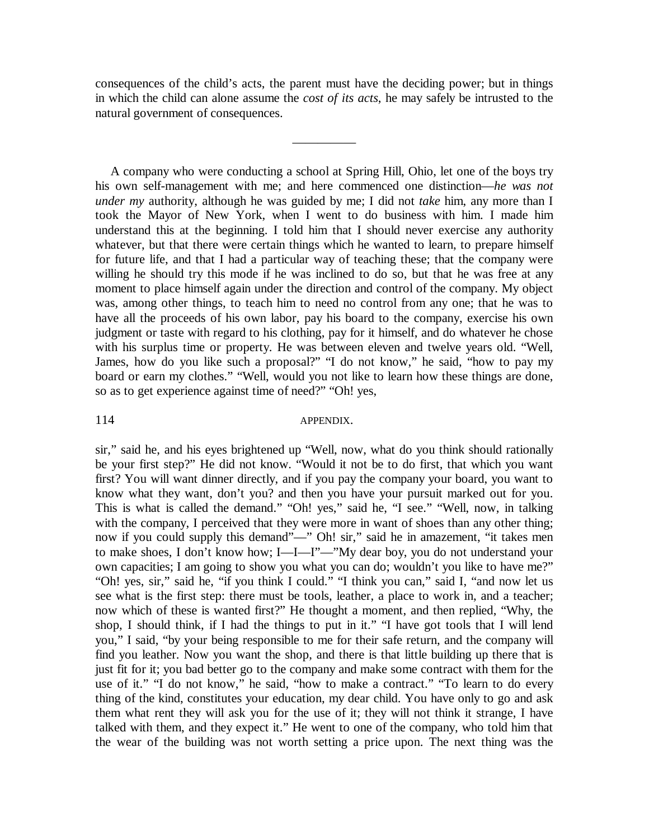consequences of the child's acts, the parent must have the deciding power; but in things in which the child can alone assume the *cost of its acts*, he may safely be intrusted to the natural government of consequences.

—————

A company who were conducting a school at Spring Hill, Ohio, let one of the boys try his own self-management with me; and here commenced one distinction—*he was not under my* authority, although he was guided by me; I did not *take* him, any more than I took the Mayor of New York, when I went to do business with him. I made him understand this at the beginning. I told him that I should never exercise any authority whatever, but that there were certain things which he wanted to learn, to prepare himself for future life, and that I had a particular way of teaching these; that the company were willing he should try this mode if he was inclined to do so, but that he was free at any moment to place himself again under the direction and control of the company. My object was, among other things, to teach him to need no control from any one; that he was to have all the proceeds of his own labor, pay his board to the company, exercise his own judgment or taste with regard to his clothing, pay for it himself, and do whatever he chose with his surplus time or property. He was between eleven and twelve years old. "Well, James, how do you like such a proposal?" "I do not know," he said, "how to pay my board or earn my clothes." "Well, would you not like to learn how these things are done, so as to get experience against time of need?" "Oh! yes,

#### 114 APPENDIX.

sir," said he, and his eyes brightened up "Well, now, what do you think should rationally be your first step?" He did not know. "Would it not be to do first, that which you want first? You will want dinner directly, and if you pay the company your board, you want to know what they want, don't you? and then you have your pursuit marked out for you. This is what is called the demand." "Oh! yes," said he, "I see." "Well, now, in talking with the company, I perceived that they were more in want of shoes than any other thing; now if you could supply this demand"—" Oh! sir," said he in amazement, "it takes men to make shoes, I don't know how; I—I—I"—"My dear boy, you do not understand your own capacities; I am going to show you what you can do; wouldn't you like to have me?" "Oh! yes, sir," said he, "if you think I could." "I think you can," said I, "and now let us see what is the first step: there must be tools, leather, a place to work in, and a teacher; now which of these is wanted first?" He thought a moment, and then replied, "Why, the shop, I should think, if I had the things to put in it." "I have got tools that I will lend you," I said, "by your being responsible to me for their safe return, and the company will find you leather. Now you want the shop, and there is that little building up there that is just fit for it; you bad better go to the company and make some contract with them for the use of it." "I do not know," he said, "how to make a contract." "To learn to do every thing of the kind, constitutes your education, my dear child. You have only to go and ask them what rent they will ask you for the use of it; they will not think it strange, I have talked with them, and they expect it." He went to one of the company, who told him that the wear of the building was not worth setting a price upon. The next thing was the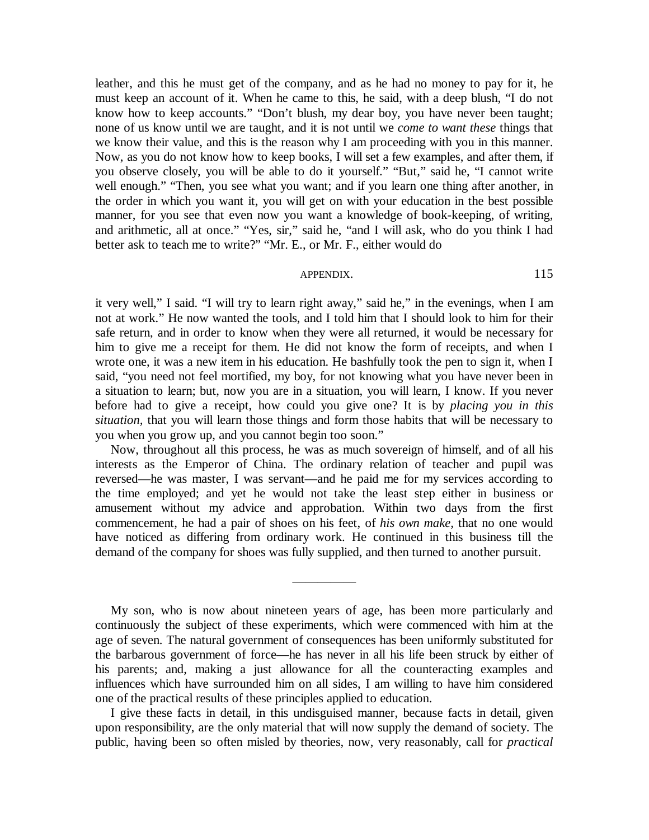leather, and this he must get of the company, and as he had no money to pay for it, he must keep an account of it. When he came to this, he said, with a deep blush, "I do not know how to keep accounts." "Don't blush, my dear boy, you have never been taught; none of us know until we are taught, and it is not until we *come to want these* things that we know their value, and this is the reason why I am proceeding with you in this manner. Now, as you do not know how to keep books, I will set a few examples, and after them, if you observe closely, you will be able to do it yourself." "But," said he, "I cannot write well enough." "Then, you see what you want; and if you learn one thing after another, in the order in which you want it, you will get on with your education in the best possible manner, for you see that even now you want a knowledge of book-keeping, of writing, and arithmetic, all at once." "Yes, sir," said he, "and I will ask, who do you think I had better ask to teach me to write?" "Mr. E., or Mr. F., either would do

## APPENDIX. 115

it very well," I said. "I will try to learn right away," said he," in the evenings, when I am not at work." He now wanted the tools, and I told him that I should look to him for their safe return, and in order to know when they were all returned, it would be necessary for him to give me a receipt for them. He did not know the form of receipts, and when I wrote one, it was a new item in his education. He bashfully took the pen to sign it, when I said, "you need not feel mortified, my boy, for not knowing what you have never been in a situation to learn; but, now you are in a situation, you will learn, I know. If you never before had to give a receipt, how could you give one? It is by *placing you in this situation,* that you will learn those things and form those habits that will be necessary to you when you grow up, and you cannot begin too soon."

Now, throughout all this process, he was as much sovereign of himself, and of all his interests as the Emperor of China. The ordinary relation of teacher and pupil was reversed—he was master, I was servant—and he paid me for my services according to the time employed; and yet he would not take the least step either in business or amusement without my advice and approbation. Within two days from the first commencement, he had a pair of shoes on his feet, of *his own make,* that no one would have noticed as differing from ordinary work. He continued in this business till the demand of the company for shoes was fully supplied, and then turned to another pursuit.

My son, who is now about nineteen years of age, has been more particularly and continuously the subject of these experiments, which were commenced with him at the age of seven. The natural government of consequences has been uniformly substituted for the barbarous government of force—he has never in all his life been struck by either of his parents; and, making a just allowance for all the counteracting examples and influences which have surrounded him on all sides, I am willing to have him considered one of the practical results of these principles applied to education.

—————

I give these facts in detail, in this undisguised manner, because facts in detail, given upon responsibility, are the only material that will now supply the demand of society. The public, having been so often misled by theories, now, very reasonably, call for *practical*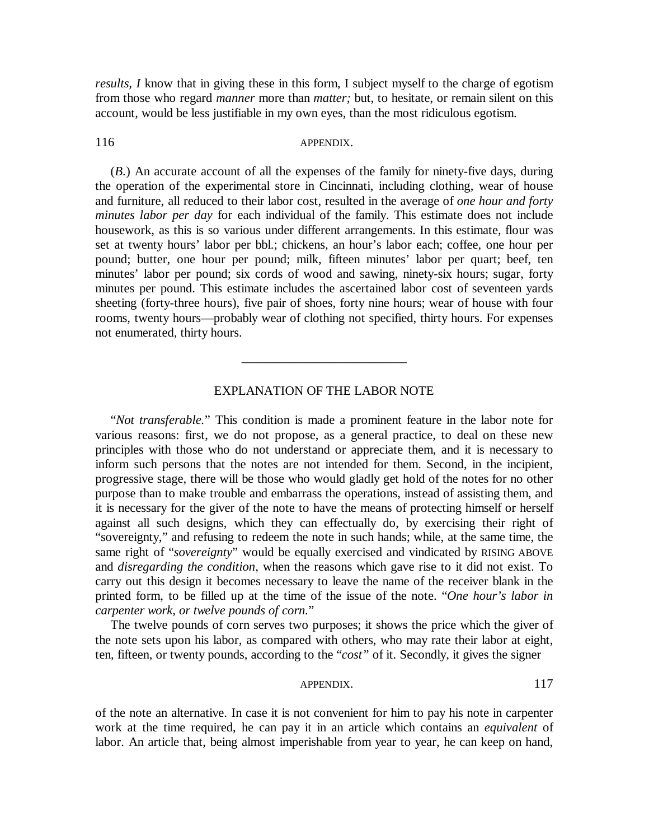*results, I* know that in giving these in this form, I subject myself to the charge of egotism from those who regard *manner* more than *matter;* but, to hesitate, or remain silent on this account, would be less justifiable in my own eyes, than the most ridiculous egotism.

## 116 APPENDIX.

(*B.*) An accurate account of all the expenses of the family for ninety-five days, during the operation of the experimental store in Cincinnati, including clothing, wear of house and furniture, all reduced to their labor cost, resulted in the average of *one hour and forty minutes labor per day* for each individual of the family. This estimate does not include housework, as this is so various under different arrangements. In this estimate, flour was set at twenty hours' labor per bbl.; chickens, an hour's labor each; coffee, one hour per pound; butter, one hour per pound; milk, fifteen minutes' labor per quart; beef, ten minutes' labor per pound; six cords of wood and sawing, ninety-six hours; sugar, forty minutes per pound. This estimate includes the ascertained labor cost of seventeen yards sheeting (forty-three hours), five pair of shoes, forty nine hours; wear of house with four rooms, twenty hours—probably wear of clothing not specified, thirty hours. For expenses not enumerated, thirty hours.

# EXPLANATION OF THE LABOR NOTE

—————————————

"*Not transferable.*" This condition is made a prominent feature in the labor note for various reasons: first, we do not propose, as a general practice, to deal on these new principles with those who do not understand or appreciate them, and it is necessary to inform such persons that the notes are not intended for them. Second, in the incipient, progressive stage, there will be those who would gladly get hold of the notes for no other purpose than to make trouble and embarrass the operations, instead of assisting them, and it is necessary for the giver of the note to have the means of protecting himself or herself against all such designs, which they can effectually do, by exercising their right of "sovereignty," and refusing to redeem the note in such hands; while, at the same time, the same right of "*sovereignty*" would be equally exercised and vindicated by RISING ABOVE and *disregarding the condition*, when the reasons which gave rise to it did not exist. To carry out this design it becomes necessary to leave the name of the receiver blank in the printed form, to be filled up at the time of the issue of the note. "*One hour's labor in carpenter work, or twelve pounds of corn.*"

The twelve pounds of corn serves two purposes; it shows the price which the giver of the note sets upon his labor, as compared with others, who may rate their labor at eight, ten, fifteen, or twenty pounds, according to the "*cost"* of it. Secondly, it gives the signer

$$
APPENDIX. \t\t 117
$$

of the note an alternative. In case it is not convenient for him to pay his note in carpenter work at the time required, he can pay it in an article which contains an *equivalent* of labor. An article that, being almost imperishable from year to year, he can keep on hand,